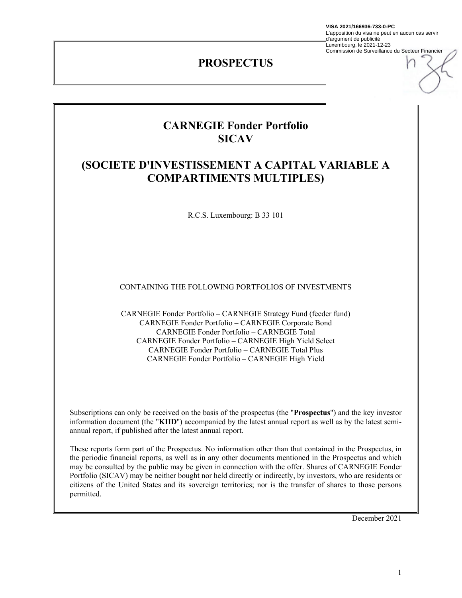**VISA 2021/166936-733-0-PC**

L'apposition du visa ne peut en aucun cas servir d'argument de publicité Luxembourg, le 2021-12-23 Commission de Surveillance du Secteur Financier

## **PROSPECTUS**

# **CARNEGIE Fonder Portfolio SICAV**

# **(SOCIETE D'INVESTISSEMENT A CAPITAL VARIABLE A COMPARTIMENTS MULTIPLES)**

R.C.S. Luxembourg: B 33 101

CONTAINING THE FOLLOWING PORTFOLIOS OF INVESTMENTS

CARNEGIE Fonder Portfolio – CARNEGIE Strategy Fund (feeder fund) CARNEGIE Fonder Portfolio – CARNEGIE Corporate Bond CARNEGIE Fonder Portfolio – CARNEGIE Total CARNEGIE Fonder Portfolio – CARNEGIE High Yield Select CARNEGIE Fonder Portfolio – CARNEGIE Total Plus CARNEGIE Fonder Portfolio – CARNEGIE High Yield

Subscriptions can only be received on the basis of the prospectus (the "**Prospectus**") and the key investor information document (the "**KIID**") accompanied by the latest annual report as well as by the latest semiannual report, if published after the latest annual report.

These reports form part of the Prospectus. No information other than that contained in the Prospectus, in the periodic financial reports, as well as in any other documents mentioned in the Prospectus and which may be consulted by the public may be given in connection with the offer. Shares of CARNEGIE Fonder Portfolio (SICAV) may be neither bought nor held directly or indirectly, by investors, who are residents or citizens of the United States and its sovereign territories; nor is the transfer of shares to those persons permitted.

December 2021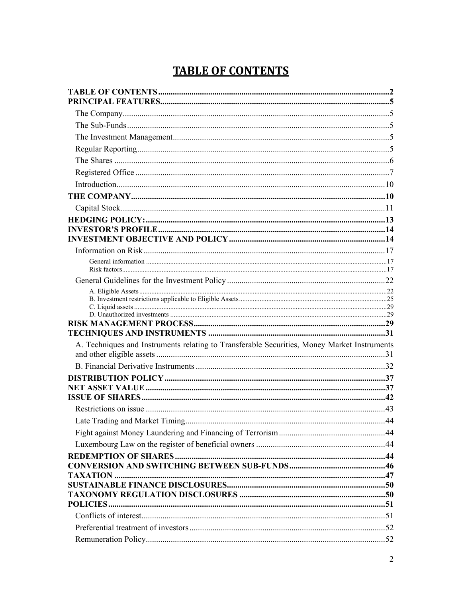# **TABLE OF CONTENTS**

| A. Techniques and Instruments relating to Transferable Securities, Money Market Instruments |
|---------------------------------------------------------------------------------------------|
|                                                                                             |
|                                                                                             |
|                                                                                             |
|                                                                                             |
|                                                                                             |
|                                                                                             |
|                                                                                             |
|                                                                                             |
|                                                                                             |
|                                                                                             |
|                                                                                             |
|                                                                                             |
|                                                                                             |
|                                                                                             |
|                                                                                             |
|                                                                                             |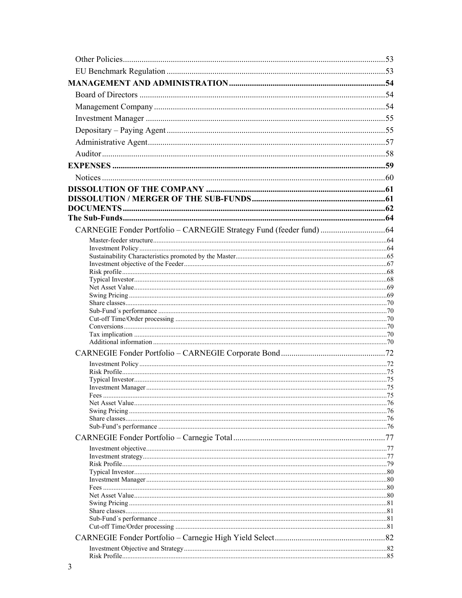| CARNEGIE Fonder Portfolio - CARNEGIE Strategy Fund (feeder fund)  64 |  |
|----------------------------------------------------------------------|--|
|                                                                      |  |
|                                                                      |  |
|                                                                      |  |
|                                                                      |  |
|                                                                      |  |
|                                                                      |  |
|                                                                      |  |
|                                                                      |  |
|                                                                      |  |
|                                                                      |  |
|                                                                      |  |
|                                                                      |  |
|                                                                      |  |
|                                                                      |  |
|                                                                      |  |
|                                                                      |  |
|                                                                      |  |
|                                                                      |  |
|                                                                      |  |
|                                                                      |  |
|                                                                      |  |
|                                                                      |  |
|                                                                      |  |
|                                                                      |  |
|                                                                      |  |
|                                                                      |  |
|                                                                      |  |
|                                                                      |  |
|                                                                      |  |
|                                                                      |  |
|                                                                      |  |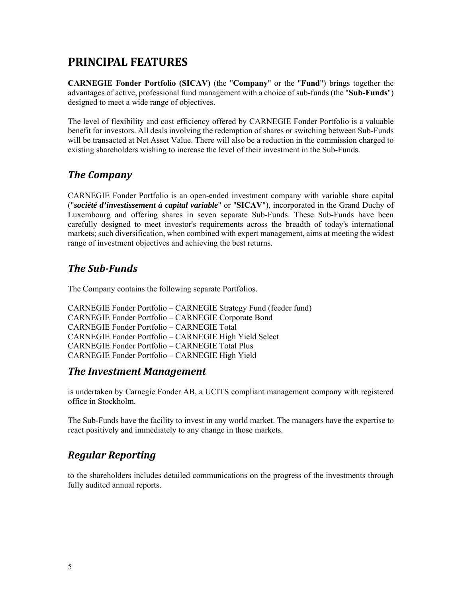# **PRINCIPAL FEATURES**

**CARNEGIE Fonder Portfolio (SICAV)** (the "**Company**" or the "**Fund**") brings together the advantages of active, professional fund management with a choice of sub-funds (the "**Sub-Funds**") designed to meet a wide range of objectives.

The level of flexibility and cost efficiency offered by CARNEGIE Fonder Portfolio is a valuable benefit for investors. All deals involving the redemption of shares or switching between Sub-Funds will be transacted at Net Asset Value. There will also be a reduction in the commission charged to existing shareholders wishing to increase the level of their investment in the Sub-Funds.

# *The Company*

CARNEGIE Fonder Portfolio is an open-ended investment company with variable share capital ("*société d'investissement à capital variable*" or "**SICAV**"), incorporated in the Grand Duchy of Luxembourg and offering shares in seven separate Sub-Funds. These Sub-Funds have been carefully designed to meet investor's requirements across the breadth of today's international markets; such diversification, when combined with expert management, aims at meeting the widest range of investment objectives and achieving the best returns.

# *The Sub‐Funds*

The Company contains the following separate Portfolios.

CARNEGIE Fonder Portfolio – CARNEGIE Strategy Fund (feeder fund) CARNEGIE Fonder Portfolio – CARNEGIE Corporate Bond CARNEGIE Fonder Portfolio – CARNEGIE Total CARNEGIE Fonder Portfolio – CARNEGIE High Yield Select CARNEGIE Fonder Portfolio – CARNEGIE Total Plus CARNEGIE Fonder Portfolio – CARNEGIE High Yield

## *The Investment Management*

is undertaken by Carnegie Fonder AB, a UCITS compliant management company with registered office in Stockholm.

The Sub-Funds have the facility to invest in any world market. The managers have the expertise to react positively and immediately to any change in those markets.

# *Regular Reporting*

to the shareholders includes detailed communications on the progress of the investments through fully audited annual reports.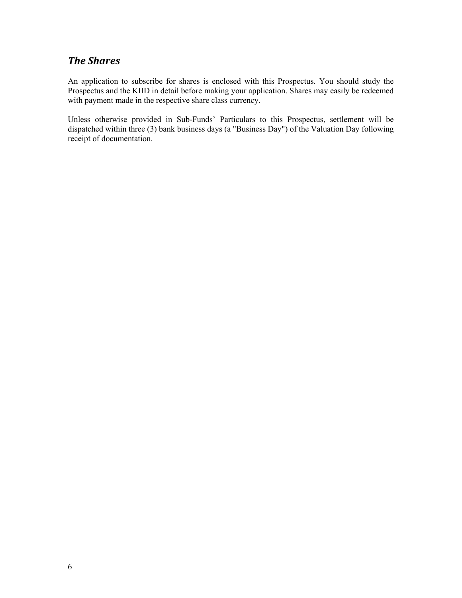## *The Shares*

An application to subscribe for shares is enclosed with this Prospectus. You should study the Prospectus and the KIID in detail before making your application. Shares may easily be redeemed with payment made in the respective share class currency.

Unless otherwise provided in Sub-Funds' Particulars to this Prospectus, settlement will be dispatched within three (3) bank business days (a "Business Day") of the Valuation Day following receipt of documentation.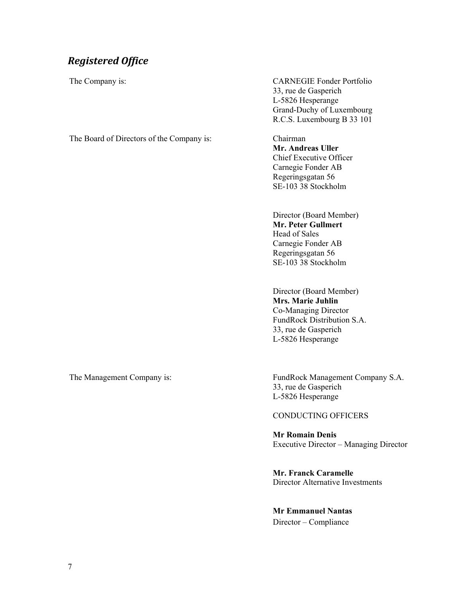# *Registered Office*

The Company is: CARNEGIE Fonder Portfolio 33, rue de Gasperich L-5826 Hesperange Grand-Duchy of Luxembourg R.C.S. Luxembourg B 33 101

The Board of Directors of the Company is: Chairman

**Mr. Andreas Uller**  Chief Executive Officer Carnegie Fonder AB Regeringsgatan 56 SE-103 38 Stockholm

 Director (Board Member) **Mr. Peter Gullmert**  Head of Sales Carnegie Fonder AB Regeringsgatan 56 SE-103 38 Stockholm

 Director (Board Member) **Mrs. Marie Juhlin**  Co-Managing Director FundRock Distribution S.A. 33, rue de Gasperich L-5826 Hesperange

The Management Company is: FundRock Management Company S.A. 33, rue de Gasperich L-5826 Hesperange

### CONDUCTING OFFICERS

**Mr Romain Denis**  Executive Director – Managing Director

**Mr. Franck Caramelle**  Director Alternative Investments

**Mr Emmanuel Nantas**  Director – Compliance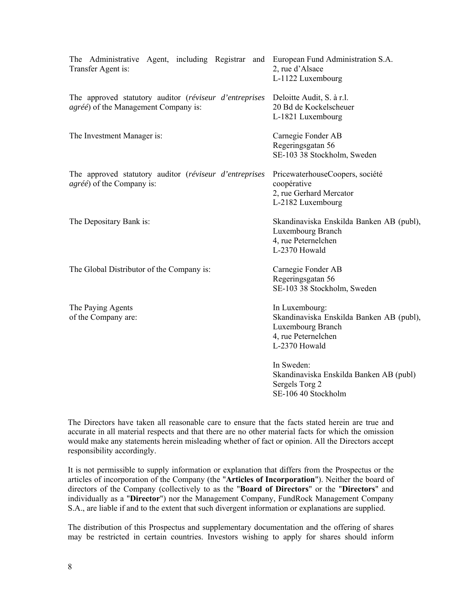| The Administrative Agent, including Registrar and European Fund Administration S.A.<br>Transfer Agent is: | 2, rue d'Alsace<br>L-1122 Luxembourg                                                                                    |
|-----------------------------------------------------------------------------------------------------------|-------------------------------------------------------------------------------------------------------------------------|
| The approved statutory auditor (réviseur d'entreprises<br><i>agréé</i> ) of the Management Company is:    | Deloitte Audit, S. à r.l.<br>20 Bd de Kockelscheuer<br>L-1821 Luxembourg                                                |
| The Investment Manager is:                                                                                | Carnegie Fonder AB<br>Regeringsgatan 56<br>SE-103 38 Stockholm, Sweden                                                  |
| The approved statutory auditor (réviseur d'entreprises<br><i>agréé</i> ) of the Company is:               | PricewaterhouseCoopers, société<br>coopérative<br>2, rue Gerhard Mercator<br>L-2182 Luxembourg                          |
| The Depositary Bank is:                                                                                   | Skandinaviska Enskilda Banken AB (publ),<br>Luxembourg Branch<br>4, rue Peternelchen<br>L-2370 Howald                   |
| The Global Distributor of the Company is:                                                                 | Carnegie Fonder AB<br>Regeringsgatan 56<br>SE-103 38 Stockholm, Sweden                                                  |
| The Paying Agents<br>of the Company are:                                                                  | In Luxembourg:<br>Skandinaviska Enskilda Banken AB (publ),<br>Luxembourg Branch<br>4, rue Peternelchen<br>L-2370 Howald |
|                                                                                                           | In Sweden:<br>Skandinaviska Enskilda Banken AB (publ)<br>Sergels Torg 2<br>SE-106.40 Stockholm                          |

The Directors have taken all reasonable care to ensure that the facts stated herein are true and accurate in all material respects and that there are no other material facts for which the omission would make any statements herein misleading whether of fact or opinion. All the Directors accept responsibility accordingly.

It is not permissible to supply information or explanation that differs from the Prospectus or the articles of incorporation of the Company (the "**Articles of Incorporation**"). Neither the board of directors of the Company (collectively to as the "**Board of Directors**" or the "**Directors**" and individually as a "**Director**") nor the Management Company, FundRock Management Company S.A., are liable if and to the extent that such divergent information or explanations are supplied.

The distribution of this Prospectus and supplementary documentation and the offering of shares may be restricted in certain countries. Investors wishing to apply for shares should inform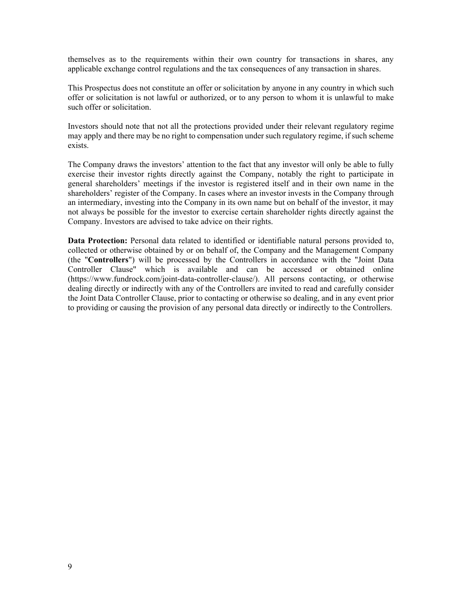themselves as to the requirements within their own country for transactions in shares, any applicable exchange control regulations and the tax consequences of any transaction in shares.

This Prospectus does not constitute an offer or solicitation by anyone in any country in which such offer or solicitation is not lawful or authorized, or to any person to whom it is unlawful to make such offer or solicitation.

Investors should note that not all the protections provided under their relevant regulatory regime may apply and there may be no right to compensation under such regulatory regime, if such scheme exists.

The Company draws the investors' attention to the fact that any investor will only be able to fully exercise their investor rights directly against the Company, notably the right to participate in general shareholders' meetings if the investor is registered itself and in their own name in the shareholders' register of the Company. In cases where an investor invests in the Company through an intermediary, investing into the Company in its own name but on behalf of the investor, it may not always be possible for the investor to exercise certain shareholder rights directly against the Company. Investors are advised to take advice on their rights.

**Data Protection:** Personal data related to identified or identifiable natural persons provided to, collected or otherwise obtained by or on behalf of, the Company and the Management Company (the "**Controllers**") will be processed by the Controllers in accordance with the "Joint Data Controller Clause" which is available and can be accessed or obtained online (https://www.fundrock.com/joint-data-controller-clause/). All persons contacting, or otherwise dealing directly or indirectly with any of the Controllers are invited to read and carefully consider the Joint Data Controller Clause, prior to contacting or otherwise so dealing, and in any event prior to providing or causing the provision of any personal data directly or indirectly to the Controllers.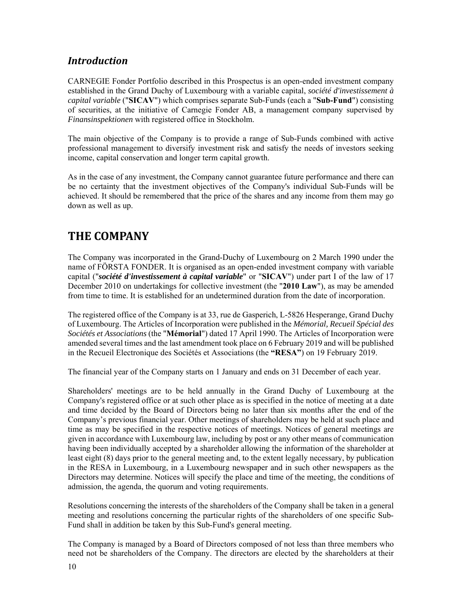# *Introduction*

CARNEGIE Fonder Portfolio described in this Prospectus is an open-ended investment company established in the Grand Duchy of Luxembourg with a variable capital, *société d'investissement à capital variable* ("**SICAV**") which comprises separate Sub-Funds (each a "**Sub-Fund**") consisting of securities, at the initiative of Carnegie Fonder AB, a management company supervised by *Finansinspektionen* with registered office in Stockholm.

The main objective of the Company is to provide a range of Sub-Funds combined with active professional management to diversify investment risk and satisfy the needs of investors seeking income, capital conservation and longer term capital growth.

As in the case of any investment, the Company cannot guarantee future performance and there can be no certainty that the investment objectives of the Company's individual Sub-Funds will be achieved. It should be remembered that the price of the shares and any income from them may go down as well as up.

# **THE COMPANY**

The Company was incorporated in the Grand-Duchy of Luxembourg on 2 March 1990 under the name of FÖRSTA FONDER. It is organised as an open-ended investment company with variable capital ("*société d'investissement à capital variable*" or "**SICAV**") under part I of the law of 17 December 2010 on undertakings for collective investment (the "**2010 Law**"), as may be amended from time to time. It is established for an undetermined duration from the date of incorporation.

The registered office of the Company is at 33, rue de Gasperich, L-5826 Hesperange, Grand Duchy of Luxembourg. The Articles of Incorporation were published in the *Mémorial, Recueil Spécial des Sociétés et Associations* (the "**Mémorial**") dated 17 April 1990. The Articles of Incorporation were amended several times and the last amendment took place on 6 February 2019 and will be published in the Recueil Electronique des Sociétés et Associations (the **"RESA"**) on 19 February 2019.

The financial year of the Company starts on 1 January and ends on 31 December of each year.

Shareholders' meetings are to be held annually in the Grand Duchy of Luxembourg at the Company's registered office or at such other place as is specified in the notice of meeting at a date and time decided by the Board of Directors being no later than six months after the end of the Company's previous financial year. Other meetings of shareholders may be held at such place and time as may be specified in the respective notices of meetings. Notices of general meetings are given in accordance with Luxembourg law, including by post or any other means of communication having been individually accepted by a shareholder allowing the information of the shareholder at least eight (8) days prior to the general meeting and, to the extent legally necessary, by publication in the RESA in Luxembourg, in a Luxembourg newspaper and in such other newspapers as the Directors may determine. Notices will specify the place and time of the meeting, the conditions of admission, the agenda, the quorum and voting requirements.

Resolutions concerning the interests of the shareholders of the Company shall be taken in a general meeting and resolutions concerning the particular rights of the shareholders of one specific Sub-Fund shall in addition be taken by this Sub-Fund's general meeting.

The Company is managed by a Board of Directors composed of not less than three members who need not be shareholders of the Company. The directors are elected by the shareholders at their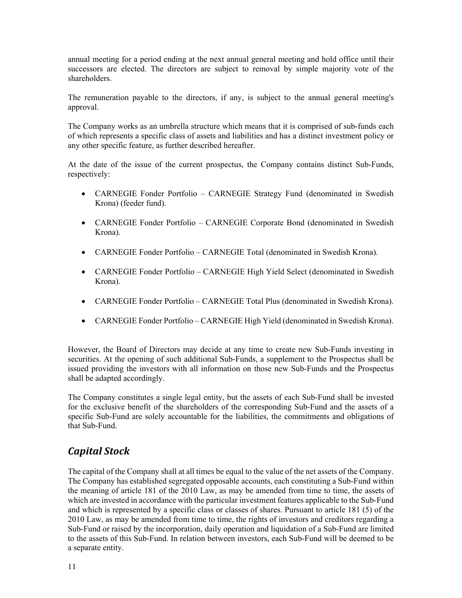annual meeting for a period ending at the next annual general meeting and hold office until their successors are elected. The directors are subject to removal by simple majority vote of the shareholders.

The remuneration payable to the directors, if any, is subject to the annual general meeting's approval.

The Company works as an umbrella structure which means that it is comprised of sub-funds each of which represents a specific class of assets and liabilities and has a distinct investment policy or any other specific feature, as further described hereafter.

At the date of the issue of the current prospectus, the Company contains distinct Sub-Funds, respectively:

- CARNEGIE Fonder Portfolio CARNEGIE Strategy Fund (denominated in Swedish Krona) (feeder fund).
- CARNEGIE Fonder Portfolio CARNEGIE Corporate Bond (denominated in Swedish Krona).
- CARNEGIE Fonder Portfolio CARNEGIE Total (denominated in Swedish Krona).
- CARNEGIE Fonder Portfolio CARNEGIE High Yield Select (denominated in Swedish Krona).
- CARNEGIE Fonder Portfolio CARNEGIE Total Plus (denominated in Swedish Krona).
- CARNEGIE Fonder Portfolio CARNEGIE High Yield (denominated in Swedish Krona).

However, the Board of Directors may decide at any time to create new Sub-Funds investing in securities. At the opening of such additional Sub-Funds, a supplement to the Prospectus shall be issued providing the investors with all information on those new Sub-Funds and the Prospectus shall be adapted accordingly.

The Company constitutes a single legal entity, but the assets of each Sub-Fund shall be invested for the exclusive benefit of the shareholders of the corresponding Sub-Fund and the assets of a specific Sub-Fund are solely accountable for the liabilities, the commitments and obligations of that Sub-Fund.

## *Capital Stock*

The capital of the Company shall at all times be equal to the value of the net assets of the Company. The Company has established segregated opposable accounts, each constituting a Sub-Fund within the meaning of article 181 of the 2010 Law, as may be amended from time to time, the assets of which are invested in accordance with the particular investment features applicable to the Sub-Fund and which is represented by a specific class or classes of shares. Pursuant to article 181 (5) of the 2010 Law, as may be amended from time to time, the rights of investors and creditors regarding a Sub-Fund or raised by the incorporation, daily operation and liquidation of a Sub-Fund are limited to the assets of this Sub-Fund. In relation between investors, each Sub-Fund will be deemed to be a separate entity.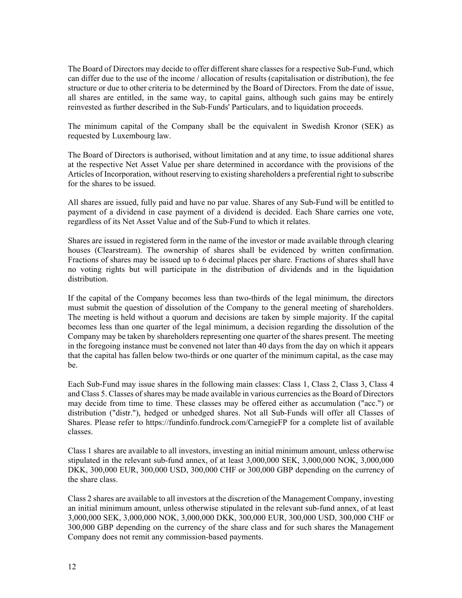The Board of Directors may decide to offer different share classes for a respective Sub-Fund, which can differ due to the use of the income / allocation of results (capitalisation or distribution), the fee structure or due to other criteria to be determined by the Board of Directors. From the date of issue, all shares are entitled, in the same way, to capital gains, although such gains may be entirely reinvested as further described in the Sub-Funds' Particulars, and to liquidation proceeds.

The minimum capital of the Company shall be the equivalent in Swedish Kronor (SEK) as requested by Luxembourg law.

The Board of Directors is authorised, without limitation and at any time, to issue additional shares at the respective Net Asset Value per share determined in accordance with the provisions of the Articles of Incorporation, without reserving to existing shareholders a preferential right to subscribe for the shares to be issued.

All shares are issued, fully paid and have no par value. Shares of any Sub-Fund will be entitled to payment of a dividend in case payment of a dividend is decided. Each Share carries one vote, regardless of its Net Asset Value and of the Sub-Fund to which it relates.

Shares are issued in registered form in the name of the investor or made available through clearing houses (Clearstream). The ownership of shares shall be evidenced by written confirmation. Fractions of shares may be issued up to 6 decimal places per share. Fractions of shares shall have no voting rights but will participate in the distribution of dividends and in the liquidation distribution.

If the capital of the Company becomes less than two-thirds of the legal minimum, the directors must submit the question of dissolution of the Company to the general meeting of shareholders. The meeting is held without a quorum and decisions are taken by simple majority. If the capital becomes less than one quarter of the legal minimum, a decision regarding the dissolution of the Company may be taken by shareholders representing one quarter of the shares present. The meeting in the foregoing instance must be convened not later than 40 days from the day on which it appears that the capital has fallen below two-thirds or one quarter of the minimum capital, as the case may be.

Each Sub-Fund may issue shares in the following main classes: Class 1, Class 2, Class 3, Class 4 and Class 5. Classes of shares may be made available in various currencies as the Board of Directors may decide from time to time. These classes may be offered either as accumulation ("acc.") or distribution ("distr."), hedged or unhedged shares. Not all Sub-Funds will offer all Classes of Shares. Please refer to https://fundinfo.fundrock.com/CarnegieFP for a complete list of available classes.

Class 1 shares are available to all investors, investing an initial minimum amount, unless otherwise stipulated in the relevant sub-fund annex, of at least 3,000,000 SEK, 3,000,000 NOK, 3,000,000 DKK, 300,000 EUR, 300,000 USD, 300,000 CHF or 300,000 GBP depending on the currency of the share class.

Class 2 shares are available to all investors at the discretion of the Management Company, investing an initial minimum amount, unless otherwise stipulated in the relevant sub-fund annex, of at least 3,000,000 SEK, 3,000,000 NOK, 3,000,000 DKK, 300,000 EUR, 300,000 USD, 300,000 CHF or 300,000 GBP depending on the currency of the share class and for such shares the Management Company does not remit any commission-based payments.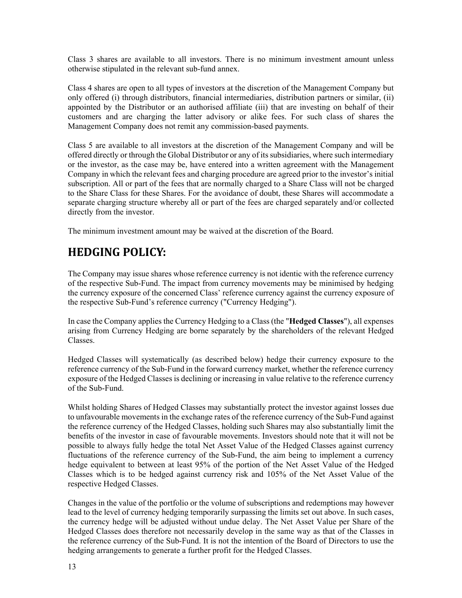Class 3 shares are available to all investors. There is no minimum investment amount unless otherwise stipulated in the relevant sub-fund annex.

Class 4 shares are open to all types of investors at the discretion of the Management Company but only offered (i) through distributors, financial intermediaries, distribution partners or similar, (ii) appointed by the Distributor or an authorised affiliate (iii) that are investing on behalf of their customers and are charging the latter advisory or alike fees. For such class of shares the Management Company does not remit any commission-based payments.

Class 5 are available to all investors at the discretion of the Management Company and will be offered directly or through the Global Distributor or any of its subsidiaries, where such intermediary or the investor, as the case may be, have entered into a written agreement with the Management Company in which the relevant fees and charging procedure are agreed prior to the investor's initial subscription. All or part of the fees that are normally charged to a Share Class will not be charged to the Share Class for these Shares. For the avoidance of doubt, these Shares will accommodate a separate charging structure whereby all or part of the fees are charged separately and/or collected directly from the investor.

The minimum investment amount may be waived at the discretion of the Board.

# **HEDGING POLICY:**

The Company may issue shares whose reference currency is not identic with the reference currency of the respective Sub-Fund. The impact from currency movements may be minimised by hedging the currency exposure of the concerned Class' reference currency against the currency exposure of the respective Sub-Fund's reference currency ("Currency Hedging").

In case the Company applies the Currency Hedging to a Class (the "**Hedged Classes**"), all expenses arising from Currency Hedging are borne separately by the shareholders of the relevant Hedged Classes.

Hedged Classes will systematically (as described below) hedge their currency exposure to the reference currency of the Sub-Fund in the forward currency market, whether the reference currency exposure of the Hedged Classes is declining or increasing in value relative to the reference currency of the Sub-Fund.

Whilst holding Shares of Hedged Classes may substantially protect the investor against losses due to unfavourable movements in the exchange rates of the reference currency of the Sub-Fund against the reference currency of the Hedged Classes, holding such Shares may also substantially limit the benefits of the investor in case of favourable movements. Investors should note that it will not be possible to always fully hedge the total Net Asset Value of the Hedged Classes against currency fluctuations of the reference currency of the Sub-Fund, the aim being to implement a currency hedge equivalent to between at least 95% of the portion of the Net Asset Value of the Hedged Classes which is to be hedged against currency risk and 105% of the Net Asset Value of the respective Hedged Classes.

Changes in the value of the portfolio or the volume of subscriptions and redemptions may however lead to the level of currency hedging temporarily surpassing the limits set out above. In such cases, the currency hedge will be adjusted without undue delay. The Net Asset Value per Share of the Hedged Classes does therefore not necessarily develop in the same way as that of the Classes in the reference currency of the Sub-Fund. It is not the intention of the Board of Directors to use the hedging arrangements to generate a further profit for the Hedged Classes.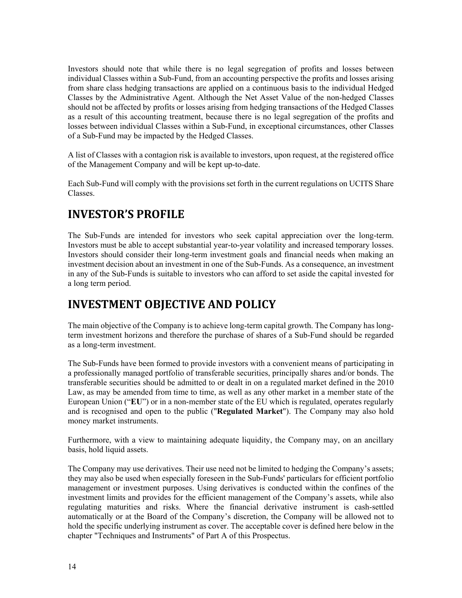Investors should note that while there is no legal segregation of profits and losses between individual Classes within a Sub-Fund, from an accounting perspective the profits and losses arising from share class hedging transactions are applied on a continuous basis to the individual Hedged Classes by the Administrative Agent. Although the Net Asset Value of the non-hedged Classes should not be affected by profits or losses arising from hedging transactions of the Hedged Classes as a result of this accounting treatment, because there is no legal segregation of the profits and losses between individual Classes within a Sub-Fund, in exceptional circumstances, other Classes of a Sub-Fund may be impacted by the Hedged Classes.

A list of Classes with a contagion risk is available to investors, upon request, at the registered office of the Management Company and will be kept up-to-date.

Each Sub-Fund will comply with the provisions set forth in the current regulations on UCITS Share Classes.

# **INVESTOR'S PROFILE**

The Sub-Funds are intended for investors who seek capital appreciation over the long-term. Investors must be able to accept substantial year-to-year volatility and increased temporary losses. Investors should consider their long-term investment goals and financial needs when making an investment decision about an investment in one of the Sub-Funds. As a consequence, an investment in any of the Sub-Funds is suitable to investors who can afford to set aside the capital invested for a long term period.

# **INVESTMENT OBJECTIVE AND POLICY**

The main objective of the Company is to achieve long-term capital growth. The Company has longterm investment horizons and therefore the purchase of shares of a Sub-Fund should be regarded as a long-term investment.

The Sub-Funds have been formed to provide investors with a convenient means of participating in a professionally managed portfolio of transferable securities, principally shares and/or bonds. The transferable securities should be admitted to or dealt in on a regulated market defined in the 2010 Law, as may be amended from time to time, as well as any other market in a member state of the European Union ("**EU**") or in a non-member state of the EU which is regulated, operates regularly and is recognised and open to the public ("**Regulated Market**"). The Company may also hold money market instruments.

Furthermore, with a view to maintaining adequate liquidity, the Company may, on an ancillary basis, hold liquid assets.

The Company may use derivatives. Their use need not be limited to hedging the Company's assets; they may also be used when especially foreseen in the Sub-Funds' particulars for efficient portfolio management or investment purposes. Using derivatives is conducted within the confines of the investment limits and provides for the efficient management of the Company's assets, while also regulating maturities and risks. Where the financial derivative instrument is cash-settled automatically or at the Board of the Company's discretion, the Company will be allowed not to hold the specific underlying instrument as cover. The acceptable cover is defined here below in the chapter "Techniques and Instruments" of Part A of this Prospectus.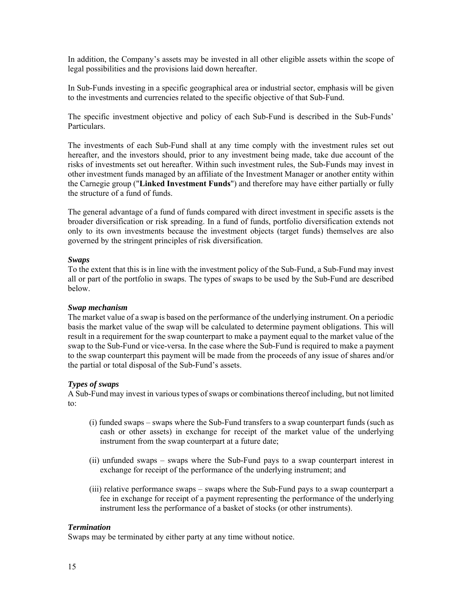In addition, the Company's assets may be invested in all other eligible assets within the scope of legal possibilities and the provisions laid down hereafter.

In Sub-Funds investing in a specific geographical area or industrial sector, emphasis will be given to the investments and currencies related to the specific objective of that Sub-Fund.

The specific investment objective and policy of each Sub-Fund is described in the Sub-Funds' Particulars.

The investments of each Sub-Fund shall at any time comply with the investment rules set out hereafter, and the investors should, prior to any investment being made, take due account of the risks of investments set out hereafter. Within such investment rules, the Sub-Funds may invest in other investment funds managed by an affiliate of the Investment Manager or another entity within the Carnegie group ("**Linked Investment Funds**") and therefore may have either partially or fully the structure of a fund of funds.

The general advantage of a fund of funds compared with direct investment in specific assets is the broader diversification or risk spreading. In a fund of funds, portfolio diversification extends not only to its own investments because the investment objects (target funds) themselves are also governed by the stringent principles of risk diversification.

#### *Swaps*

To the extent that this is in line with the investment policy of the Sub-Fund, a Sub-Fund may invest all or part of the portfolio in swaps. The types of swaps to be used by the Sub-Fund are described below.

#### *Swap mechanism*

The market value of a swap is based on the performance of the underlying instrument. On a periodic basis the market value of the swap will be calculated to determine payment obligations. This will result in a requirement for the swap counterpart to make a payment equal to the market value of the swap to the Sub-Fund or vice-versa. In the case where the Sub-Fund is required to make a payment to the swap counterpart this payment will be made from the proceeds of any issue of shares and/or the partial or total disposal of the Sub-Fund's assets.

#### *Types of swaps*

A Sub-Fund may invest in various types of swaps or combinations thereof including, but not limited to:

- (i) funded swaps swaps where the Sub-Fund transfers to a swap counterpart funds (such as cash or other assets) in exchange for receipt of the market value of the underlying instrument from the swap counterpart at a future date;
- (ii) unfunded swaps swaps where the Sub-Fund pays to a swap counterpart interest in exchange for receipt of the performance of the underlying instrument; and
- (iii) relative performance swaps swaps where the Sub-Fund pays to a swap counterpart a fee in exchange for receipt of a payment representing the performance of the underlying instrument less the performance of a basket of stocks (or other instruments).

#### *Termination*

Swaps may be terminated by either party at any time without notice.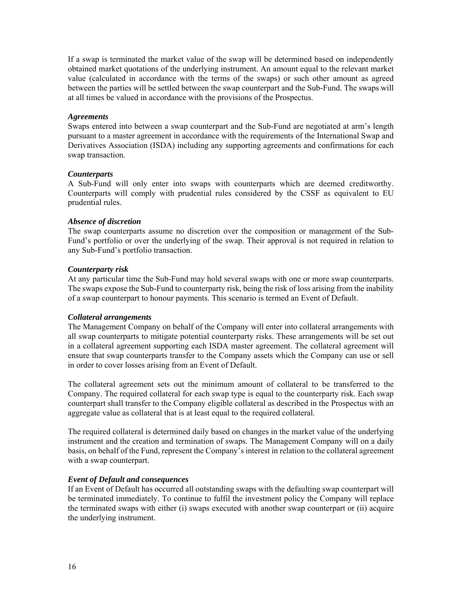If a swap is terminated the market value of the swap will be determined based on independently obtained market quotations of the underlying instrument. An amount equal to the relevant market value (calculated in accordance with the terms of the swaps) or such other amount as agreed between the parties will be settled between the swap counterpart and the Sub-Fund. The swaps will at all times be valued in accordance with the provisions of the Prospectus.

#### *Agreements*

Swaps entered into between a swap counterpart and the Sub-Fund are negotiated at arm's length pursuant to a master agreement in accordance with the requirements of the International Swap and Derivatives Association (ISDA) including any supporting agreements and confirmations for each swap transaction.

#### *Counterparts*

A Sub-Fund will only enter into swaps with counterparts which are deemed creditworthy. Counterparts will comply with prudential rules considered by the CSSF as equivalent to EU prudential rules.

#### *Absence of discretion*

The swap counterparts assume no discretion over the composition or management of the Sub-Fund's portfolio or over the underlying of the swap. Their approval is not required in relation to any Sub-Fund's portfolio transaction.

#### *Counterparty risk*

At any particular time the Sub-Fund may hold several swaps with one or more swap counterparts. The swaps expose the Sub-Fund to counterparty risk, being the risk of loss arising from the inability of a swap counterpart to honour payments. This scenario is termed an Event of Default.

#### *Collateral arrangements*

The Management Company on behalf of the Company will enter into collateral arrangements with all swap counterparts to mitigate potential counterparty risks. These arrangements will be set out in a collateral agreement supporting each ISDA master agreement. The collateral agreement will ensure that swap counterparts transfer to the Company assets which the Company can use or sell in order to cover losses arising from an Event of Default.

The collateral agreement sets out the minimum amount of collateral to be transferred to the Company. The required collateral for each swap type is equal to the counterparty risk. Each swap counterpart shall transfer to the Company eligible collateral as described in the Prospectus with an aggregate value as collateral that is at least equal to the required collateral.

The required collateral is determined daily based on changes in the market value of the underlying instrument and the creation and termination of swaps. The Management Company will on a daily basis, on behalf of the Fund, represent the Company's interest in relation to the collateral agreement with a swap counterpart.

#### *Event of Default and consequences*

If an Event of Default has occurred all outstanding swaps with the defaulting swap counterpart will be terminated immediately. To continue to fulfil the investment policy the Company will replace the terminated swaps with either (i) swaps executed with another swap counterpart or (ii) acquire the underlying instrument.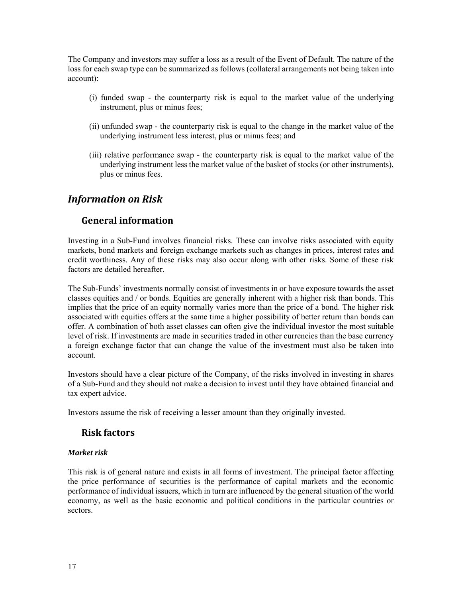The Company and investors may suffer a loss as a result of the Event of Default. The nature of the loss for each swap type can be summarized as follows (collateral arrangements not being taken into account):

- (i) funded swap the counterparty risk is equal to the market value of the underlying instrument, plus or minus fees;
- (ii) unfunded swap the counterparty risk is equal to the change in the market value of the underlying instrument less interest, plus or minus fees; and
- (iii) relative performance swap the counterparty risk is equal to the market value of the underlying instrument less the market value of the basket of stocks (or other instruments), plus or minus fees.

## *Information on Risk*

## **General information**

Investing in a Sub-Fund involves financial risks. These can involve risks associated with equity markets, bond markets and foreign exchange markets such as changes in prices, interest rates and credit worthiness. Any of these risks may also occur along with other risks. Some of these risk factors are detailed hereafter.

The Sub-Funds' investments normally consist of investments in or have exposure towards the asset classes equities and / or bonds. Equities are generally inherent with a higher risk than bonds. This implies that the price of an equity normally varies more than the price of a bond. The higher risk associated with equities offers at the same time a higher possibility of better return than bonds can offer. A combination of both asset classes can often give the individual investor the most suitable level of risk. If investments are made in securities traded in other currencies than the base currency a foreign exchange factor that can change the value of the investment must also be taken into account.

Investors should have a clear picture of the Company, of the risks involved in investing in shares of a Sub-Fund and they should not make a decision to invest until they have obtained financial and tax expert advice.

Investors assume the risk of receiving a lesser amount than they originally invested.

## **Risk factors**

### *Market risk*

This risk is of general nature and exists in all forms of investment. The principal factor affecting the price performance of securities is the performance of capital markets and the economic performance of individual issuers, which in turn are influenced by the general situation of the world economy, as well as the basic economic and political conditions in the particular countries or sectors.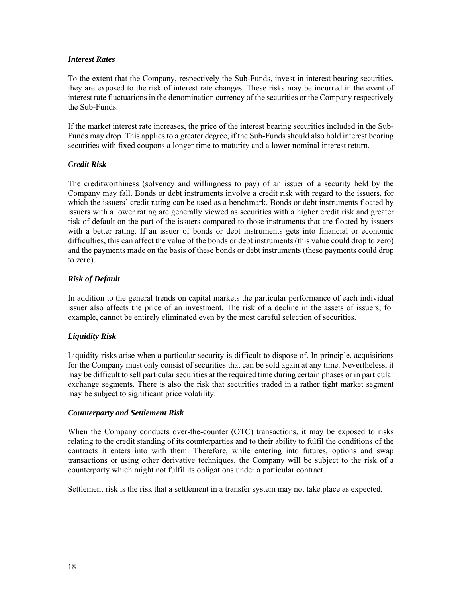#### *Interest Rates*

To the extent that the Company, respectively the Sub-Funds, invest in interest bearing securities, they are exposed to the risk of interest rate changes. These risks may be incurred in the event of interest rate fluctuations in the denomination currency of the securities or the Company respectively the Sub-Funds.

If the market interest rate increases, the price of the interest bearing securities included in the Sub-Funds may drop. This applies to a greater degree, if the Sub-Funds should also hold interest bearing securities with fixed coupons a longer time to maturity and a lower nominal interest return.

### *Credit Risk*

The creditworthiness (solvency and willingness to pay) of an issuer of a security held by the Company may fall. Bonds or debt instruments involve a credit risk with regard to the issuers, for which the issuers' credit rating can be used as a benchmark. Bonds or debt instruments floated by issuers with a lower rating are generally viewed as securities with a higher credit risk and greater risk of default on the part of the issuers compared to those instruments that are floated by issuers with a better rating. If an issuer of bonds or debt instruments gets into financial or economic difficulties, this can affect the value of the bonds or debt instruments (this value could drop to zero) and the payments made on the basis of these bonds or debt instruments (these payments could drop to zero).

#### *Risk of Default*

In addition to the general trends on capital markets the particular performance of each individual issuer also affects the price of an investment. The risk of a decline in the assets of issuers, for example, cannot be entirely eliminated even by the most careful selection of securities.

### *Liquidity Risk*

Liquidity risks arise when a particular security is difficult to dispose of. In principle, acquisitions for the Company must only consist of securities that can be sold again at any time. Nevertheless, it may be difficult to sell particular securities at the required time during certain phases or in particular exchange segments. There is also the risk that securities traded in a rather tight market segment may be subject to significant price volatility.

### *Counterparty and Settlement Risk*

When the Company conducts over-the-counter (OTC) transactions, it may be exposed to risks relating to the credit standing of its counterparties and to their ability to fulfil the conditions of the contracts it enters into with them. Therefore, while entering into futures, options and swap transactions or using other derivative techniques, the Company will be subject to the risk of a counterparty which might not fulfil its obligations under a particular contract.

Settlement risk is the risk that a settlement in a transfer system may not take place as expected.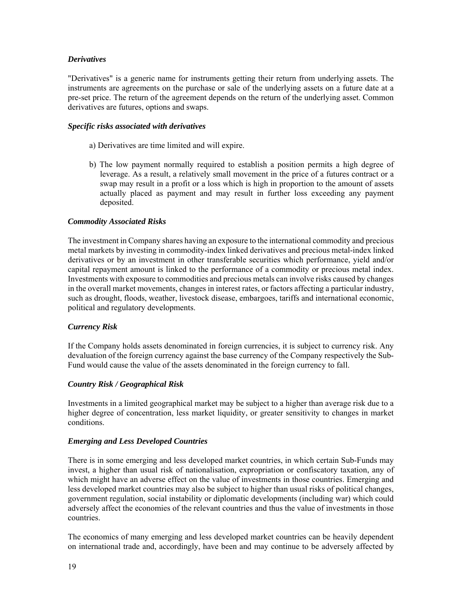#### *Derivatives*

"Derivatives" is a generic name for instruments getting their return from underlying assets. The instruments are agreements on the purchase or sale of the underlying assets on a future date at a pre-set price. The return of the agreement depends on the return of the underlying asset. Common derivatives are futures, options and swaps.

#### *Specific risks associated with derivatives*

- a) Derivatives are time limited and will expire.
- b) The low payment normally required to establish a position permits a high degree of leverage. As a result, a relatively small movement in the price of a futures contract or a swap may result in a profit or a loss which is high in proportion to the amount of assets actually placed as payment and may result in further loss exceeding any payment deposited.

#### *Commodity Associated Risks*

The investment in Company shares having an exposure to the international commodity and precious metal markets by investing in commodity-index linked derivatives and precious metal-index linked derivatives or by an investment in other transferable securities which performance, yield and/or capital repayment amount is linked to the performance of a commodity or precious metal index. Investments with exposure to commodities and precious metals can involve risks caused by changes in the overall market movements, changes in interest rates, or factors affecting a particular industry, such as drought, floods, weather, livestock disease, embargoes, tariffs and international economic, political and regulatory developments.

#### *Currency Risk*

If the Company holds assets denominated in foreign currencies, it is subject to currency risk. Any devaluation of the foreign currency against the base currency of the Company respectively the Sub-Fund would cause the value of the assets denominated in the foreign currency to fall.

#### *Country Risk / Geographical Risk*

Investments in a limited geographical market may be subject to a higher than average risk due to a higher degree of concentration, less market liquidity, or greater sensitivity to changes in market conditions.

#### *Emerging and Less Developed Countries*

There is in some emerging and less developed market countries, in which certain Sub-Funds may invest, a higher than usual risk of nationalisation, expropriation or confiscatory taxation, any of which might have an adverse effect on the value of investments in those countries. Emerging and less developed market countries may also be subject to higher than usual risks of political changes, government regulation, social instability or diplomatic developments (including war) which could adversely affect the economies of the relevant countries and thus the value of investments in those countries.

The economics of many emerging and less developed market countries can be heavily dependent on international trade and, accordingly, have been and may continue to be adversely affected by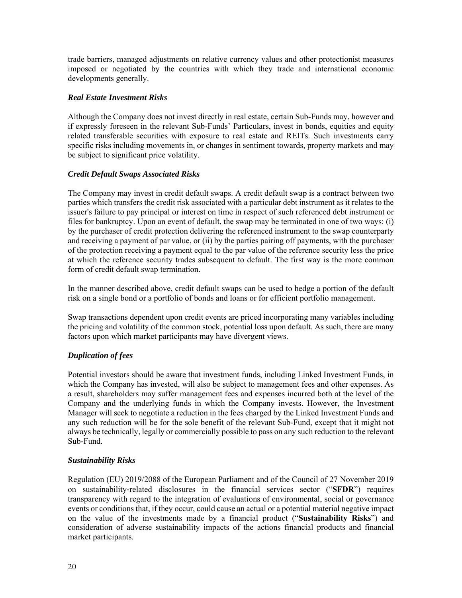trade barriers, managed adjustments on relative currency values and other protectionist measures imposed or negotiated by the countries with which they trade and international economic developments generally.

#### *Real Estate Investment Risks*

Although the Company does not invest directly in real estate, certain Sub-Funds may, however and if expressly foreseen in the relevant Sub-Funds' Particulars, invest in bonds, equities and equity related transferable securities with exposure to real estate and REITs. Such investments carry specific risks including movements in, or changes in sentiment towards, property markets and may be subject to significant price volatility.

#### *Credit Default Swaps Associated Risks*

The Company may invest in credit default swaps. A credit default swap is a contract between two parties which transfers the credit risk associated with a particular debt instrument as it relates to the issuer's failure to pay principal or interest on time in respect of such referenced debt instrument or files for bankruptcy. Upon an event of default, the swap may be terminated in one of two ways: (i) by the purchaser of credit protection delivering the referenced instrument to the swap counterparty and receiving a payment of par value, or (ii) by the parties pairing off payments, with the purchaser of the protection receiving a payment equal to the par value of the reference security less the price at which the reference security trades subsequent to default. The first way is the more common form of credit default swap termination.

In the manner described above, credit default swaps can be used to hedge a portion of the default risk on a single bond or a portfolio of bonds and loans or for efficient portfolio management.

Swap transactions dependent upon credit events are priced incorporating many variables including the pricing and volatility of the common stock, potential loss upon default. As such, there are many factors upon which market participants may have divergent views.

### *Duplication of fees*

Potential investors should be aware that investment funds, including Linked Investment Funds, in which the Company has invested, will also be subject to management fees and other expenses. As a result, shareholders may suffer management fees and expenses incurred both at the level of the Company and the underlying funds in which the Company invests. However, the Investment Manager will seek to negotiate a reduction in the fees charged by the Linked Investment Funds and any such reduction will be for the sole benefit of the relevant Sub-Fund, except that it might not always be technically, legally or commercially possible to pass on any such reduction to the relevant Sub-Fund.

#### *Sustainability Risks*

Regulation (EU) 2019/2088 of the European Parliament and of the Council of 27 November 2019 on sustainability‐related disclosures in the financial services sector ("**SFDR**") requires transparency with regard to the integration of evaluations of environmental, social or governance events or conditions that, if they occur, could cause an actual or a potential material negative impact on the value of the investments made by a financial product ("**Sustainability Risks**") and consideration of adverse sustainability impacts of the actions financial products and financial market participants.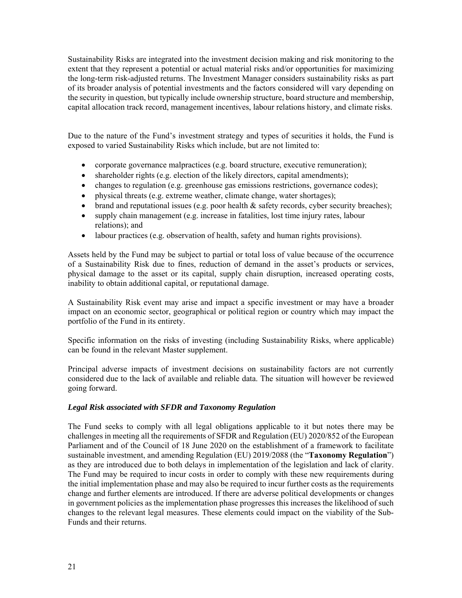Sustainability Risks are integrated into the investment decision making and risk monitoring to the extent that they represent a potential or actual material risks and/or opportunities for maximizing the long-term risk-adjusted returns. The Investment Manager considers sustainability risks as part of its broader analysis of potential investments and the factors considered will vary depending on the security in question, but typically include ownership structure, board structure and membership, capital allocation track record, management incentives, labour relations history, and climate risks.

Due to the nature of the Fund's investment strategy and types of securities it holds, the Fund is exposed to varied Sustainability Risks which include, but are not limited to:

- corporate governance malpractices (e.g. board structure, executive remuneration);
- shareholder rights (e.g. election of the likely directors, capital amendments);
- changes to regulation (e.g. greenhouse gas emissions restrictions, governance codes);
- physical threats (e.g. extreme weather, climate change, water shortages);
- brand and reputational issues (e.g. poor health  $\&$  safety records, cyber security breaches);
- supply chain management (e.g. increase in fatalities, lost time injury rates, labour relations); and
- labour practices (e.g. observation of health, safety and human rights provisions).

Assets held by the Fund may be subject to partial or total loss of value because of the occurrence of a Sustainability Risk due to fines, reduction of demand in the asset's products or services, physical damage to the asset or its capital, supply chain disruption, increased operating costs, inability to obtain additional capital, or reputational damage.

A Sustainability Risk event may arise and impact a specific investment or may have a broader impact on an economic sector, geographical or political region or country which may impact the portfolio of the Fund in its entirety.

Specific information on the risks of investing (including Sustainability Risks, where applicable) can be found in the relevant Master supplement.

Principal adverse impacts of investment decisions on sustainability factors are not currently considered due to the lack of available and reliable data. The situation will however be reviewed going forward.

### *Legal Risk associated with SFDR and Taxonomy Regulation*

The Fund seeks to comply with all legal obligations applicable to it but notes there may be challenges in meeting all the requirements of SFDR and Regulation (EU) 2020/852 of the European Parliament and of the Council of 18 June 2020 on the establishment of a framework to facilitate sustainable investment, and amending Regulation (EU) 2019/2088 (the "**Taxonomy Regulation**") as they are introduced due to both delays in implementation of the legislation and lack of clarity. The Fund may be required to incur costs in order to comply with these new requirements during the initial implementation phase and may also be required to incur further costs as the requirements change and further elements are introduced. If there are adverse political developments or changes in government policies as the implementation phase progresses this increases the likelihood of such changes to the relevant legal measures. These elements could impact on the viability of the Sub-Funds and their returns.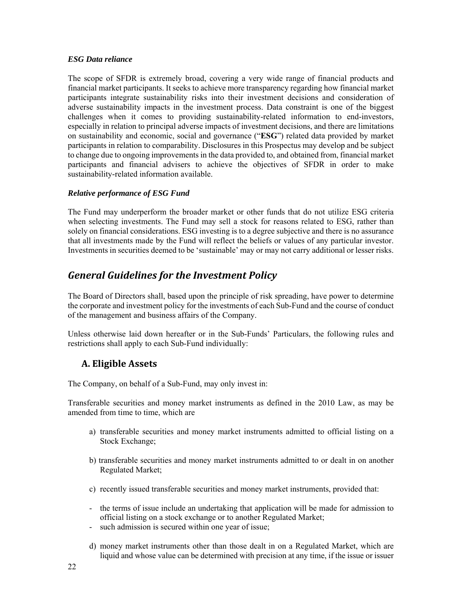#### *ESG Data reliance*

The scope of SFDR is extremely broad, covering a very wide range of financial products and financial market participants. It seeks to achieve more transparency regarding how financial market participants integrate sustainability risks into their investment decisions and consideration of adverse sustainability impacts in the investment process. Data constraint is one of the biggest challenges when it comes to providing sustainability-related information to end-investors, especially in relation to principal adverse impacts of investment decisions, and there are limitations on sustainability and economic, social and governance ("**ESG**") related data provided by market participants in relation to comparability. Disclosures in this Prospectus may develop and be subject to change due to ongoing improvements in the data provided to, and obtained from, financial market participants and financial advisers to achieve the objectives of SFDR in order to make sustainability-related information available.

### *Relative performance of ESG Fund*

The Fund may underperform the broader market or other funds that do not utilize ESG criteria when selecting investments. The Fund may sell a stock for reasons related to ESG, rather than solely on financial considerations. ESG investing is to a degree subjective and there is no assurance that all investments made by the Fund will reflect the beliefs or values of any particular investor. Investments in securities deemed to be 'sustainable' may or may not carry additional or lesser risks.

# *General Guidelines for the Investment Policy*

The Board of Directors shall, based upon the principle of risk spreading, have power to determine the corporate and investment policy for the investments of each Sub-Fund and the course of conduct of the management and business affairs of the Company.

Unless otherwise laid down hereafter or in the Sub-Funds' Particulars, the following rules and restrictions shall apply to each Sub-Fund individually:

## **A. Eligible Assets**

The Company, on behalf of a Sub-Fund, may only invest in:

Transferable securities and money market instruments as defined in the 2010 Law, as may be amended from time to time, which are

- a) transferable securities and money market instruments admitted to official listing on a Stock Exchange;
- b) transferable securities and money market instruments admitted to or dealt in on another Regulated Market;
- c) recently issued transferable securities and money market instruments, provided that:
- the terms of issue include an undertaking that application will be made for admission to official listing on a stock exchange or to another Regulated Market;
- such admission is secured within one year of issue;
- d) money market instruments other than those dealt in on a Regulated Market, which are liquid and whose value can be determined with precision at any time, if the issue or issuer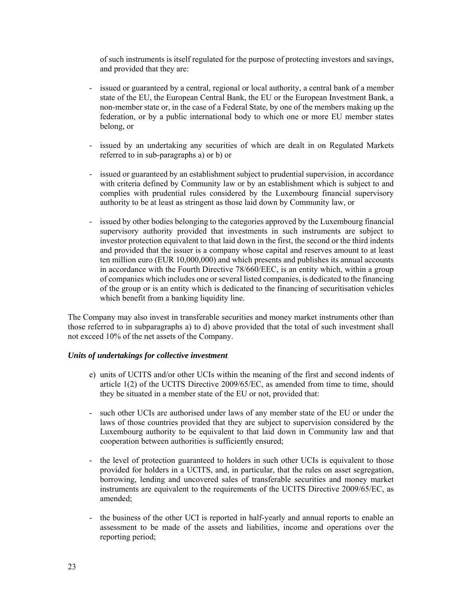of such instruments is itself regulated for the purpose of protecting investors and savings, and provided that they are:

- issued or guaranteed by a central, regional or local authority, a central bank of a member state of the EU, the European Central Bank, the EU or the European Investment Bank, a non-member state or, in the case of a Federal State, by one of the members making up the federation, or by a public international body to which one or more EU member states belong, or
- issued by an undertaking any securities of which are dealt in on Regulated Markets referred to in sub-paragraphs a) or b) or
- issued or guaranteed by an establishment subject to prudential supervision, in accordance with criteria defined by Community law or by an establishment which is subject to and complies with prudential rules considered by the Luxembourg financial supervisory authority to be at least as stringent as those laid down by Community law, or
- issued by other bodies belonging to the categories approved by the Luxembourg financial supervisory authority provided that investments in such instruments are subject to investor protection equivalent to that laid down in the first, the second or the third indents and provided that the issuer is a company whose capital and reserves amount to at least ten million euro (EUR 10,000,000) and which presents and publishes its annual accounts in accordance with the Fourth Directive 78/660/EEC, is an entity which, within a group of companies which includes one or several listed companies, is dedicated to the financing of the group or is an entity which is dedicated to the financing of securitisation vehicles which benefit from a banking liquidity line.

The Company may also invest in transferable securities and money market instruments other than those referred to in subparagraphs a) to d) above provided that the total of such investment shall not exceed 10% of the net assets of the Company.

#### *Units of undertakings for collective investment*

- e) units of UCITS and/or other UCIs within the meaning of the first and second indents of article 1(2) of the UCITS Directive 2009/65/EC, as amended from time to time, should they be situated in a member state of the EU or not, provided that:
- such other UCIs are authorised under laws of any member state of the EU or under the laws of those countries provided that they are subject to supervision considered by the Luxembourg authority to be equivalent to that laid down in Community law and that cooperation between authorities is sufficiently ensured;
- the level of protection guaranteed to holders in such other UCIs is equivalent to those provided for holders in a UCITS, and, in particular, that the rules on asset segregation, borrowing, lending and uncovered sales of transferable securities and money market instruments are equivalent to the requirements of the UCITS Directive 2009/65/EC, as amended;
- the business of the other UCI is reported in half-yearly and annual reports to enable an assessment to be made of the assets and liabilities, income and operations over the reporting period;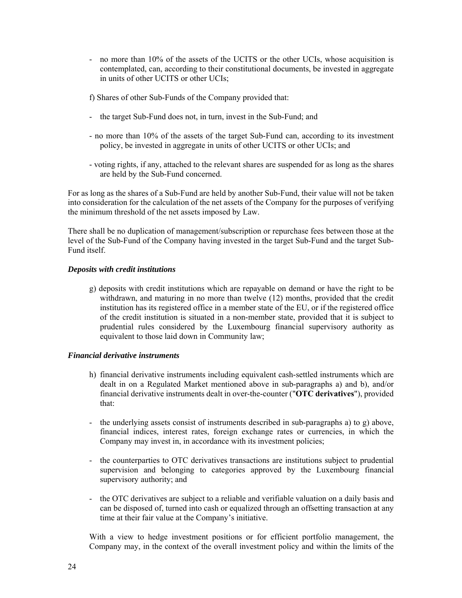- no more than 10% of the assets of the UCITS or the other UCIs, whose acquisition is contemplated, can, according to their constitutional documents, be invested in aggregate in units of other UCITS or other UCIs;

f) Shares of other Sub-Funds of the Company provided that:

- the target Sub-Fund does not, in turn, invest in the Sub-Fund; and
- no more than 10% of the assets of the target Sub-Fund can, according to its investment policy, be invested in aggregate in units of other UCITS or other UCIs; and
- voting rights, if any, attached to the relevant shares are suspended for as long as the shares are held by the Sub-Fund concerned.

For as long as the shares of a Sub-Fund are held by another Sub-Fund, their value will not be taken into consideration for the calculation of the net assets of the Company for the purposes of verifying the minimum threshold of the net assets imposed by Law.

There shall be no duplication of management/subscription or repurchase fees between those at the level of the Sub-Fund of the Company having invested in the target Sub-Fund and the target Sub-Fund itself.

#### *Deposits with credit institutions*

g) deposits with credit institutions which are repayable on demand or have the right to be withdrawn, and maturing in no more than twelve (12) months, provided that the credit institution has its registered office in a member state of the EU, or if the registered office of the credit institution is situated in a non-member state, provided that it is subject to prudential rules considered by the Luxembourg financial supervisory authority as equivalent to those laid down in Community law;

#### *Financial derivative instruments*

- h) financial derivative instruments including equivalent cash-settled instruments which are dealt in on a Regulated Market mentioned above in sub-paragraphs a) and b), and/or financial derivative instruments dealt in over-the-counter ("**OTC derivatives**"), provided that:
- the underlying assets consist of instruments described in sub-paragraphs a) to g) above, financial indices, interest rates, foreign exchange rates or currencies, in which the Company may invest in, in accordance with its investment policies;
- the counterparties to OTC derivatives transactions are institutions subject to prudential supervision and belonging to categories approved by the Luxembourg financial supervisory authority; and
- the OTC derivatives are subject to a reliable and verifiable valuation on a daily basis and can be disposed of, turned into cash or equalized through an offsetting transaction at any time at their fair value at the Company's initiative.

With a view to hedge investment positions or for efficient portfolio management, the Company may, in the context of the overall investment policy and within the limits of the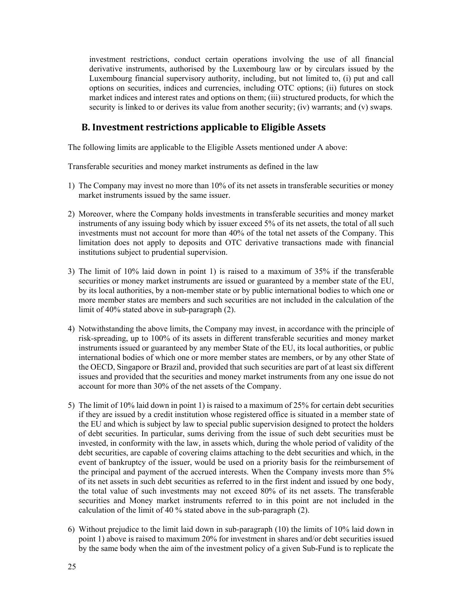investment restrictions, conduct certain operations involving the use of all financial derivative instruments, authorised by the Luxembourg law or by circulars issued by the Luxembourg financial supervisory authority, including, but not limited to, (i) put and call options on securities, indices and currencies, including OTC options; (ii) futures on stock market indices and interest rates and options on them; (iii) structured products, for which the security is linked to or derives its value from another security; (iv) warrants; and (v) swaps.

## **B. Investment restrictions applicable to Eligible Assets**

The following limits are applicable to the Eligible Assets mentioned under A above:

Transferable securities and money market instruments as defined in the law

- 1) The Company may invest no more than 10% of its net assets in transferable securities or money market instruments issued by the same issuer.
- 2) Moreover, where the Company holds investments in transferable securities and money market instruments of any issuing body which by issuer exceed 5% of its net assets, the total of all such investments must not account for more than 40% of the total net assets of the Company. This limitation does not apply to deposits and OTC derivative transactions made with financial institutions subject to prudential supervision.
- 3) The limit of 10% laid down in point 1) is raised to a maximum of 35% if the transferable securities or money market instruments are issued or guaranteed by a member state of the EU, by its local authorities, by a non-member state or by public international bodies to which one or more member states are members and such securities are not included in the calculation of the limit of 40% stated above in sub-paragraph (2).
- 4) Notwithstanding the above limits, the Company may invest, in accordance with the principle of risk-spreading, up to 100% of its assets in different transferable securities and money market instruments issued or guaranteed by any member State of the EU, its local authorities, or public international bodies of which one or more member states are members, or by any other State of the OECD, Singapore or Brazil and, provided that such securities are part of at least six different issues and provided that the securities and money market instruments from any one issue do not account for more than 30% of the net assets of the Company.
- 5) The limit of 10% laid down in point 1) is raised to a maximum of 25% for certain debt securities if they are issued by a credit institution whose registered office is situated in a member state of the EU and which is subject by law to special public supervision designed to protect the holders of debt securities. In particular, sums deriving from the issue of such debt securities must be invested, in conformity with the law, in assets which, during the whole period of validity of the debt securities, are capable of covering claims attaching to the debt securities and which, in the event of bankruptcy of the issuer, would be used on a priority basis for the reimbursement of the principal and payment of the accrued interests. When the Company invests more than 5% of its net assets in such debt securities as referred to in the first indent and issued by one body, the total value of such investments may not exceed 80% of its net assets. The transferable securities and Money market instruments referred to in this point are not included in the calculation of the limit of 40 % stated above in the sub-paragraph (2).
- 6) Without prejudice to the limit laid down in sub-paragraph (10) the limits of 10% laid down in point 1) above is raised to maximum 20% for investment in shares and/or debt securities issued by the same body when the aim of the investment policy of a given Sub-Fund is to replicate the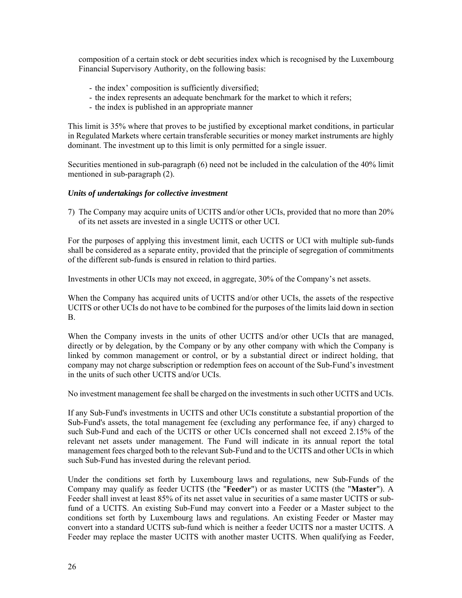composition of a certain stock or debt securities index which is recognised by the Luxembourg Financial Supervisory Authority, on the following basis:

- the index' composition is sufficiently diversified;
- the index represents an adequate benchmark for the market to which it refers;
- the index is published in an appropriate manner

This limit is 35% where that proves to be justified by exceptional market conditions, in particular in Regulated Markets where certain transferable securities or money market instruments are highly dominant. The investment up to this limit is only permitted for a single issuer.

Securities mentioned in sub-paragraph (6) need not be included in the calculation of the 40% limit mentioned in sub-paragraph (2).

#### *Units of undertakings for collective investment*

7) The Company may acquire units of UCITS and/or other UCIs, provided that no more than 20% of its net assets are invested in a single UCITS or other UCI.

For the purposes of applying this investment limit, each UCITS or UCI with multiple sub-funds shall be considered as a separate entity, provided that the principle of segregation of commitments of the different sub-funds is ensured in relation to third parties.

Investments in other UCIs may not exceed, in aggregate, 30% of the Company's net assets.

When the Company has acquired units of UCITS and/or other UCIs, the assets of the respective UCITS or other UCIs do not have to be combined for the purposes of the limits laid down in section B.

When the Company invests in the units of other UCITS and/or other UCIs that are managed, directly or by delegation, by the Company or by any other company with which the Company is linked by common management or control, or by a substantial direct or indirect holding, that company may not charge subscription or redemption fees on account of the Sub-Fund's investment in the units of such other UCITS and/or UCIs.

No investment management fee shall be charged on the investments in such other UCITS and UCIs.

If any Sub-Fund's investments in UCITS and other UCIs constitute a substantial proportion of the Sub-Fund's assets, the total management fee (excluding any performance fee, if any) charged to such Sub-Fund and each of the UCITS or other UCIs concerned shall not exceed 2.15% of the relevant net assets under management. The Fund will indicate in its annual report the total management fees charged both to the relevant Sub-Fund and to the UCITS and other UCIs in which such Sub-Fund has invested during the relevant period.

Under the conditions set forth by Luxembourg laws and regulations, new Sub-Funds of the Company may qualify as feeder UCITS (the "**Feeder**") or as master UCITS (the "**Master**"). A Feeder shall invest at least 85% of its net asset value in securities of a same master UCITS or subfund of a UCITS. An existing Sub-Fund may convert into a Feeder or a Master subject to the conditions set forth by Luxembourg laws and regulations. An existing Feeder or Master may convert into a standard UCITS sub-fund which is neither a feeder UCITS nor a master UCITS. A Feeder may replace the master UCITS with another master UCITS. When qualifying as Feeder,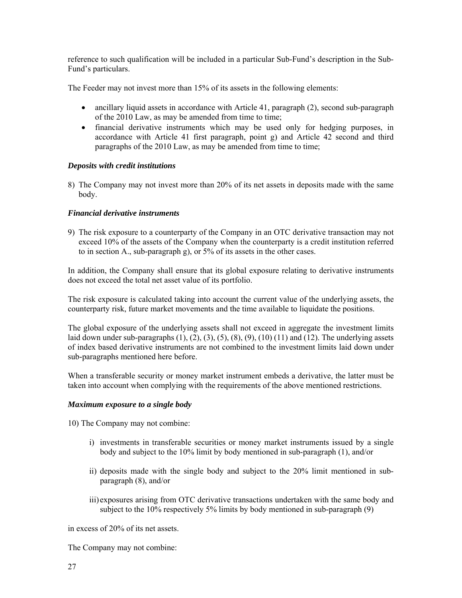reference to such qualification will be included in a particular Sub-Fund's description in the Sub-Fund's particulars.

The Feeder may not invest more than 15% of its assets in the following elements:

- ancillary liquid assets in accordance with Article 41, paragraph (2), second sub-paragraph of the 2010 Law, as may be amended from time to time;
- financial derivative instruments which may be used only for hedging purposes, in accordance with Article 41 first paragraph, point g) and Article 42 second and third paragraphs of the 2010 Law, as may be amended from time to time;

#### *Deposits with credit institutions*

8) The Company may not invest more than 20% of its net assets in deposits made with the same body.

#### *Financial derivative instruments*

9) The risk exposure to a counterparty of the Company in an OTC derivative transaction may not exceed 10% of the assets of the Company when the counterparty is a credit institution referred to in section A., sub-paragraph g), or 5% of its assets in the other cases.

In addition, the Company shall ensure that its global exposure relating to derivative instruments does not exceed the total net asset value of its portfolio.

The risk exposure is calculated taking into account the current value of the underlying assets, the counterparty risk, future market movements and the time available to liquidate the positions.

The global exposure of the underlying assets shall not exceed in aggregate the investment limits laid down under sub-paragraphs  $(1)$ ,  $(2)$ ,  $(3)$ ,  $(5)$ ,  $(8)$ ,  $(9)$ ,  $(10)$   $(11)$  and  $(12)$ . The underlying assets of index based derivative instruments are not combined to the investment limits laid down under sub-paragraphs mentioned here before.

When a transferable security or money market instrument embeds a derivative, the latter must be taken into account when complying with the requirements of the above mentioned restrictions.

#### *Maximum exposure to a single body*

10) The Company may not combine:

- i) investments in transferable securities or money market instruments issued by a single body and subject to the 10% limit by body mentioned in sub-paragraph (1), and/or
- ii) deposits made with the single body and subject to the 20% limit mentioned in subparagraph (8), and/or
- iii) exposures arising from OTC derivative transactions undertaken with the same body and subject to the 10% respectively 5% limits by body mentioned in sub-paragraph (9)

in excess of 20% of its net assets.

The Company may not combine: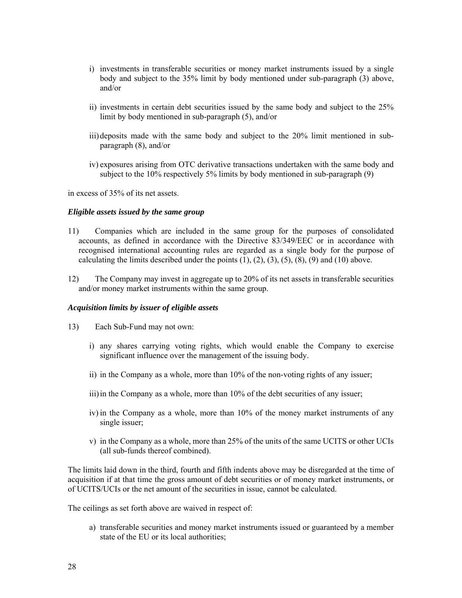- i) investments in transferable securities or money market instruments issued by a single body and subject to the 35% limit by body mentioned under sub-paragraph (3) above, and/or
- ii) investments in certain debt securities issued by the same body and subject to the 25% limit by body mentioned in sub-paragraph (5), and/or
- iii) deposits made with the same body and subject to the 20% limit mentioned in subparagraph (8), and/or
- iv) exposures arising from OTC derivative transactions undertaken with the same body and subject to the 10% respectively 5% limits by body mentioned in sub-paragraph (9)

in excess of 35% of its net assets.

#### *Eligible assets issued by the same group*

- 11) Companies which are included in the same group for the purposes of consolidated accounts, as defined in accordance with the Directive 83/349/EEC or in accordance with recognised international accounting rules are regarded as a single body for the purpose of calculating the limits described under the points  $(1)$ ,  $(2)$ ,  $(3)$ ,  $(5)$ ,  $(8)$ ,  $(9)$  and  $(10)$  above.
- 12) The Company may invest in aggregate up to 20% of its net assets in transferable securities and/or money market instruments within the same group.

#### *Acquisition limits by issuer of eligible assets*

- 13) Each Sub-Fund may not own:
	- i) any shares carrying voting rights, which would enable the Company to exercise significant influence over the management of the issuing body.
	- ii) in the Company as a whole, more than 10% of the non-voting rights of any issuer;
	- iii) in the Company as a whole, more than 10% of the debt securities of any issuer;
	- iv) in the Company as a whole, more than 10% of the money market instruments of any single issuer;
	- v) in the Company as a whole, more than 25% of the units of the same UCITS or other UCIs (all sub-funds thereof combined).

The limits laid down in the third, fourth and fifth indents above may be disregarded at the time of acquisition if at that time the gross amount of debt securities or of money market instruments, or of UCITS/UCIs or the net amount of the securities in issue, cannot be calculated.

The ceilings as set forth above are waived in respect of:

a) transferable securities and money market instruments issued or guaranteed by a member state of the EU or its local authorities;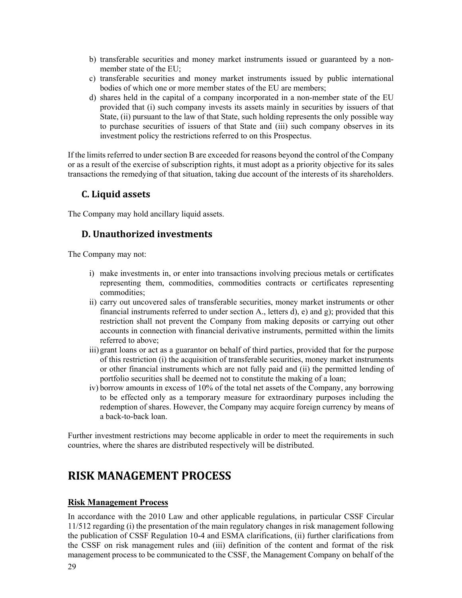- b) transferable securities and money market instruments issued or guaranteed by a nonmember state of the EU;
- c) transferable securities and money market instruments issued by public international bodies of which one or more member states of the EU are members;
- d) shares held in the capital of a company incorporated in a non-member state of the EU provided that (i) such company invests its assets mainly in securities by issuers of that State, (ii) pursuant to the law of that State, such holding represents the only possible way to purchase securities of issuers of that State and (iii) such company observes in its investment policy the restrictions referred to on this Prospectus.

If the limits referred to under section B are exceeded for reasons beyond the control of the Company or as a result of the exercise of subscription rights, it must adopt as a priority objective for its sales transactions the remedying of that situation, taking due account of the interests of its shareholders.

## **C. Liquid assets**

The Company may hold ancillary liquid assets.

## **D. Unauthorized investments**

The Company may not:

- i) make investments in, or enter into transactions involving precious metals or certificates representing them, commodities, commodities contracts or certificates representing commodities;
- ii) carry out uncovered sales of transferable securities, money market instruments or other financial instruments referred to under section A., letters d), e) and g); provided that this restriction shall not prevent the Company from making deposits or carrying out other accounts in connection with financial derivative instruments, permitted within the limits referred to above;
- iii) grant loans or act as a guarantor on behalf of third parties, provided that for the purpose of this restriction (i) the acquisition of transferable securities, money market instruments or other financial instruments which are not fully paid and (ii) the permitted lending of portfolio securities shall be deemed not to constitute the making of a loan;
- iv) borrow amounts in excess of 10% of the total net assets of the Company, any borrowing to be effected only as a temporary measure for extraordinary purposes including the redemption of shares. However, the Company may acquire foreign currency by means of a back-to-back loan.

Further investment restrictions may become applicable in order to meet the requirements in such countries, where the shares are distributed respectively will be distributed.

# **RISK MANAGEMENT PROCESS**

### **Risk Management Process**

In accordance with the 2010 Law and other applicable regulations, in particular CSSF Circular 11/512 regarding (i) the presentation of the main regulatory changes in risk management following the publication of CSSF Regulation 10-4 and ESMA clarifications, (ii) further clarifications from the CSSF on risk management rules and (iii) definition of the content and format of the risk management process to be communicated to the CSSF, the Management Company on behalf of the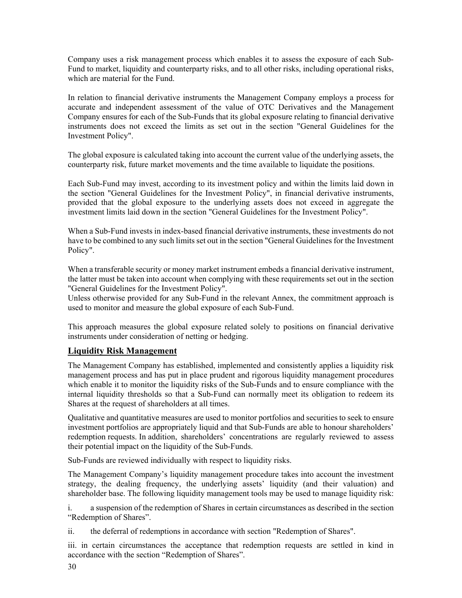Company uses a risk management process which enables it to assess the exposure of each Sub-Fund to market, liquidity and counterparty risks, and to all other risks, including operational risks, which are material for the Fund.

In relation to financial derivative instruments the Management Company employs a process for accurate and independent assessment of the value of OTC Derivatives and the Management Company ensures for each of the Sub-Funds that its global exposure relating to financial derivative instruments does not exceed the limits as set out in the section "General Guidelines for the Investment Policy".

The global exposure is calculated taking into account the current value of the underlying assets, the counterparty risk, future market movements and the time available to liquidate the positions.

Each Sub-Fund may invest, according to its investment policy and within the limits laid down in the section "General Guidelines for the Investment Policy", in financial derivative instruments, provided that the global exposure to the underlying assets does not exceed in aggregate the investment limits laid down in the section "General Guidelines for the Investment Policy".

When a Sub-Fund invests in index-based financial derivative instruments, these investments do not have to be combined to any such limits set out in the section "General Guidelines for the Investment Policy".

When a transferable security or money market instrument embeds a financial derivative instrument, the latter must be taken into account when complying with these requirements set out in the section "General Guidelines for the Investment Policy".

Unless otherwise provided for any Sub-Fund in the relevant Annex, the commitment approach is used to monitor and measure the global exposure of each Sub-Fund.

This approach measures the global exposure related solely to positions on financial derivative instruments under consideration of netting or hedging.

### **Liquidity Risk Management**

The Management Company has established, implemented and consistently applies a liquidity risk management process and has put in place prudent and rigorous liquidity management procedures which enable it to monitor the liquidity risks of the Sub-Funds and to ensure compliance with the internal liquidity thresholds so that a Sub-Fund can normally meet its obligation to redeem its Shares at the request of shareholders at all times.

Qualitative and quantitative measures are used to monitor portfolios and securities to seek to ensure investment portfolios are appropriately liquid and that Sub-Funds are able to honour shareholders' redemption requests. In addition, shareholders' concentrations are regularly reviewed to assess their potential impact on the liquidity of the Sub-Funds.

Sub-Funds are reviewed individually with respect to liquidity risks.

The Management Company's liquidity management procedure takes into account the investment strategy, the dealing frequency, the underlying assets' liquidity (and their valuation) and shareholder base. The following liquidity management tools may be used to manage liquidity risk:

i. a suspension of the redemption of Shares in certain circumstances as described in the section "Redemption of Shares".

ii. the deferral of redemptions in accordance with section "Redemption of Shares".

iii. in certain circumstances the acceptance that redemption requests are settled in kind in accordance with the section "Redemption of Shares".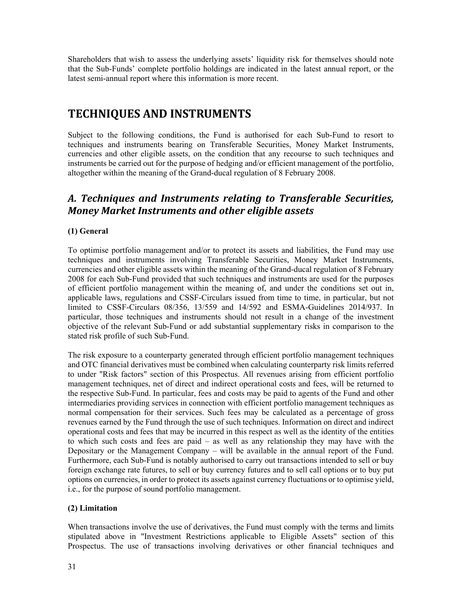Shareholders that wish to assess the underlying assets' liquidity risk for themselves should note that the Sub-Funds' complete portfolio holdings are indicated in the latest annual report, or the latest semi-annual report where this information is more recent.

# **TECHNIQUES AND INSTRUMENTS**

Subject to the following conditions, the Fund is authorised for each Sub-Fund to resort to techniques and instruments bearing on Transferable Securities, Money Market Instruments, currencies and other eligible assets, on the condition that any recourse to such techniques and instruments be carried out for the purpose of hedging and/or efficient management of the portfolio, altogether within the meaning of the Grand-ducal regulation of 8 February 2008.

# *A. Techniques and Instruments relating to Transferable Securities, Money Market Instruments and other eligible assets*

## **(1) General**

To optimise portfolio management and/or to protect its assets and liabilities, the Fund may use techniques and instruments involving Transferable Securities, Money Market Instruments, currencies and other eligible assets within the meaning of the Grand-ducal regulation of 8 February 2008 for each Sub-Fund provided that such techniques and instruments are used for the purposes of efficient portfolio management within the meaning of, and under the conditions set out in, applicable laws, regulations and CSSF-Circulars issued from time to time, in particular, but not limited to CSSF-Circulars 08/356, 13/559 and 14/592 and ESMA-Guidelines 2014/937. In particular, those techniques and instruments should not result in a change of the investment objective of the relevant Sub-Fund or add substantial supplementary risks in comparison to the stated risk profile of such Sub-Fund.

The risk exposure to a counterparty generated through efficient portfolio management techniques and OTC financial derivatives must be combined when calculating counterparty risk limits referred to under "Risk factors" section of this Prospectus. All revenues arising from efficient portfolio management techniques, net of direct and indirect operational costs and fees, will be returned to the respective Sub-Fund. In particular, fees and costs may be paid to agents of the Fund and other intermediaries providing services in connection with efficient portfolio management techniques as normal compensation for their services. Such fees may be calculated as a percentage of gross revenues earned by the Fund through the use of such techniques. Information on direct and indirect operational costs and fees that may be incurred in this respect as well as the identity of the entities to which such costs and fees are paid – as well as any relationship they may have with the Depositary or the Management Company – will be available in the annual report of the Fund. Furthermore, each Sub-Fund is notably authorised to carry out transactions intended to sell or buy foreign exchange rate futures, to sell or buy currency futures and to sell call options or to buy put options on currencies, in order to protect its assets against currency fluctuations or to optimise yield, i.e., for the purpose of sound portfolio management.

### **(2) Limitation**

When transactions involve the use of derivatives, the Fund must comply with the terms and limits stipulated above in "Investment Restrictions applicable to Eligible Assets" section of this Prospectus. The use of transactions involving derivatives or other financial techniques and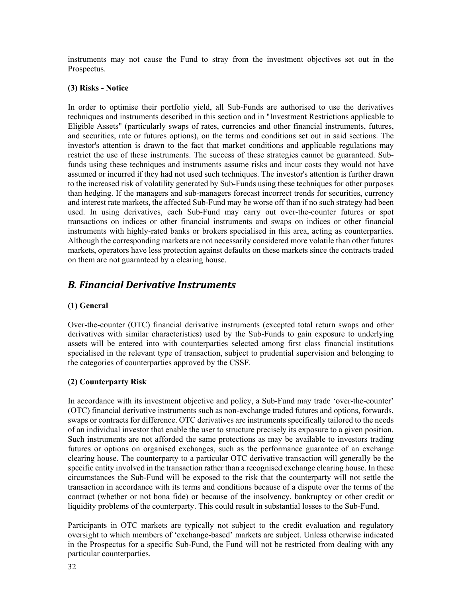instruments may not cause the Fund to stray from the investment objectives set out in the Prospectus.

#### **(3) Risks - Notice**

In order to optimise their portfolio yield, all Sub-Funds are authorised to use the derivatives techniques and instruments described in this section and in "Investment Restrictions applicable to Eligible Assets" (particularly swaps of rates, currencies and other financial instruments, futures, and securities, rate or futures options), on the terms and conditions set out in said sections. The investor's attention is drawn to the fact that market conditions and applicable regulations may restrict the use of these instruments. The success of these strategies cannot be guaranteed. Subfunds using these techniques and instruments assume risks and incur costs they would not have assumed or incurred if they had not used such techniques. The investor's attention is further drawn to the increased risk of volatility generated by Sub-Funds using these techniques for other purposes than hedging. If the managers and sub-managers forecast incorrect trends for securities, currency and interest rate markets, the affected Sub-Fund may be worse off than if no such strategy had been used. In using derivatives, each Sub-Fund may carry out over-the-counter futures or spot transactions on indices or other financial instruments and swaps on indices or other financial instruments with highly-rated banks or brokers specialised in this area, acting as counterparties. Although the corresponding markets are not necessarily considered more volatile than other futures markets, operators have less protection against defaults on these markets since the contracts traded on them are not guaranteed by a clearing house.

## *B. Financial Derivative Instruments*

### **(1) General**

Over-the-counter (OTC) financial derivative instruments (excepted total return swaps and other derivatives with similar characteristics) used by the Sub-Funds to gain exposure to underlying assets will be entered into with counterparties selected among first class financial institutions specialised in the relevant type of transaction, subject to prudential supervision and belonging to the categories of counterparties approved by the CSSF.

### **(2) Counterparty Risk**

In accordance with its investment objective and policy, a Sub-Fund may trade 'over-the-counter' (OTC) financial derivative instruments such as non-exchange traded futures and options, forwards, swaps or contracts for difference. OTC derivatives are instruments specifically tailored to the needs of an individual investor that enable the user to structure precisely its exposure to a given position. Such instruments are not afforded the same protections as may be available to investors trading futures or options on organised exchanges, such as the performance guarantee of an exchange clearing house. The counterparty to a particular OTC derivative transaction will generally be the specific entity involved in the transaction rather than a recognised exchange clearing house. In these circumstances the Sub-Fund will be exposed to the risk that the counterparty will not settle the transaction in accordance with its terms and conditions because of a dispute over the terms of the contract (whether or not bona fide) or because of the insolvency, bankruptcy or other credit or liquidity problems of the counterparty. This could result in substantial losses to the Sub-Fund.

Participants in OTC markets are typically not subject to the credit evaluation and regulatory oversight to which members of 'exchange-based' markets are subject. Unless otherwise indicated in the Prospectus for a specific Sub-Fund, the Fund will not be restricted from dealing with any particular counterparties.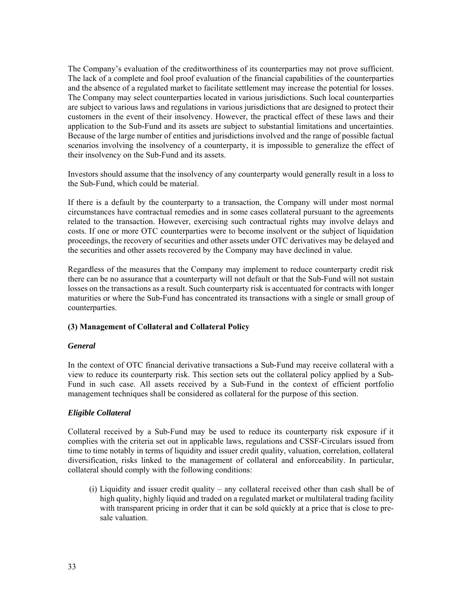The Company's evaluation of the creditworthiness of its counterparties may not prove sufficient. The lack of a complete and fool proof evaluation of the financial capabilities of the counterparties and the absence of a regulated market to facilitate settlement may increase the potential for losses. The Company may select counterparties located in various jurisdictions. Such local counterparties are subject to various laws and regulations in various jurisdictions that are designed to protect their customers in the event of their insolvency. However, the practical effect of these laws and their application to the Sub-Fund and its assets are subject to substantial limitations and uncertainties. Because of the large number of entities and jurisdictions involved and the range of possible factual scenarios involving the insolvency of a counterparty, it is impossible to generalize the effect of their insolvency on the Sub-Fund and its assets.

Investors should assume that the insolvency of any counterparty would generally result in a loss to the Sub-Fund, which could be material.

If there is a default by the counterparty to a transaction, the Company will under most normal circumstances have contractual remedies and in some cases collateral pursuant to the agreements related to the transaction. However, exercising such contractual rights may involve delays and costs. If one or more OTC counterparties were to become insolvent or the subject of liquidation proceedings, the recovery of securities and other assets under OTC derivatives may be delayed and the securities and other assets recovered by the Company may have declined in value.

Regardless of the measures that the Company may implement to reduce counterparty credit risk there can be no assurance that a counterparty will not default or that the Sub-Fund will not sustain losses on the transactions as a result. Such counterparty risk is accentuated for contracts with longer maturities or where the Sub-Fund has concentrated its transactions with a single or small group of counterparties.

#### **(3) Management of Collateral and Collateral Policy**

#### *General*

In the context of OTC financial derivative transactions a Sub-Fund may receive collateral with a view to reduce its counterparty risk. This section sets out the collateral policy applied by a Sub-Fund in such case. All assets received by a Sub-Fund in the context of efficient portfolio management techniques shall be considered as collateral for the purpose of this section.

### *Eligible Collateral*

Collateral received by a Sub-Fund may be used to reduce its counterparty risk exposure if it complies with the criteria set out in applicable laws, regulations and CSSF-Circulars issued from time to time notably in terms of liquidity and issuer credit quality, valuation, correlation, collateral diversification, risks linked to the management of collateral and enforceability. In particular, collateral should comply with the following conditions:

(i) Liquidity and issuer credit quality – any collateral received other than cash shall be of high quality, highly liquid and traded on a regulated market or multilateral trading facility with transparent pricing in order that it can be sold quickly at a price that is close to presale valuation.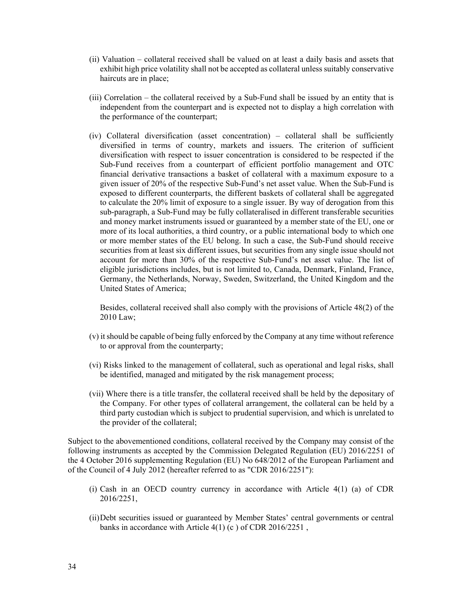- (ii) Valuation collateral received shall be valued on at least a daily basis and assets that exhibit high price volatility shall not be accepted as collateral unless suitably conservative haircuts are in place;
- (iii) Correlation the collateral received by a Sub-Fund shall be issued by an entity that is independent from the counterpart and is expected not to display a high correlation with the performance of the counterpart;
- (iv) Collateral diversification (asset concentration) collateral shall be sufficiently diversified in terms of country, markets and issuers. The criterion of sufficient diversification with respect to issuer concentration is considered to be respected if the Sub-Fund receives from a counterpart of efficient portfolio management and OTC financial derivative transactions a basket of collateral with a maximum exposure to a given issuer of 20% of the respective Sub-Fund's net asset value. When the Sub-Fund is exposed to different counterparts, the different baskets of collateral shall be aggregated to calculate the 20% limit of exposure to a single issuer. By way of derogation from this sub-paragraph, a Sub-Fund may be fully collateralised in different transferable securities and money market instruments issued or guaranteed by a member state of the EU, one or more of its local authorities, a third country, or a public international body to which one or more member states of the EU belong. In such a case, the Sub-Fund should receive securities from at least six different issues, but securities from any single issue should not account for more than 30% of the respective Sub-Fund's net asset value. The list of eligible jurisdictions includes, but is not limited to, Canada, Denmark, Finland, France, Germany, the Netherlands, Norway, Sweden, Switzerland, the United Kingdom and the United States of America;

Besides, collateral received shall also comply with the provisions of Article 48(2) of the 2010 Law;

- (v) it should be capable of being fully enforced by the Company at any time without reference to or approval from the counterparty;
- (vi) Risks linked to the management of collateral, such as operational and legal risks, shall be identified, managed and mitigated by the risk management process;
- (vii) Where there is a title transfer, the collateral received shall be held by the depositary of the Company. For other types of collateral arrangement, the collateral can be held by a third party custodian which is subject to prudential supervision, and which is unrelated to the provider of the collateral;

Subject to the abovementioned conditions, collateral received by the Company may consist of the following instruments as accepted by the Commission Delegated Regulation (EU) 2016/2251 of the 4 October 2016 supplementing Regulation (EU) No 648/2012 of the European Parliament and of the Council of 4 July 2012 (hereafter referred to as "CDR 2016/2251"):

- (i) Cash in an OECD country currency in accordance with Article 4(1) (a) of CDR 2016/2251,
- (ii)Debt securities issued or guaranteed by Member States' central governments or central banks in accordance with Article 4(1) (c ) of CDR 2016/2251 ,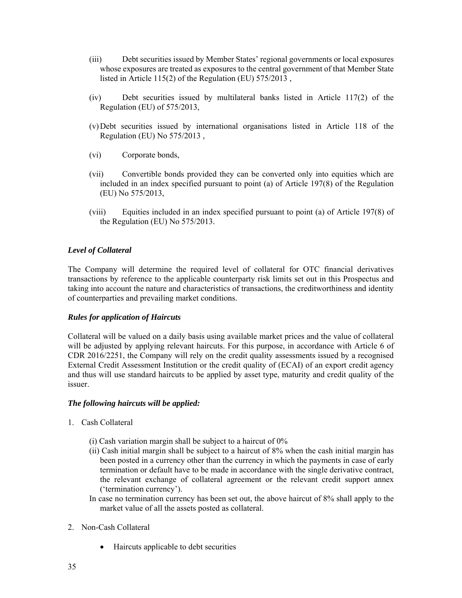- (iii) Debt securities issued by Member States' regional governments or local exposures whose exposures are treated as exposures to the central government of that Member State listed in Article 115(2) of the Regulation (EU) 575/2013 ,
- (iv) Debt securities issued by multilateral banks listed in Article 117(2) of the Regulation (EU) of 575/2013,
- (v)Debt securities issued by international organisations listed in Article 118 of the Regulation (EU) No 575/2013 ,
- (vi) Corporate bonds,
- (vii) Convertible bonds provided they can be converted only into equities which are included in an index specified pursuant to point (a) of Article 197(8) of the Regulation (EU) No 575/2013,
- (viii) Equities included in an index specified pursuant to point (a) of Article 197(8) of the Regulation (EU) No 575/2013.

#### *Level of Collateral*

The Company will determine the required level of collateral for OTC financial derivatives transactions by reference to the applicable counterparty risk limits set out in this Prospectus and taking into account the nature and characteristics of transactions, the creditworthiness and identity of counterparties and prevailing market conditions.

#### *Rules for application of Haircuts*

Collateral will be valued on a daily basis using available market prices and the value of collateral will be adjusted by applying relevant haircuts. For this purpose, in accordance with Article 6 of CDR 2016/2251, the Company will rely on the credit quality assessments issued by a recognised External Credit Assessment Institution or the credit quality of (ECAI) of an export credit agency and thus will use standard haircuts to be applied by asset type, maturity and credit quality of the issuer.

#### *The following haircuts will be applied:*

- 1. Cash Collateral
	- (i) Cash variation margin shall be subject to a haircut of 0%
	- (ii) Cash initial margin shall be subject to a haircut of 8% when the cash initial margin has been posted in a currency other than the currency in which the payments in case of early termination or default have to be made in accordance with the single derivative contract, the relevant exchange of collateral agreement or the relevant credit support annex ('termination currency').
	- In case no termination currency has been set out, the above haircut of 8% shall apply to the market value of all the assets posted as collateral.
- 2. Non-Cash Collateral
	- Haircuts applicable to debt securities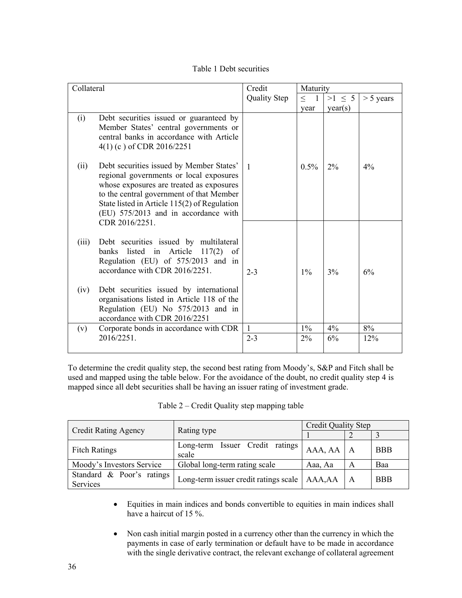Table 1 Debt securities

| Collateral    |                                                                                                                                                                                                                                                                                                                       | Credit       | Maturity                 |             |             |
|---------------|-----------------------------------------------------------------------------------------------------------------------------------------------------------------------------------------------------------------------------------------------------------------------------------------------------------------------|--------------|--------------------------|-------------|-------------|
|               |                                                                                                                                                                                                                                                                                                                       | Quality Step | $\leq$<br>$\overline{1}$ | $>1 \leq 5$ | $> 5$ years |
|               |                                                                                                                                                                                                                                                                                                                       |              | year                     | year(s)     |             |
| (i)           | Debt securities issued or guaranteed by<br>Member States' central governments or<br>central banks in accordance with Article<br>$4(1)$ (c) of CDR 2016/2251                                                                                                                                                           |              |                          |             |             |
| (ii)          | Debt securities issued by Member States'<br>regional governments or local exposures<br>whose exposures are treated as exposures<br>to the central government of that Member<br>State listed in Article 115(2) of Regulation<br>(EU) 575/2013 and in accordance with<br>CDR 2016/2251.                                 | $\mathbf{1}$ | $0.5\%$                  | $2\%$       | $4\%$       |
| (iii)<br>(iv) | Debt securities issued by multilateral<br>banks listed in Article $117(2)$ of<br>Regulation (EU) of 575/2013 and in<br>accordance with CDR 2016/2251.<br>Debt securities issued by international<br>organisations listed in Article 118 of the<br>Regulation (EU) No 575/2013 and in<br>accordance with CDR 2016/2251 | $2 - 3$      | $1\%$                    | 3%          | 6%          |
| (v)           | Corporate bonds in accordance with CDR                                                                                                                                                                                                                                                                                | $\mathbf{1}$ | $1\%$                    | $4\%$       | 8%          |
|               | 2016/2251                                                                                                                                                                                                                                                                                                             | $2 - 3$      | $2\%$                    | 6%          | 12%         |

To determine the credit quality step, the second best rating from Moody's, S&P and Fitch shall be used and mapped using the table below. For the avoidance of the doubt, no credit quality step 4 is mapped since all debt securities shall be having an issuer rating of investment grade.

|                                                                     |                                                | Credit Quality Step |                |            |
|---------------------------------------------------------------------|------------------------------------------------|---------------------|----------------|------------|
| <b>Credit Rating Agency</b>                                         | Rating type                                    |                     |                |            |
| Issuer Credit ratings<br>Long-term<br><b>Fitch Ratings</b><br>scale |                                                | AAA, AA             | $\overline{A}$ | <b>BBB</b> |
| Moody's Investors Service                                           | Global long-term rating scale                  | Aaa, Aa             | A              | Baa        |
| Standard & Poor's ratings<br>Services                               | Long-term issuer credit ratings scale   AAA,AA |                     | A              | <b>BBB</b> |

| Table 2 – Credit Quality step mapping table |  |  |  |
|---------------------------------------------|--|--|--|
|---------------------------------------------|--|--|--|

- Equities in main indices and bonds convertible to equities in main indices shall have a haircut of 15 %.
- Non cash initial margin posted in a currency other than the currency in which the payments in case of early termination or default have to be made in accordance with the single derivative contract, the relevant exchange of collateral agreement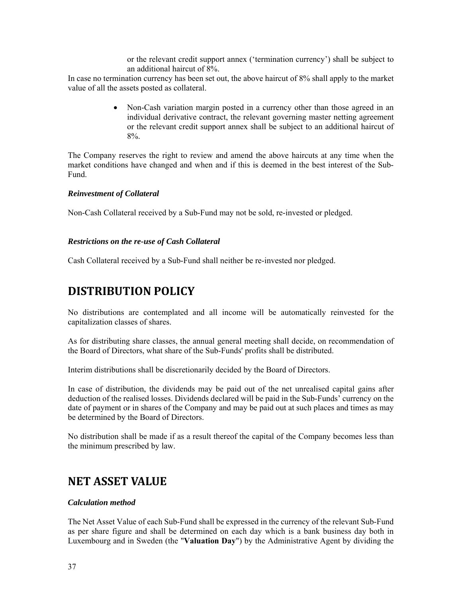or the relevant credit support annex ('termination currency') shall be subject to an additional haircut of 8%.

In case no termination currency has been set out, the above haircut of 8% shall apply to the market value of all the assets posted as collateral.

> • Non-Cash variation margin posted in a currency other than those agreed in an individual derivative contract, the relevant governing master netting agreement or the relevant credit support annex shall be subject to an additional haircut of 8%.

The Company reserves the right to review and amend the above haircuts at any time when the market conditions have changed and when and if this is deemed in the best interest of the Sub-Fund.

### *Reinvestment of Collateral*

Non-Cash Collateral received by a Sub-Fund may not be sold, re-invested or pledged.

### *Restrictions on the re-use of Cash Collateral*

Cash Collateral received by a Sub-Fund shall neither be re-invested nor pledged.

# **DISTRIBUTION POLICY**

No distributions are contemplated and all income will be automatically reinvested for the capitalization classes of shares.

As for distributing share classes, the annual general meeting shall decide, on recommendation of the Board of Directors, what share of the Sub-Funds' profits shall be distributed.

Interim distributions shall be discretionarily decided by the Board of Directors.

In case of distribution, the dividends may be paid out of the net unrealised capital gains after deduction of the realised losses. Dividends declared will be paid in the Sub-Funds' currency on the date of payment or in shares of the Company and may be paid out at such places and times as may be determined by the Board of Directors.

No distribution shall be made if as a result thereof the capital of the Company becomes less than the minimum prescribed by law.

## **NET ASSET VALUE**

### *Calculation method*

The Net Asset Value of each Sub-Fund shall be expressed in the currency of the relevant Sub-Fund as per share figure and shall be determined on each day which is a bank business day both in Luxembourg and in Sweden (the "**Valuation Day**") by the Administrative Agent by dividing the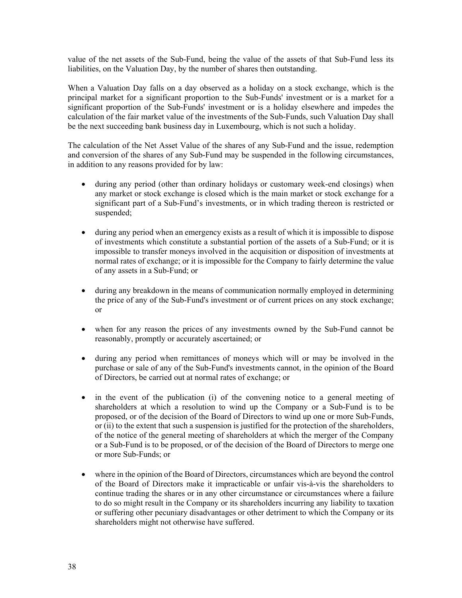value of the net assets of the Sub-Fund, being the value of the assets of that Sub-Fund less its liabilities, on the Valuation Day, by the number of shares then outstanding.

When a Valuation Day falls on a day observed as a holiday on a stock exchange, which is the principal market for a significant proportion to the Sub-Funds' investment or is a market for a significant proportion of the Sub-Funds' investment or is a holiday elsewhere and impedes the calculation of the fair market value of the investments of the Sub-Funds, such Valuation Day shall be the next succeeding bank business day in Luxembourg, which is not such a holiday.

The calculation of the Net Asset Value of the shares of any Sub-Fund and the issue, redemption and conversion of the shares of any Sub-Fund may be suspended in the following circumstances, in addition to any reasons provided for by law:

- during any period (other than ordinary holidays or customary week-end closings) when any market or stock exchange is closed which is the main market or stock exchange for a significant part of a Sub-Fund's investments, or in which trading thereon is restricted or suspended;
- during any period when an emergency exists as a result of which it is impossible to dispose of investments which constitute a substantial portion of the assets of a Sub-Fund; or it is impossible to transfer moneys involved in the acquisition or disposition of investments at normal rates of exchange; or it is impossible for the Company to fairly determine the value of any assets in a Sub-Fund; or
- during any breakdown in the means of communication normally employed in determining the price of any of the Sub-Fund's investment or of current prices on any stock exchange; or
- when for any reason the prices of any investments owned by the Sub-Fund cannot be reasonably, promptly or accurately ascertained; or
- during any period when remittances of moneys which will or may be involved in the purchase or sale of any of the Sub-Fund's investments cannot, in the opinion of the Board of Directors, be carried out at normal rates of exchange; or
- in the event of the publication (i) of the convening notice to a general meeting of shareholders at which a resolution to wind up the Company or a Sub-Fund is to be proposed, or of the decision of the Board of Directors to wind up one or more Sub-Funds, or (ii) to the extent that such a suspension is justified for the protection of the shareholders, of the notice of the general meeting of shareholders at which the merger of the Company or a Sub-Fund is to be proposed, or of the decision of the Board of Directors to merge one or more Sub-Funds; or
- where in the opinion of the Board of Directors, circumstances which are beyond the control of the Board of Directors make it impracticable or unfair vis-à-vis the shareholders to continue trading the shares or in any other circumstance or circumstances where a failure to do so might result in the Company or its shareholders incurring any liability to taxation or suffering other pecuniary disadvantages or other detriment to which the Company or its shareholders might not otherwise have suffered.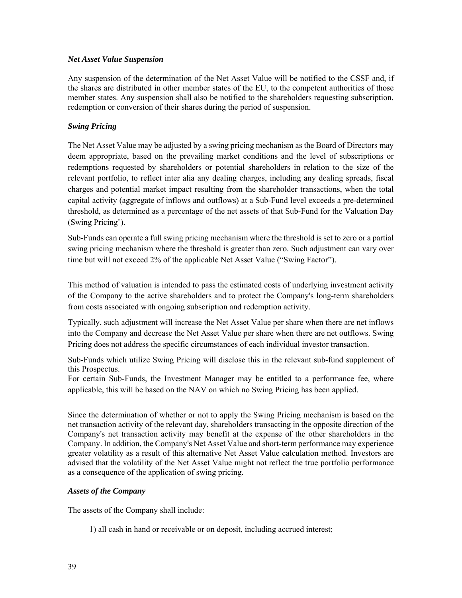### *Net Asset Value Suspension*

Any suspension of the determination of the Net Asset Value will be notified to the CSSF and, if the shares are distributed in other member states of the EU, to the competent authorities of those member states. Any suspension shall also be notified to the shareholders requesting subscription, redemption or conversion of their shares during the period of suspension.

### *Swing Pricing*

The Net Asset Value may be adjusted by a swing pricing mechanism as the Board of Directors may deem appropriate, based on the prevailing market conditions and the level of subscriptions or redemptions requested by shareholders or potential shareholders in relation to the size of the relevant portfolio, to reflect inter alia any dealing charges, including any dealing spreads, fiscal charges and potential market impact resulting from the shareholder transactions, when the total capital activity (aggregate of inflows and outflows) at a Sub-Fund level exceeds a pre-determined threshold, as determined as a percentage of the net assets of that Sub-Fund for the Valuation Day (Swing Pricing¨).

Sub-Funds can operate a full swing pricing mechanism where the threshold is set to zero or a partial swing pricing mechanism where the threshold is greater than zero. Such adjustment can vary over time but will not exceed 2% of the applicable Net Asset Value ("Swing Factor").

This method of valuation is intended to pass the estimated costs of underlying investment activity of the Company to the active shareholders and to protect the Company's long-term shareholders from costs associated with ongoing subscription and redemption activity.

Typically, such adjustment will increase the Net Asset Value per share when there are net inflows into the Company and decrease the Net Asset Value per share when there are net outflows. Swing Pricing does not address the specific circumstances of each individual investor transaction.

Sub-Funds which utilize Swing Pricing will disclose this in the relevant sub-fund supplement of this Prospectus.

For certain Sub-Funds, the Investment Manager may be entitled to a performance fee, where applicable, this will be based on the NAV on which no Swing Pricing has been applied.

Since the determination of whether or not to apply the Swing Pricing mechanism is based on the net transaction activity of the relevant day, shareholders transacting in the opposite direction of the Company's net transaction activity may benefit at the expense of the other shareholders in the Company. In addition, the Company's Net Asset Value and short-term performance may experience greater volatility as a result of this alternative Net Asset Value calculation method. Investors are advised that the volatility of the Net Asset Value might not reflect the true portfolio performance as a consequence of the application of swing pricing.

### *Assets of the Company*

The assets of the Company shall include:

1) all cash in hand or receivable or on deposit, including accrued interest;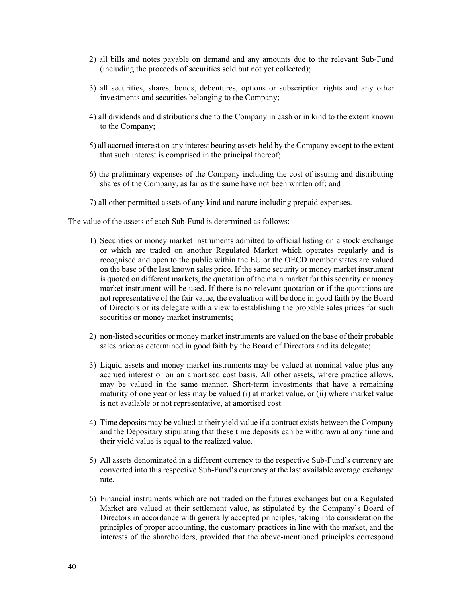- 2) all bills and notes payable on demand and any amounts due to the relevant Sub-Fund (including the proceeds of securities sold but not yet collected);
- 3) all securities, shares, bonds, debentures, options or subscription rights and any other investments and securities belonging to the Company;
- 4) all dividends and distributions due to the Company in cash or in kind to the extent known to the Company;
- 5) all accrued interest on any interest bearing assets held by the Company except to the extent that such interest is comprised in the principal thereof;
- 6) the preliminary expenses of the Company including the cost of issuing and distributing shares of the Company, as far as the same have not been written off; and
- 7) all other permitted assets of any kind and nature including prepaid expenses.

The value of the assets of each Sub-Fund is determined as follows:

- 1) Securities or money market instruments admitted to official listing on a stock exchange or which are traded on another Regulated Market which operates regularly and is recognised and open to the public within the EU or the OECD member states are valued on the base of the last known sales price. If the same security or money market instrument is quoted on different markets, the quotation of the main market for this security or money market instrument will be used. If there is no relevant quotation or if the quotations are not representative of the fair value, the evaluation will be done in good faith by the Board of Directors or its delegate with a view to establishing the probable sales prices for such securities or money market instruments;
- 2) non-listed securities or money market instruments are valued on the base of their probable sales price as determined in good faith by the Board of Directors and its delegate;
- 3) Liquid assets and money market instruments may be valued at nominal value plus any accrued interest or on an amortised cost basis. All other assets, where practice allows, may be valued in the same manner. Short-term investments that have a remaining maturity of one year or less may be valued (i) at market value, or (ii) where market value is not available or not representative, at amortised cost.
- 4) Time deposits may be valued at their yield value if a contract exists between the Company and the Depositary stipulating that these time deposits can be withdrawn at any time and their yield value is equal to the realized value.
- 5) All assets denominated in a different currency to the respective Sub-Fund's currency are converted into this respective Sub-Fund's currency at the last available average exchange rate.
- 6) Financial instruments which are not traded on the futures exchanges but on a Regulated Market are valued at their settlement value, as stipulated by the Company's Board of Directors in accordance with generally accepted principles, taking into consideration the principles of proper accounting, the customary practices in line with the market, and the interests of the shareholders, provided that the above-mentioned principles correspond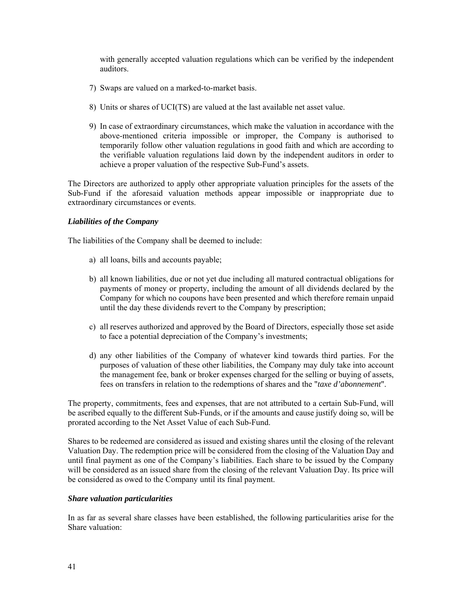with generally accepted valuation regulations which can be verified by the independent auditors.

- 7) Swaps are valued on a marked-to-market basis.
- 8) Units or shares of UCI(TS) are valued at the last available net asset value.
- 9) In case of extraordinary circumstances, which make the valuation in accordance with the above-mentioned criteria impossible or improper, the Company is authorised to temporarily follow other valuation regulations in good faith and which are according to the verifiable valuation regulations laid down by the independent auditors in order to achieve a proper valuation of the respective Sub-Fund's assets.

The Directors are authorized to apply other appropriate valuation principles for the assets of the Sub-Fund if the aforesaid valuation methods appear impossible or inappropriate due to extraordinary circumstances or events.

### *Liabilities of the Company*

The liabilities of the Company shall be deemed to include:

- a) all loans, bills and accounts payable;
- b) all known liabilities, due or not yet due including all matured contractual obligations for payments of money or property, including the amount of all dividends declared by the Company for which no coupons have been presented and which therefore remain unpaid until the day these dividends revert to the Company by prescription;
- c) all reserves authorized and approved by the Board of Directors, especially those set aside to face a potential depreciation of the Company's investments;
- d) any other liabilities of the Company of whatever kind towards third parties. For the purposes of valuation of these other liabilities, the Company may duly take into account the management fee, bank or broker expenses charged for the selling or buying of assets, fees on transfers in relation to the redemptions of shares and the "*taxe d'abonnement*".

The property, commitments, fees and expenses, that are not attributed to a certain Sub-Fund, will be ascribed equally to the different Sub-Funds, or if the amounts and cause justify doing so, will be prorated according to the Net Asset Value of each Sub-Fund.

Shares to be redeemed are considered as issued and existing shares until the closing of the relevant Valuation Day. The redemption price will be considered from the closing of the Valuation Day and until final payment as one of the Company's liabilities. Each share to be issued by the Company will be considered as an issued share from the closing of the relevant Valuation Day. Its price will be considered as owed to the Company until its final payment.

### *Share valuation particularities*

In as far as several share classes have been established, the following particularities arise for the Share valuation: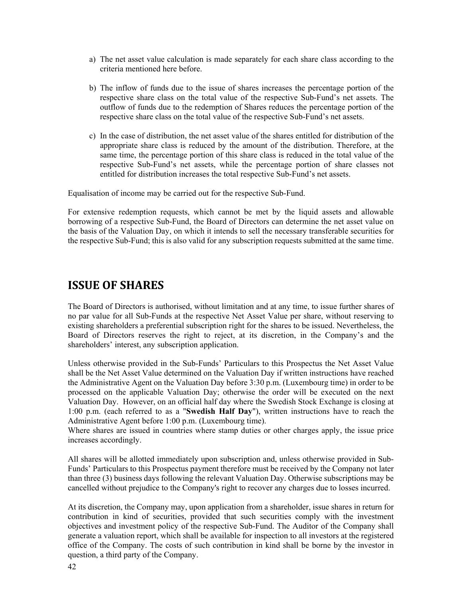- a) The net asset value calculation is made separately for each share class according to the criteria mentioned here before.
- b) The inflow of funds due to the issue of shares increases the percentage portion of the respective share class on the total value of the respective Sub-Fund's net assets. The outflow of funds due to the redemption of Shares reduces the percentage portion of the respective share class on the total value of the respective Sub-Fund's net assets.
- c) In the case of distribution, the net asset value of the shares entitled for distribution of the appropriate share class is reduced by the amount of the distribution. Therefore, at the same time, the percentage portion of this share class is reduced in the total value of the respective Sub-Fund's net assets, while the percentage portion of share classes not entitled for distribution increases the total respective Sub-Fund's net assets.

Equalisation of income may be carried out for the respective Sub-Fund.

For extensive redemption requests, which cannot be met by the liquid assets and allowable borrowing of a respective Sub-Fund, the Board of Directors can determine the net asset value on the basis of the Valuation Day, on which it intends to sell the necessary transferable securities for the respective Sub-Fund; this is also valid for any subscription requests submitted at the same time.

## **ISSUE OF SHARES**

The Board of Directors is authorised, without limitation and at any time, to issue further shares of no par value for all Sub-Funds at the respective Net Asset Value per share, without reserving to existing shareholders a preferential subscription right for the shares to be issued. Nevertheless, the Board of Directors reserves the right to reject, at its discretion, in the Company's and the shareholders' interest, any subscription application.

Unless otherwise provided in the Sub-Funds' Particulars to this Prospectus the Net Asset Value shall be the Net Asset Value determined on the Valuation Day if written instructions have reached the Administrative Agent on the Valuation Day before 3:30 p.m. (Luxembourg time) in order to be processed on the applicable Valuation Day; otherwise the order will be executed on the next Valuation Day. However, on an official half day where the Swedish Stock Exchange is closing at 1:00 p.m. (each referred to as a "**Swedish Half Day**"), written instructions have to reach the Administrative Agent before 1:00 p.m. (Luxembourg time).

Where shares are issued in countries where stamp duties or other charges apply, the issue price increases accordingly.

All shares will be allotted immediately upon subscription and, unless otherwise provided in Sub-Funds' Particulars to this Prospectus payment therefore must be received by the Company not later than three (3) business days following the relevant Valuation Day. Otherwise subscriptions may be cancelled without prejudice to the Company's right to recover any charges due to losses incurred.

At its discretion, the Company may, upon application from a shareholder, issue shares in return for contribution in kind of securities, provided that such securities comply with the investment objectives and investment policy of the respective Sub-Fund. The Auditor of the Company shall generate a valuation report, which shall be available for inspection to all investors at the registered office of the Company. The costs of such contribution in kind shall be borne by the investor in question, a third party of the Company.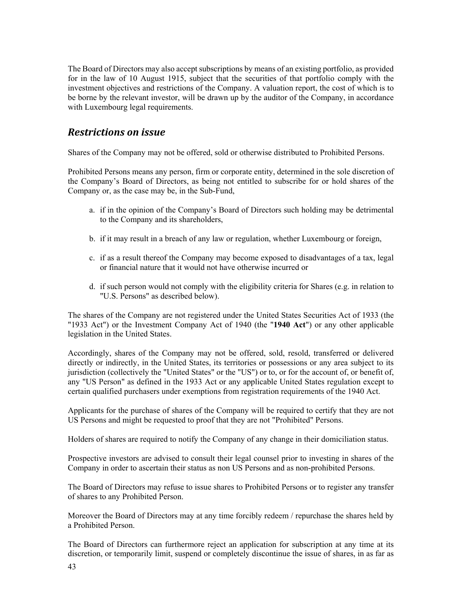The Board of Directors may also accept subscriptions by means of an existing portfolio, as provided for in the law of 10 August 1915, subject that the securities of that portfolio comply with the investment objectives and restrictions of the Company. A valuation report, the cost of which is to be borne by the relevant investor, will be drawn up by the auditor of the Company, in accordance with Luxembourg legal requirements.

## *Restrictions on issue*

Shares of the Company may not be offered, sold or otherwise distributed to Prohibited Persons.

Prohibited Persons means any person, firm or corporate entity, determined in the sole discretion of the Company's Board of Directors, as being not entitled to subscribe for or hold shares of the Company or, as the case may be, in the Sub-Fund,

- a. if in the opinion of the Company's Board of Directors such holding may be detrimental to the Company and its shareholders,
- b. if it may result in a breach of any law or regulation, whether Luxembourg or foreign,
- c. if as a result thereof the Company may become exposed to disadvantages of a tax, legal or financial nature that it would not have otherwise incurred or
- d. if such person would not comply with the eligibility criteria for Shares (e.g. in relation to "U.S. Persons" as described below).

The shares of the Company are not registered under the United States Securities Act of 1933 (the "1933 Act") or the Investment Company Act of 1940 (the "**1940 Act**") or any other applicable legislation in the United States.

Accordingly, shares of the Company may not be offered, sold, resold, transferred or delivered directly or indirectly, in the United States, its territories or possessions or any area subject to its jurisdiction (collectively the "United States" or the "US") or to, or for the account of, or benefit of, any "US Person" as defined in the 1933 Act or any applicable United States regulation except to certain qualified purchasers under exemptions from registration requirements of the 1940 Act.

Applicants for the purchase of shares of the Company will be required to certify that they are not US Persons and might be requested to proof that they are not "Prohibited" Persons.

Holders of shares are required to notify the Company of any change in their domiciliation status.

Prospective investors are advised to consult their legal counsel prior to investing in shares of the Company in order to ascertain their status as non US Persons and as non-prohibited Persons.

The Board of Directors may refuse to issue shares to Prohibited Persons or to register any transfer of shares to any Prohibited Person.

Moreover the Board of Directors may at any time forcibly redeem / repurchase the shares held by a Prohibited Person.

The Board of Directors can furthermore reject an application for subscription at any time at its discretion, or temporarily limit, suspend or completely discontinue the issue of shares, in as far as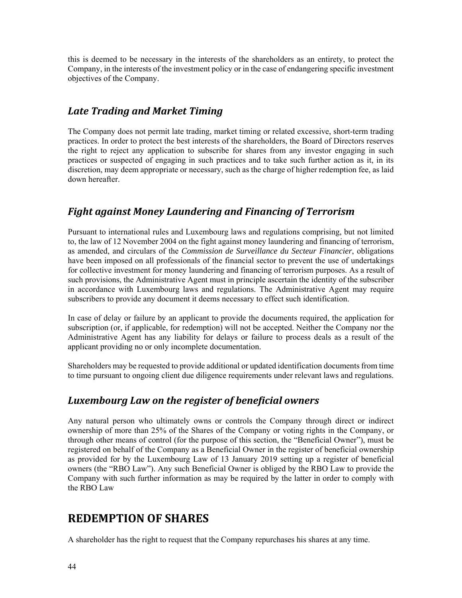this is deemed to be necessary in the interests of the shareholders as an entirety, to protect the Company, in the interests of the investment policy or in the case of endangering specific investment objectives of the Company.

## *Late Trading and Market Timing*

The Company does not permit late trading, market timing or related excessive, short-term trading practices. In order to protect the best interests of the shareholders, the Board of Directors reserves the right to reject any application to subscribe for shares from any investor engaging in such practices or suspected of engaging in such practices and to take such further action as it, in its discretion, may deem appropriate or necessary, such as the charge of higher redemption fee, as laid down hereafter.

## *Fight against Money Laundering and Financing of Terrorism*

Pursuant to international rules and Luxembourg laws and regulations comprising, but not limited to, the law of 12 November 2004 on the fight against money laundering and financing of terrorism, as amended, and circulars of the *Commission de Surveillance du Secteur Financier*, obligations have been imposed on all professionals of the financial sector to prevent the use of undertakings for collective investment for money laundering and financing of terrorism purposes. As a result of such provisions, the Administrative Agent must in principle ascertain the identity of the subscriber in accordance with Luxembourg laws and regulations. The Administrative Agent may require subscribers to provide any document it deems necessary to effect such identification.

In case of delay or failure by an applicant to provide the documents required, the application for subscription (or, if applicable, for redemption) will not be accepted. Neither the Company nor the Administrative Agent has any liability for delays or failure to process deals as a result of the applicant providing no or only incomplete documentation.

Shareholders may be requested to provide additional or updated identification documents from time to time pursuant to ongoing client due diligence requirements under relevant laws and regulations.

## *Luxembourg Law on the register of beneficial owners*

Any natural person who ultimately owns or controls the Company through direct or indirect ownership of more than 25% of the Shares of the Company or voting rights in the Company, or through other means of control (for the purpose of this section, the "Beneficial Owner"), must be registered on behalf of the Company as a Beneficial Owner in the register of beneficial ownership as provided for by the Luxembourg Law of 13 January 2019 setting up a register of beneficial owners (the "RBO Law"). Any such Beneficial Owner is obliged by the RBO Law to provide the Company with such further information as may be required by the latter in order to comply with the RBO Law

## **REDEMPTION OF SHARES**

A shareholder has the right to request that the Company repurchases his shares at any time.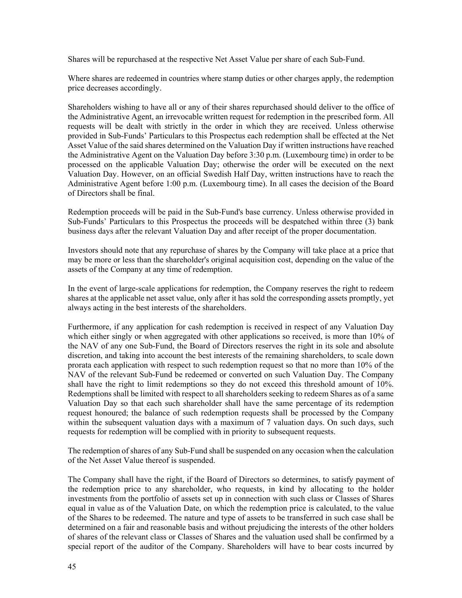Shares will be repurchased at the respective Net Asset Value per share of each Sub-Fund.

Where shares are redeemed in countries where stamp duties or other charges apply, the redemption price decreases accordingly.

Shareholders wishing to have all or any of their shares repurchased should deliver to the office of the Administrative Agent, an irrevocable written request for redemption in the prescribed form. All requests will be dealt with strictly in the order in which they are received. Unless otherwise provided in Sub-Funds' Particulars to this Prospectus each redemption shall be effected at the Net Asset Value of the said shares determined on the Valuation Day if written instructions have reached the Administrative Agent on the Valuation Day before 3:30 p.m. (Luxembourg time) in order to be processed on the applicable Valuation Day; otherwise the order will be executed on the next Valuation Day. However, on an official Swedish Half Day, written instructions have to reach the Administrative Agent before 1:00 p.m. (Luxembourg time). In all cases the decision of the Board of Directors shall be final.

Redemption proceeds will be paid in the Sub-Fund's base currency. Unless otherwise provided in Sub-Funds' Particulars to this Prospectus the proceeds will be despatched within three (3) bank business days after the relevant Valuation Day and after receipt of the proper documentation.

Investors should note that any repurchase of shares by the Company will take place at a price that may be more or less than the shareholder's original acquisition cost, depending on the value of the assets of the Company at any time of redemption.

In the event of large-scale applications for redemption, the Company reserves the right to redeem shares at the applicable net asset value, only after it has sold the corresponding assets promptly, yet always acting in the best interests of the shareholders.

Furthermore, if any application for cash redemption is received in respect of any Valuation Day which either singly or when aggregated with other applications so received, is more than 10% of the NAV of any one Sub-Fund, the Board of Directors reserves the right in its sole and absolute discretion, and taking into account the best interests of the remaining shareholders, to scale down prorata each application with respect to such redemption request so that no more than 10% of the NAV of the relevant Sub-Fund be redeemed or converted on such Valuation Day. The Company shall have the right to limit redemptions so they do not exceed this threshold amount of 10%. Redemptions shall be limited with respect to all shareholders seeking to redeem Shares as of a same Valuation Day so that each such shareholder shall have the same percentage of its redemption request honoured; the balance of such redemption requests shall be processed by the Company within the subsequent valuation days with a maximum of 7 valuation days. On such days, such requests for redemption will be complied with in priority to subsequent requests.

The redemption of shares of any Sub-Fund shall be suspended on any occasion when the calculation of the Net Asset Value thereof is suspended.

The Company shall have the right, if the Board of Directors so determines, to satisfy payment of the redemption price to any shareholder, who requests, in kind by allocating to the holder investments from the portfolio of assets set up in connection with such class or Classes of Shares equal in value as of the Valuation Date, on which the redemption price is calculated, to the value of the Shares to be redeemed. The nature and type of assets to be transferred in such case shall be determined on a fair and reasonable basis and without prejudicing the interests of the other holders of shares of the relevant class or Classes of Shares and the valuation used shall be confirmed by a special report of the auditor of the Company. Shareholders will have to bear costs incurred by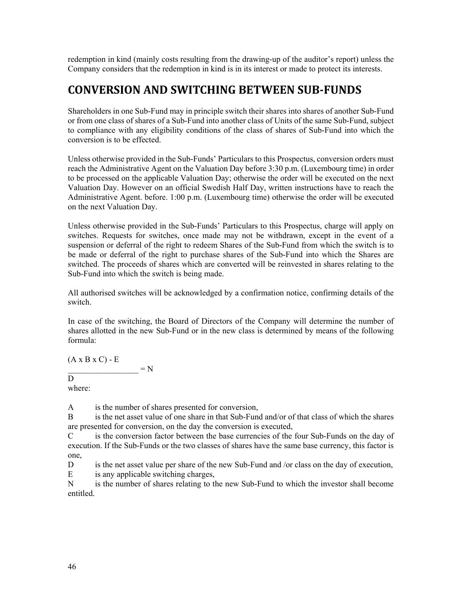redemption in kind (mainly costs resulting from the drawing-up of the auditor's report) unless the Company considers that the redemption in kind is in its interest or made to protect its interests.

# **CONVERSION AND SWITCHING BETWEEN SUB‐FUNDS**

Shareholders in one Sub-Fund may in principle switch their shares into shares of another Sub-Fund or from one class of shares of a Sub-Fund into another class of Units of the same Sub-Fund, subject to compliance with any eligibility conditions of the class of shares of Sub-Fund into which the conversion is to be effected.

Unless otherwise provided in the Sub-Funds' Particulars to this Prospectus, conversion orders must reach the Administrative Agent on the Valuation Day before 3:30 p.m. (Luxembourg time) in order to be processed on the applicable Valuation Day; otherwise the order will be executed on the next Valuation Day. However on an official Swedish Half Day, written instructions have to reach the Administrative Agent. before. 1:00 p.m. (Luxembourg time) otherwise the order will be executed on the next Valuation Day.

Unless otherwise provided in the Sub-Funds' Particulars to this Prospectus, charge will apply on switches. Requests for switches, once made may not be withdrawn, except in the event of a suspension or deferral of the right to redeem Shares of the Sub-Fund from which the switch is to be made or deferral of the right to purchase shares of the Sub-Fund into which the Shares are switched. The proceeds of shares which are converted will be reinvested in shares relating to the Sub-Fund into which the switch is being made.

All authorised switches will be acknowledged by a confirmation notice, confirming details of the switch.

In case of the switching, the Board of Directors of the Company will determine the number of shares allotted in the new Sub-Fund or in the new class is determined by means of the following formula:

 $(A \times B \times C) - E$ 

### $\overline{D}$

where:

A is the number of shares presented for conversion,

 $=N$ 

B is the net asset value of one share in that Sub-Fund and/or of that class of which the shares are presented for conversion, on the day the conversion is executed,

C is the conversion factor between the base currencies of the four Sub-Funds on the day of execution. If the Sub-Funds or the two classes of shares have the same base currency, this factor is one,

D is the net asset value per share of the new Sub-Fund and /or class on the day of execution,

E is any applicable switching charges,

N is the number of shares relating to the new Sub-Fund to which the investor shall become entitled.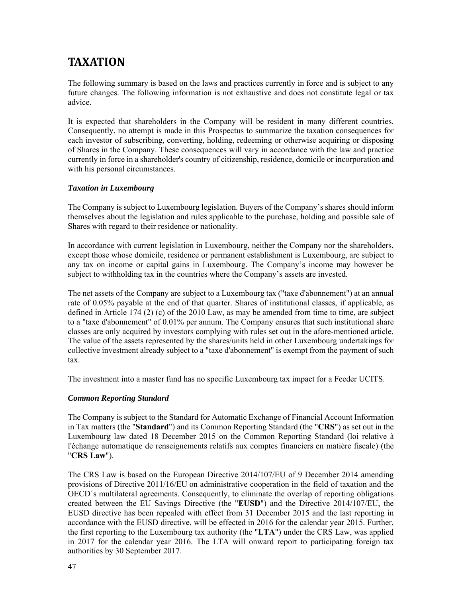# **TAXATION**

The following summary is based on the laws and practices currently in force and is subject to any future changes. The following information is not exhaustive and does not constitute legal or tax advice.

It is expected that shareholders in the Company will be resident in many different countries. Consequently, no attempt is made in this Prospectus to summarize the taxation consequences for each investor of subscribing, converting, holding, redeeming or otherwise acquiring or disposing of Shares in the Company. These consequences will vary in accordance with the law and practice currently in force in a shareholder's country of citizenship, residence, domicile or incorporation and with his personal circumstances.

### *Taxation in Luxembourg*

The Company is subject to Luxembourg legislation. Buyers of the Company's shares should inform themselves about the legislation and rules applicable to the purchase, holding and possible sale of Shares with regard to their residence or nationality.

In accordance with current legislation in Luxembourg, neither the Company nor the shareholders, except those whose domicile, residence or permanent establishment is Luxembourg, are subject to any tax on income or capital gains in Luxembourg. The Company's income may however be subject to withholding tax in the countries where the Company's assets are invested.

The net assets of the Company are subject to a Luxembourg tax ("taxe d'abonnement") at an annual rate of 0.05% payable at the end of that quarter. Shares of institutional classes, if applicable, as defined in Article 174 (2) (c) of the 2010 Law, as may be amended from time to time, are subject to a "taxe d'abonnement" of 0.01% per annum. The Company ensures that such institutional share classes are only acquired by investors complying with rules set out in the afore-mentioned article. The value of the assets represented by the shares/units held in other Luxembourg undertakings for collective investment already subject to a "taxe d'abonnement" is exempt from the payment of such tax.

The investment into a master fund has no specific Luxembourg tax impact for a Feeder UCITS.

### *Common Reporting Standard*

The Company is subject to the Standard for Automatic Exchange of Financial Account Information in Tax matters (the "**Standard**") and its Common Reporting Standard (the "**CRS**") as set out in the Luxembourg law dated 18 December 2015 on the Common Reporting Standard (loi relative à l'échange automatique de renseignements relatifs aux comptes financiers en matière fiscale) (the "**CRS Law**").

The CRS Law is based on the European Directive 2014/107/EU of 9 December 2014 amending provisions of Directive 2011/16/EU on administrative cooperation in the field of taxation and the OECD`s multilateral agreements. Consequently, to eliminate the overlap of reporting obligations created between the EU Savings Directive (the "**EUSD**") and the Directive 2014/107/EU, the EUSD directive has been repealed with effect from 31 December 2015 and the last reporting in accordance with the EUSD directive, will be effected in 2016 for the calendar year 2015. Further, the first reporting to the Luxembourg tax authority (the "**LTA**") under the CRS Law, was applied in 2017 for the calendar year 2016. The LTA will onward report to participating foreign tax authorities by 30 September 2017.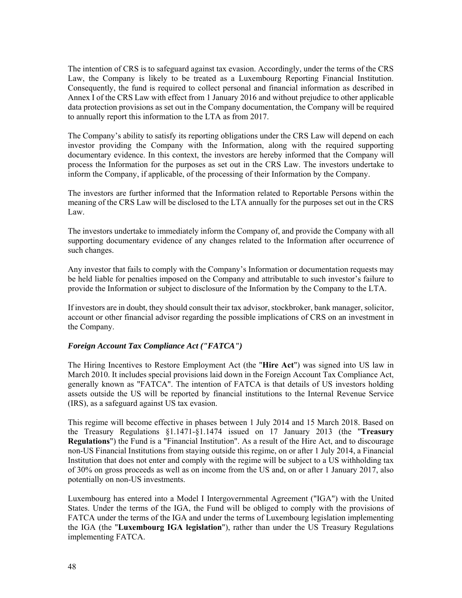The intention of CRS is to safeguard against tax evasion. Accordingly, under the terms of the CRS Law, the Company is likely to be treated as a Luxembourg Reporting Financial Institution. Consequently, the fund is required to collect personal and financial information as described in Annex I of the CRS Law with effect from 1 January 2016 and without prejudice to other applicable data protection provisions as set out in the Company documentation, the Company will be required to annually report this information to the LTA as from 2017.

The Company's ability to satisfy its reporting obligations under the CRS Law will depend on each investor providing the Company with the Information, along with the required supporting documentary evidence. In this context, the investors are hereby informed that the Company will process the Information for the purposes as set out in the CRS Law. The investors undertake to inform the Company, if applicable, of the processing of their Information by the Company.

The investors are further informed that the Information related to Reportable Persons within the meaning of the CRS Law will be disclosed to the LTA annually for the purposes set out in the CRS Law.

The investors undertake to immediately inform the Company of, and provide the Company with all supporting documentary evidence of any changes related to the Information after occurrence of such changes.

Any investor that fails to comply with the Company's Information or documentation requests may be held liable for penalties imposed on the Company and attributable to such investor's failure to provide the Information or subject to disclosure of the Information by the Company to the LTA.

If investors are in doubt, they should consult their tax advisor, stockbroker, bank manager, solicitor, account or other financial advisor regarding the possible implications of CRS on an investment in the Company.

### *Foreign Account Tax Compliance Act ("FATCA")*

The Hiring Incentives to Restore Employment Act (the "**Hire Act**") was signed into US law in March 2010. It includes special provisions laid down in the Foreign Account Tax Compliance Act, generally known as "FATCA". The intention of FATCA is that details of US investors holding assets outside the US will be reported by financial institutions to the Internal Revenue Service (IRS), as a safeguard against US tax evasion.

This regime will become effective in phases between 1 July 2014 and 15 March 2018. Based on the Treasury Regulations §1.1471-§1.1474 issued on 17 January 2013 (the "**Treasury Regulations**") the Fund is a "Financial Institution". As a result of the Hire Act, and to discourage non-US Financial Institutions from staying outside this regime, on or after 1 July 2014, a Financial Institution that does not enter and comply with the regime will be subject to a US withholding tax of 30% on gross proceeds as well as on income from the US and, on or after 1 January 2017, also potentially on non-US investments.

Luxembourg has entered into a Model I Intergovernmental Agreement ("IGA") with the United States. Under the terms of the IGA, the Fund will be obliged to comply with the provisions of FATCA under the terms of the IGA and under the terms of Luxembourg legislation implementing the IGA (the "**Luxembourg IGA legislation**"), rather than under the US Treasury Regulations implementing FATCA.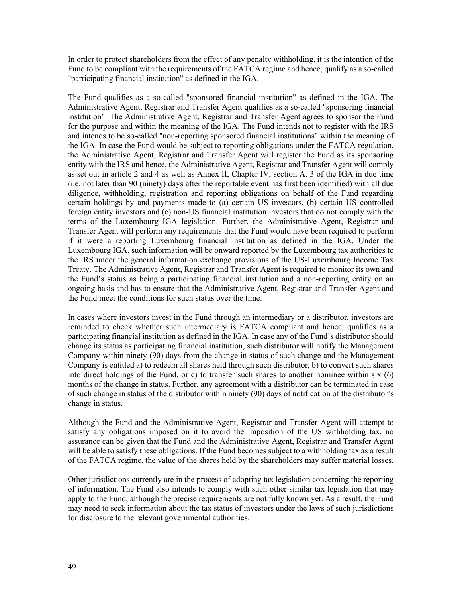In order to protect shareholders from the effect of any penalty withholding, it is the intention of the Fund to be compliant with the requirements of the FATCA regime and hence, qualify as a so-called "participating financial institution" as defined in the IGA.

The Fund qualifies as a so-called "sponsored financial institution" as defined in the IGA. The Administrative Agent, Registrar and Transfer Agent qualifies as a so-called "sponsoring financial institution". The Administrative Agent, Registrar and Transfer Agent agrees to sponsor the Fund for the purpose and within the meaning of the IGA. The Fund intends not to register with the IRS and intends to be so-called "non-reporting sponsored financial institutions" within the meaning of the IGA. In case the Fund would be subject to reporting obligations under the FATCA regulation, the Administrative Agent, Registrar and Transfer Agent will register the Fund as its sponsoring entity with the IRS and hence, the Administrative Agent, Registrar and Transfer Agent will comply as set out in article 2 and 4 as well as Annex II, Chapter IV, section A. 3 of the IGA in due time (i.e. not later than 90 (ninety) days after the reportable event has first been identified) with all due diligence, withholding, registration and reporting obligations on behalf of the Fund regarding certain holdings by and payments made to (a) certain US investors, (b) certain US controlled foreign entity investors and (c) non-US financial institution investors that do not comply with the terms of the Luxembourg IGA legislation. Further, the Administrative Agent, Registrar and Transfer Agent will perform any requirements that the Fund would have been required to perform if it were a reporting Luxembourg financial institution as defined in the IGA. Under the Luxembourg IGA, such information will be onward reported by the Luxembourg tax authorities to the IRS under the general information exchange provisions of the US-Luxembourg Income Tax Treaty. The Administrative Agent, Registrar and Transfer Agent is required to monitor its own and the Fund's status as being a participating financial institution and a non-reporting entity on an ongoing basis and has to ensure that the Administrative Agent, Registrar and Transfer Agent and the Fund meet the conditions for such status over the time.

In cases where investors invest in the Fund through an intermediary or a distributor, investors are reminded to check whether such intermediary is FATCA compliant and hence, qualifies as a participating financial institution as defined in the IGA. In case any of the Fund's distributor should change its status as participating financial institution, such distributor will notify the Management Company within ninety (90) days from the change in status of such change and the Management Company is entitled a) to redeem all shares held through such distributor, b) to convert such shares into direct holdings of the Fund, or c) to transfer such shares to another nominee within six (6) months of the change in status. Further, any agreement with a distributor can be terminated in case of such change in status of the distributor within ninety (90) days of notification of the distributor's change in status.

Although the Fund and the Administrative Agent, Registrar and Transfer Agent will attempt to satisfy any obligations imposed on it to avoid the imposition of the US withholding tax, no assurance can be given that the Fund and the Administrative Agent, Registrar and Transfer Agent will be able to satisfy these obligations. If the Fund becomes subject to a withholding tax as a result of the FATCA regime, the value of the shares held by the shareholders may suffer material losses.

Other jurisdictions currently are in the process of adopting tax legislation concerning the reporting of information. The Fund also intends to comply with such other similar tax legislation that may apply to the Fund, although the precise requirements are not fully known yet. As a result, the Fund may need to seek information about the tax status of investors under the laws of such jurisdictions for disclosure to the relevant governmental authorities.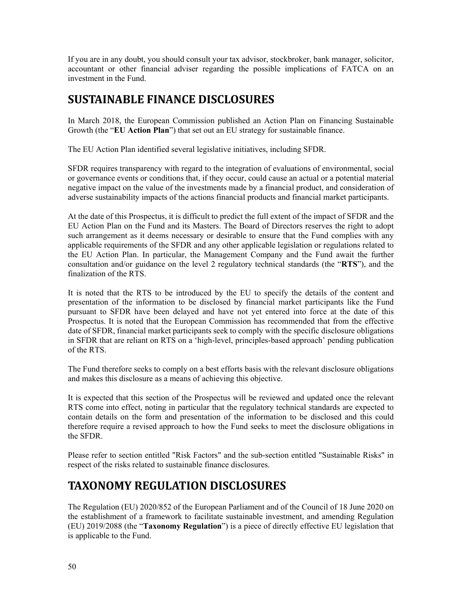If you are in any doubt, you should consult your tax advisor, stockbroker, bank manager, solicitor, accountant or other financial adviser regarding the possible implications of FATCA on an investment in the Fund.

# **SUSTAINABLE FINANCE DISCLOSURES**

In March 2018, the European Commission published an Action Plan on Financing Sustainable Growth (the "**EU Action Plan**") that set out an EU strategy for sustainable finance.

The EU Action Plan identified several legislative initiatives, including SFDR.

SFDR requires transparency with regard to the integration of evaluations of environmental, social or governance events or conditions that, if they occur, could cause an actual or a potential material negative impact on the value of the investments made by a financial product, and consideration of adverse sustainability impacts of the actions financial products and financial market participants.

At the date of this Prospectus, it is difficult to predict the full extent of the impact of SFDR and the EU Action Plan on the Fund and its Masters. The Board of Directors reserves the right to adopt such arrangement as it deems necessary or desirable to ensure that the Fund complies with any applicable requirements of the SFDR and any other applicable legislation or regulations related to the EU Action Plan. In particular, the Management Company and the Fund await the further consultation and/or guidance on the level 2 regulatory technical standards (the "**RTS**"), and the finalization of the RTS.

It is noted that the RTS to be introduced by the EU to specify the details of the content and presentation of the information to be disclosed by financial market participants like the Fund pursuant to SFDR have been delayed and have not yet entered into force at the date of this Prospectus. It is noted that the European Commission has recommended that from the effective date of SFDR, financial market participants seek to comply with the specific disclosure obligations in SFDR that are reliant on RTS on a 'high-level, principles-based approach' pending publication of the RTS.

The Fund therefore seeks to comply on a best efforts basis with the relevant disclosure obligations and makes this disclosure as a means of achieving this objective.

It is expected that this section of the Prospectus will be reviewed and updated once the relevant RTS come into effect, noting in particular that the regulatory technical standards are expected to contain details on the form and presentation of the information to be disclosed and this could therefore require a revised approach to how the Fund seeks to meet the disclosure obligations in the SFDR.

Please refer to section entitled "Risk Factors" and the sub-section entitled "Sustainable Risks" in respect of the risks related to sustainable finance disclosures.

# **TAXONOMY REGULATION DISCLOSURES**

The Regulation (EU) 2020/852 of the European Parliament and of the Council of 18 June 2020 on the establishment of a framework to facilitate sustainable investment, and amending Regulation (EU) 2019/2088 (the "**Taxonomy Regulation**") is a piece of directly effective EU legislation that is applicable to the Fund.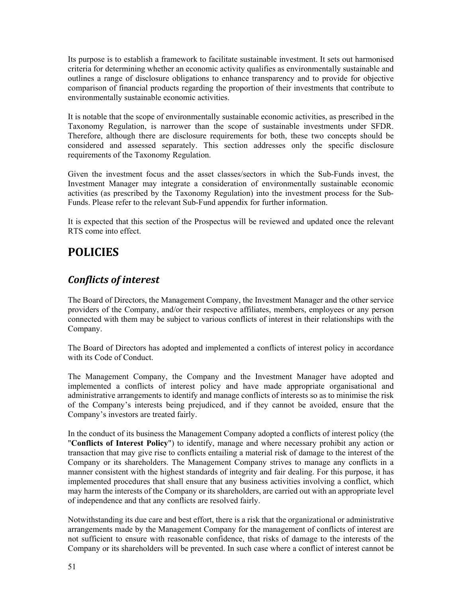Its purpose is to establish a framework to facilitate sustainable investment. It sets out harmonised criteria for determining whether an economic activity qualifies as environmentally sustainable and outlines a range of disclosure obligations to enhance transparency and to provide for objective comparison of financial products regarding the proportion of their investments that contribute to environmentally sustainable economic activities.

It is notable that the scope of environmentally sustainable economic activities, as prescribed in the Taxonomy Regulation, is narrower than the scope of sustainable investments under SFDR. Therefore, although there are disclosure requirements for both, these two concepts should be considered and assessed separately. This section addresses only the specific disclosure requirements of the Taxonomy Regulation.

Given the investment focus and the asset classes/sectors in which the Sub-Funds invest, the Investment Manager may integrate a consideration of environmentally sustainable economic activities (as prescribed by the Taxonomy Regulation) into the investment process for the Sub-Funds. Please refer to the relevant Sub-Fund appendix for further information.

It is expected that this section of the Prospectus will be reviewed and updated once the relevant RTS come into effect.

# **POLICIES**

## *Conflicts of interest*

The Board of Directors, the Management Company, the Investment Manager and the other service providers of the Company, and/or their respective affiliates, members, employees or any person connected with them may be subject to various conflicts of interest in their relationships with the Company.

The Board of Directors has adopted and implemented a conflicts of interest policy in accordance with its Code of Conduct.

The Management Company, the Company and the Investment Manager have adopted and implemented a conflicts of interest policy and have made appropriate organisational and administrative arrangements to identify and manage conflicts of interests so as to minimise the risk of the Company's interests being prejudiced, and if they cannot be avoided, ensure that the Company's investors are treated fairly.

In the conduct of its business the Management Company adopted a conflicts of interest policy (the "**Conflicts of Interest Policy**") to identify, manage and where necessary prohibit any action or transaction that may give rise to conflicts entailing a material risk of damage to the interest of the Company or its shareholders. The Management Company strives to manage any conflicts in a manner consistent with the highest standards of integrity and fair dealing. For this purpose, it has implemented procedures that shall ensure that any business activities involving a conflict, which may harm the interests of the Company or its shareholders, are carried out with an appropriate level of independence and that any conflicts are resolved fairly.

Notwithstanding its due care and best effort, there is a risk that the organizational or administrative arrangements made by the Management Company for the management of conflicts of interest are not sufficient to ensure with reasonable confidence, that risks of damage to the interests of the Company or its shareholders will be prevented. In such case where a conflict of interest cannot be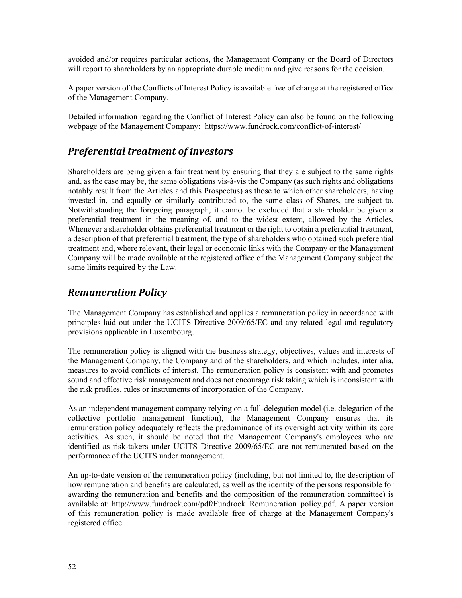avoided and/or requires particular actions, the Management Company or the Board of Directors will report to shareholders by an appropriate durable medium and give reasons for the decision.

A paper version of the Conflicts of Interest Policy is available free of charge at the registered office of the Management Company.

Detailed information regarding the Conflict of Interest Policy can also be found on the following webpage of the Management Company: https://www.fundrock.com/conflict-of-interest/

## *Preferential treatment of investors*

Shareholders are being given a fair treatment by ensuring that they are subject to the same rights and, as the case may be, the same obligations vis-à-vis the Company (as such rights and obligations notably result from the Articles and this Prospectus) as those to which other shareholders, having invested in, and equally or similarly contributed to, the same class of Shares, are subject to. Notwithstanding the foregoing paragraph, it cannot be excluded that a shareholder be given a preferential treatment in the meaning of, and to the widest extent, allowed by the Articles. Whenever a shareholder obtains preferential treatment or the right to obtain a preferential treatment, a description of that preferential treatment, the type of shareholders who obtained such preferential treatment and, where relevant, their legal or economic links with the Company or the Management Company will be made available at the registered office of the Management Company subject the same limits required by the Law.

## *Remuneration Policy*

The Management Company has established and applies a remuneration policy in accordance with principles laid out under the UCITS Directive 2009/65/EC and any related legal and regulatory provisions applicable in Luxembourg.

The remuneration policy is aligned with the business strategy, objectives, values and interests of the Management Company, the Company and of the shareholders, and which includes, inter alia, measures to avoid conflicts of interest. The remuneration policy is consistent with and promotes sound and effective risk management and does not encourage risk taking which is inconsistent with the risk profiles, rules or instruments of incorporation of the Company.

As an independent management company relying on a full-delegation model (i.e. delegation of the collective portfolio management function), the Management Company ensures that its remuneration policy adequately reflects the predominance of its oversight activity within its core activities. As such, it should be noted that the Management Company's employees who are identified as risk-takers under UCITS Directive 2009/65/EC are not remunerated based on the performance of the UCITS under management.

An up-to-date version of the remuneration policy (including, but not limited to, the description of how remuneration and benefits are calculated, as well as the identity of the persons responsible for awarding the remuneration and benefits and the composition of the remuneration committee) is available at: http://www.fundrock.com/pdf/Fundrock\_Remuneration\_policy.pdf. A paper version of this remuneration policy is made available free of charge at the Management Company's registered office.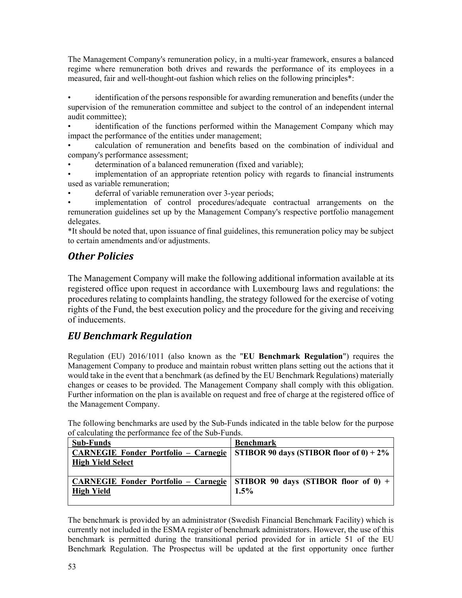The Management Company's remuneration policy, in a multi-year framework, ensures a balanced regime where remuneration both drives and rewards the performance of its employees in a measured, fair and well-thought-out fashion which relies on the following principles\*:

• identification of the persons responsible for awarding remuneration and benefits (under the supervision of the remuneration committee and subject to the control of an independent internal audit committee);

• identification of the functions performed within the Management Company which may impact the performance of the entities under management;

• calculation of remuneration and benefits based on the combination of individual and company's performance assessment;

determination of a balanced remuneration (fixed and variable);

implementation of an appropriate retention policy with regards to financial instruments used as variable remuneration;

deferral of variable remuneration over 3-year periods;

• implementation of control procedures/adequate contractual arrangements on the remuneration guidelines set up by the Management Company's respective portfolio management delegates.

\*It should be noted that, upon issuance of final guidelines, this remuneration policy may be subject to certain amendments and/or adjustments.

## *Other Policies*

The Management Company will make the following additional information available at its registered office upon request in accordance with Luxembourg laws and regulations: the procedures relating to complaints handling, the strategy followed for the exercise of voting rights of the Fund, the best execution policy and the procedure for the giving and receiving of inducements.

## *EU Benchmark Regulation*

Regulation (EU) 2016/1011 (also known as the "**EU Benchmark Regulation**") requires the Management Company to produce and maintain robust written plans setting out the actions that it would take in the event that a benchmark (as defined by the EU Benchmark Regulations) materially changes or ceases to be provided. The Management Company shall comply with this obligation. Further information on the plan is available on request and free of charge at the registered office of the Management Company.

The following benchmarks are used by the Sub-Funds indicated in the table below for the purpose of calculating the performance fee of the Sub-Funds.

| <b>Sub-Funds</b>                            | <b>Benchmark</b>                                                                   |
|---------------------------------------------|------------------------------------------------------------------------------------|
| <b>CARNEGIE Fonder Portfolio – Carnegie</b> | STIBOR 90 days (STIBOR floor of $0$ ) + 2%                                         |
| <b>High Yield Select</b>                    |                                                                                    |
|                                             |                                                                                    |
|                                             | <b>CARNEGIE Fonder Portfolio – Carnegie   STIBOR 90 days (STIBOR floor of 0) +</b> |
| <b>High Yield</b>                           | 1.5%                                                                               |
|                                             |                                                                                    |

The benchmark is provided by an administrator (Swedish Financial Benchmark Facility) which is currently not included in the ESMA register of benchmark administrators. However, the use of this benchmark is permitted during the transitional period provided for in article 51 of the EU Benchmark Regulation. The Prospectus will be updated at the first opportunity once further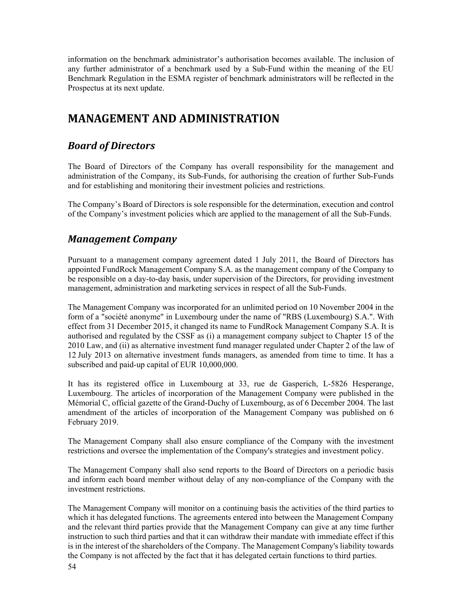information on the benchmark administrator's authorisation becomes available. The inclusion of any further administrator of a benchmark used by a Sub-Fund within the meaning of the EU Benchmark Regulation in the ESMA register of benchmark administrators will be reflected in the Prospectus at its next update.

# **MANAGEMENT AND ADMINISTRATION**

## *Board of Directors*

The Board of Directors of the Company has overall responsibility for the management and administration of the Company, its Sub-Funds, for authorising the creation of further Sub-Funds and for establishing and monitoring their investment policies and restrictions.

The Company's Board of Directors is sole responsible for the determination, execution and control of the Company's investment policies which are applied to the management of all the Sub-Funds.

## *Management Company*

Pursuant to a management company agreement dated 1 July 2011, the Board of Directors has appointed FundRock Management Company S.A. as the management company of the Company to be responsible on a day-to-day basis, under supervision of the Directors, for providing investment management, administration and marketing services in respect of all the Sub-Funds.

The Management Company was incorporated for an unlimited period on 10 November 2004 in the form of a "société anonyme" in Luxembourg under the name of "RBS (Luxembourg) S.A.". With effect from 31 December 2015, it changed its name to FundRock Management Company S.A. It is authorised and regulated by the CSSF as (i) a management company subject to Chapter 15 of the 2010 Law, and (ii) as alternative investment fund manager regulated under Chapter 2 of the law of 12 July 2013 on alternative investment funds managers, as amended from time to time. It has a subscribed and paid-up capital of EUR 10,000,000.

It has its registered office in Luxembourg at 33, rue de Gasperich, L-5826 Hesperange, Luxembourg. The articles of incorporation of the Management Company were published in the Mémorial C, official gazette of the Grand-Duchy of Luxembourg, as of 6 December 2004. The last amendment of the articles of incorporation of the Management Company was published on 6 February 2019.

The Management Company shall also ensure compliance of the Company with the investment restrictions and oversee the implementation of the Company's strategies and investment policy.

The Management Company shall also send reports to the Board of Directors on a periodic basis and inform each board member without delay of any non-compliance of the Company with the investment restrictions.

The Management Company will monitor on a continuing basis the activities of the third parties to which it has delegated functions. The agreements entered into between the Management Company and the relevant third parties provide that the Management Company can give at any time further instruction to such third parties and that it can withdraw their mandate with immediate effect if this is in the interest of the shareholders of the Company. The Management Company's liability towards the Company is not affected by the fact that it has delegated certain functions to third parties.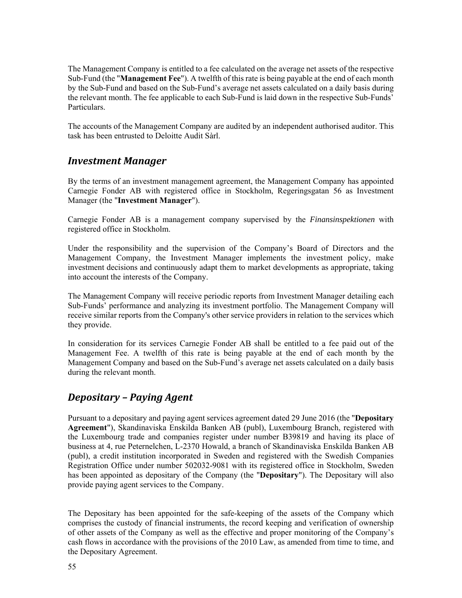The Management Company is entitled to a fee calculated on the average net assets of the respective Sub-Fund (the "**Management Fee**"). A twelfth of this rate is being payable at the end of each month by the Sub-Fund and based on the Sub-Fund's average net assets calculated on a daily basis during the relevant month. The fee applicable to each Sub-Fund is laid down in the respective Sub-Funds' Particulars.

The accounts of the Management Company are audited by an independent authorised auditor. This task has been entrusted to Deloitte Audit Sàrl.

### *Investment Manager*

By the terms of an investment management agreement, the Management Company has appointed Carnegie Fonder AB with registered office in Stockholm, Regeringsgatan 56 as Investment Manager (the "**Investment Manager**").

Carnegie Fonder AB is a management company supervised by the *Finansinspektionen* with registered office in Stockholm.

Under the responsibility and the supervision of the Company's Board of Directors and the Management Company, the Investment Manager implements the investment policy, make investment decisions and continuously adapt them to market developments as appropriate, taking into account the interests of the Company.

The Management Company will receive periodic reports from Investment Manager detailing each Sub-Funds' performance and analyzing its investment portfolio. The Management Company will receive similar reports from the Company's other service providers in relation to the services which they provide.

In consideration for its services Carnegie Fonder AB shall be entitled to a fee paid out of the Management Fee. A twelfth of this rate is being payable at the end of each month by the Management Company and based on the Sub-Fund's average net assets calculated on a daily basis during the relevant month.

## *Depositary – Paying Agent*

Pursuant to a depositary and paying agent services agreement dated 29 June 2016 (the "**Depositary Agreement**"), Skandinaviska Enskilda Banken AB (publ), Luxembourg Branch, registered with the Luxembourg trade and companies register under number B39819 and having its place of business at 4, rue Peternelchen, L-2370 Howald, a branch of Skandinaviska Enskilda Banken AB (publ), a credit institution incorporated in Sweden and registered with the Swedish Companies Registration Office under number 502032-9081 with its registered office in Stockholm, Sweden has been appointed as depositary of the Company (the "**Depositary**"). The Depositary will also provide paying agent services to the Company.

The Depositary has been appointed for the safe-keeping of the assets of the Company which comprises the custody of financial instruments, the record keeping and verification of ownership of other assets of the Company as well as the effective and proper monitoring of the Company's cash flows in accordance with the provisions of the 2010 Law, as amended from time to time, and the Depositary Agreement.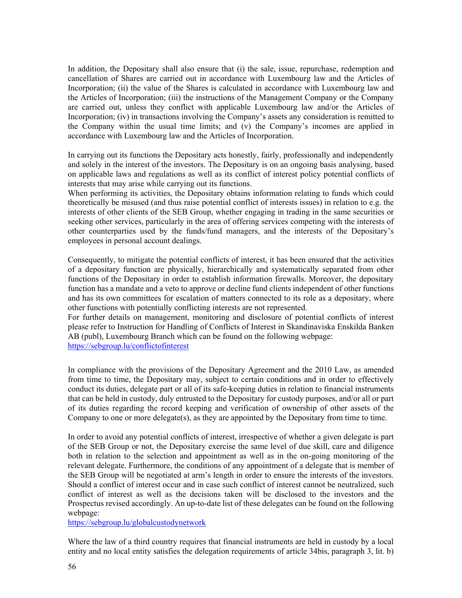In addition, the Depositary shall also ensure that (i) the sale, issue, repurchase, redemption and cancellation of Shares are carried out in accordance with Luxembourg law and the Articles of Incorporation; (ii) the value of the Shares is calculated in accordance with Luxembourg law and the Articles of Incorporation; (iii) the instructions of the Management Company or the Company are carried out, unless they conflict with applicable Luxembourg law and/or the Articles of Incorporation; (iv) in transactions involving the Company's assets any consideration is remitted to the Company within the usual time limits; and (v) the Company's incomes are applied in accordance with Luxembourg law and the Articles of Incorporation.

In carrying out its functions the Depositary acts honestly, fairly, professionally and independently and solely in the interest of the investors. The Depositary is on an ongoing basis analysing, based on applicable laws and regulations as well as its conflict of interest policy potential conflicts of interests that may arise while carrying out its functions.

When performing its activities, the Depositary obtains information relating to funds which could theoretically be misused (and thus raise potential conflict of interests issues) in relation to e.g. the interests of other clients of the SEB Group, whether engaging in trading in the same securities or seeking other services, particularly in the area of offering services competing with the interests of other counterparties used by the funds/fund managers, and the interests of the Depositary's employees in personal account dealings.

Consequently, to mitigate the potential conflicts of interest, it has been ensured that the activities of a depositary function are physically, hierarchically and systematically separated from other functions of the Depositary in order to establish information firewalls. Moreover, the depositary function has a mandate and a veto to approve or decline fund clients independent of other functions and has its own committees for escalation of matters connected to its role as a depositary, where other functions with potentially conflicting interests are not represented.

For further details on management, monitoring and disclosure of potential conflicts of interest please refer to Instruction for Handling of Conflicts of Interest in Skandinaviska Enskilda Banken AB (publ), Luxembourg Branch which can be found on the following webpage: https://sebgroup.lu/conflictofinterest

In compliance with the provisions of the Depositary Agreement and the 2010 Law, as amended from time to time, the Depositary may, subject to certain conditions and in order to effectively conduct its duties, delegate part or all of its safe-keeping duties in relation to financial instruments that can be held in custody, duly entrusted to the Depositary for custody purposes, and/or all or part of its duties regarding the record keeping and verification of ownership of other assets of the Company to one or more delegate(s), as they are appointed by the Depositary from time to time.

In order to avoid any potential conflicts of interest, irrespective of whether a given delegate is part of the SEB Group or not, the Depositary exercise the same level of due skill, care and diligence both in relation to the selection and appointment as well as in the on-going monitoring of the relevant delegate. Furthermore, the conditions of any appointment of a delegate that is member of the SEB Group will be negotiated at arm's length in order to ensure the interests of the investors. Should a conflict of interest occur and in case such conflict of interest cannot be neutralized, such conflict of interest as well as the decisions taken will be disclosed to the investors and the Prospectus revised accordingly. An up-to-date list of these delegates can be found on the following webpage:

https://sebgroup.lu/globalcustodynetwork

Where the law of a third country requires that financial instruments are held in custody by a local entity and no local entity satisfies the delegation requirements of article 34bis, paragraph 3, lit. b)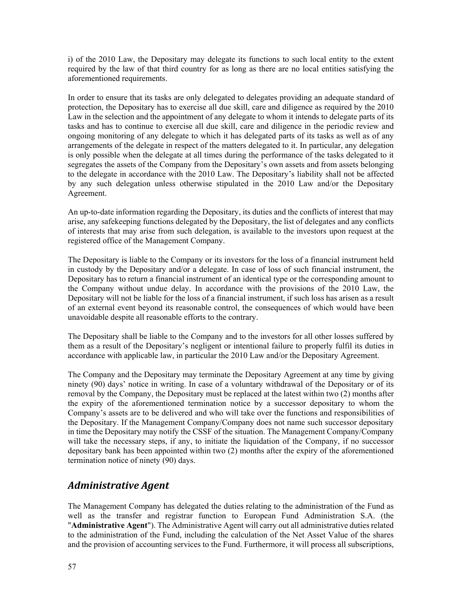i) of the 2010 Law, the Depositary may delegate its functions to such local entity to the extent required by the law of that third country for as long as there are no local entities satisfying the aforementioned requirements.

In order to ensure that its tasks are only delegated to delegates providing an adequate standard of protection, the Depositary has to exercise all due skill, care and diligence as required by the 2010 Law in the selection and the appointment of any delegate to whom it intends to delegate parts of its tasks and has to continue to exercise all due skill, care and diligence in the periodic review and ongoing monitoring of any delegate to which it has delegated parts of its tasks as well as of any arrangements of the delegate in respect of the matters delegated to it. In particular, any delegation is only possible when the delegate at all times during the performance of the tasks delegated to it segregates the assets of the Company from the Depositary's own assets and from assets belonging to the delegate in accordance with the 2010 Law. The Depositary's liability shall not be affected by any such delegation unless otherwise stipulated in the 2010 Law and/or the Depositary Agreement.

An up-to-date information regarding the Depositary, its duties and the conflicts of interest that may arise, any safekeeping functions delegated by the Depositary, the list of delegates and any conflicts of interests that may arise from such delegation, is available to the investors upon request at the registered office of the Management Company.

The Depositary is liable to the Company or its investors for the loss of a financial instrument held in custody by the Depositary and/or a delegate. In case of loss of such financial instrument, the Depositary has to return a financial instrument of an identical type or the corresponding amount to the Company without undue delay. In accordance with the provisions of the 2010 Law, the Depositary will not be liable for the loss of a financial instrument, if such loss has arisen as a result of an external event beyond its reasonable control, the consequences of which would have been unavoidable despite all reasonable efforts to the contrary.

The Depositary shall be liable to the Company and to the investors for all other losses suffered by them as a result of the Depositary's negligent or intentional failure to properly fulfil its duties in accordance with applicable law, in particular the 2010 Law and/or the Depositary Agreement.

The Company and the Depositary may terminate the Depositary Agreement at any time by giving ninety (90) days' notice in writing. In case of a voluntary withdrawal of the Depositary or of its removal by the Company, the Depositary must be replaced at the latest within two (2) months after the expiry of the aforementioned termination notice by a successor depositary to whom the Company's assets are to be delivered and who will take over the functions and responsibilities of the Depositary. If the Management Company/Company does not name such successor depositary in time the Depositary may notify the CSSF of the situation. The Management Company/Company will take the necessary steps, if any, to initiate the liquidation of the Company, if no successor depositary bank has been appointed within two (2) months after the expiry of the aforementioned termination notice of ninety (90) days.

## *Administrative Agent*

The Management Company has delegated the duties relating to the administration of the Fund as well as the transfer and registrar function to European Fund Administration S.A. (the "**Administrative Agent**"). The Administrative Agent will carry out all administrative duties related to the administration of the Fund, including the calculation of the Net Asset Value of the shares and the provision of accounting services to the Fund. Furthermore, it will process all subscriptions,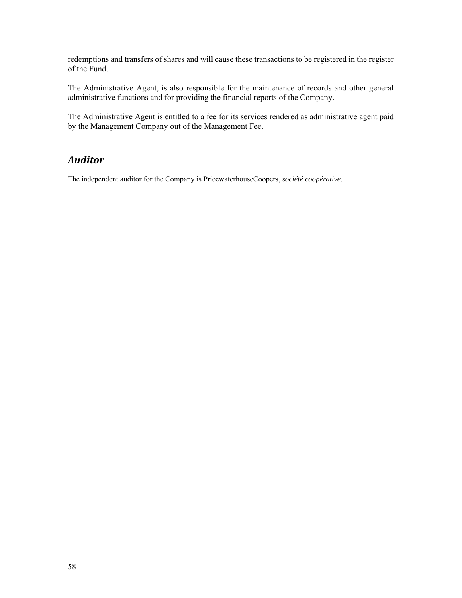redemptions and transfers of shares and will cause these transactions to be registered in the register of the Fund.

The Administrative Agent, is also responsible for the maintenance of records and other general administrative functions and for providing the financial reports of the Company.

The Administrative Agent is entitled to a fee for its services rendered as administrative agent paid by the Management Company out of the Management Fee.

## *Auditor*

The independent auditor for the Company is PricewaterhouseCoopers, *société coopérative*.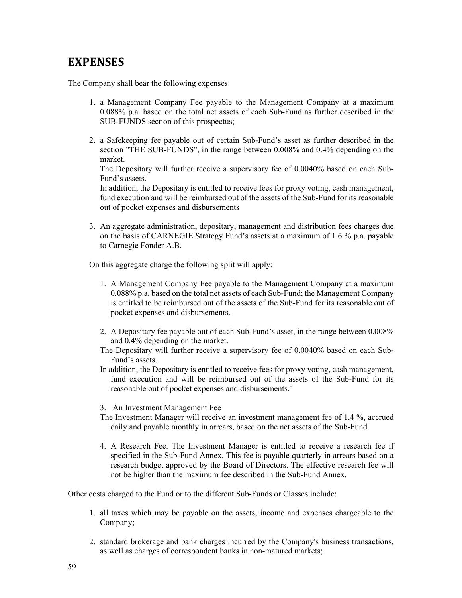# **EXPENSES**

The Company shall bear the following expenses:

- 1. a Management Company Fee payable to the Management Company at a maximum 0.088% p.a. based on the total net assets of each Sub-Fund as further described in the SUB-FUNDS section of this prospectus;
- 2. a Safekeeping fee payable out of certain Sub-Fund's asset as further described in the section "THE SUB-FUNDS", in the range between 0.008% and 0.4% depending on the market.

The Depositary will further receive a supervisory fee of 0.0040% based on each Sub-Fund's assets.

In addition, the Depositary is entitled to receive fees for proxy voting, cash management, fund execution and will be reimbursed out of the assets of the Sub-Fund for its reasonable out of pocket expenses and disbursements

3. An aggregate administration, depositary, management and distribution fees charges due on the basis of CARNEGIE Strategy Fund's assets at a maximum of 1.6 % p.a. payable to Carnegie Fonder A.B.

On this aggregate charge the following split will apply:

- 1. A Management Company Fee payable to the Management Company at a maximum 0.088% p.a. based on the total net assets of each Sub-Fund; the Management Company is entitled to be reimbursed out of the assets of the Sub-Fund for its reasonable out of pocket expenses and disbursements.
- 2. A Depositary fee payable out of each Sub-Fund's asset, in the range between 0.008% and 0.4% depending on the market.
- The Depositary will further receive a supervisory fee of 0.0040% based on each Sub-Fund's assets.
- In addition, the Depositary is entitled to receive fees for proxy voting, cash management, fund execution and will be reimbursed out of the assets of the Sub-Fund for its reasonable out of pocket expenses and disbursements.¨
- 3. An Investment Management Fee
- The Investment Manager will receive an investment management fee of 1,4 %, accrued daily and payable monthly in arrears, based on the net assets of the Sub-Fund
- 4. A Research Fee. The Investment Manager is entitled to receive a research fee if specified in the Sub-Fund Annex. This fee is payable quarterly in arrears based on a research budget approved by the Board of Directors. The effective research fee will not be higher than the maximum fee described in the Sub-Fund Annex.

Other costs charged to the Fund or to the different Sub-Funds or Classes include:

- 1. all taxes which may be payable on the assets, income and expenses chargeable to the Company;
- 2. standard brokerage and bank charges incurred by the Company's business transactions, as well as charges of correspondent banks in non-matured markets;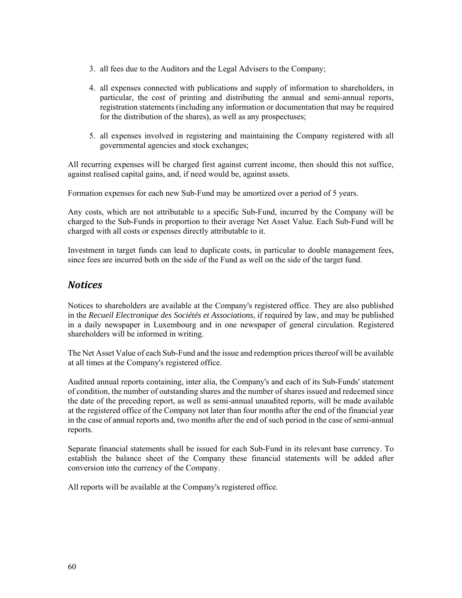- 3. all fees due to the Auditors and the Legal Advisers to the Company;
- 4. all expenses connected with publications and supply of information to shareholders, in particular, the cost of printing and distributing the annual and semi-annual reports, registration statements (including any information or documentation that may be required for the distribution of the shares), as well as any prospectuses;
- 5. all expenses involved in registering and maintaining the Company registered with all governmental agencies and stock exchanges;

All recurring expenses will be charged first against current income, then should this not suffice, against realised capital gains, and, if need would be, against assets.

Formation expenses for each new Sub-Fund may be amortized over a period of 5 years.

Any costs, which are not attributable to a specific Sub-Fund, incurred by the Company will be charged to the Sub-Funds in proportion to their average Net Asset Value. Each Sub-Fund will be charged with all costs or expenses directly attributable to it.

Investment in target funds can lead to duplicate costs, in particular to double management fees, since fees are incurred both on the side of the Fund as well on the side of the target fund.

## *Notices*

Notices to shareholders are available at the Company's registered office. They are also published in the *Recueil Electronique des Sociétés et Associations*, if required by law, and may be published in a daily newspaper in Luxembourg and in one newspaper of general circulation. Registered shareholders will be informed in writing.

The Net Asset Value of each Sub-Fund and the issue and redemption prices thereof will be available at all times at the Company's registered office.

Audited annual reports containing, inter alia, the Company's and each of its Sub-Funds' statement of condition, the number of outstanding shares and the number of shares issued and redeemed since the date of the preceding report, as well as semi-annual unaudited reports, will be made available at the registered office of the Company not later than four months after the end of the financial year in the case of annual reports and, two months after the end of such period in the case of semi-annual reports.

Separate financial statements shall be issued for each Sub-Fund in its relevant base currency. To establish the balance sheet of the Company these financial statements will be added after conversion into the currency of the Company.

All reports will be available at the Company's registered office.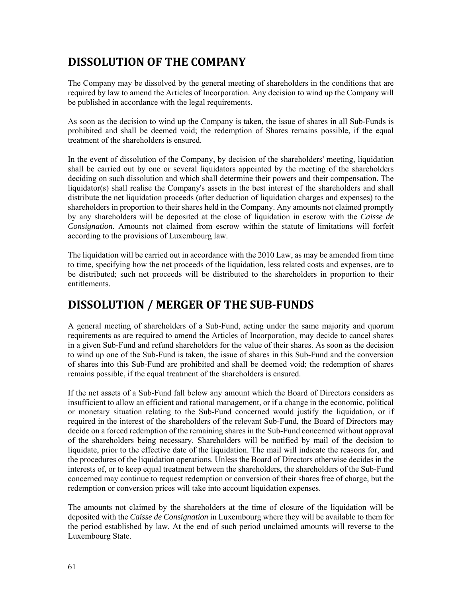# **DISSOLUTION OF THE COMPANY**

The Company may be dissolved by the general meeting of shareholders in the conditions that are required by law to amend the Articles of Incorporation. Any decision to wind up the Company will be published in accordance with the legal requirements.

As soon as the decision to wind up the Company is taken, the issue of shares in all Sub-Funds is prohibited and shall be deemed void; the redemption of Shares remains possible, if the equal treatment of the shareholders is ensured.

In the event of dissolution of the Company, by decision of the shareholders' meeting, liquidation shall be carried out by one or several liquidators appointed by the meeting of the shareholders deciding on such dissolution and which shall determine their powers and their compensation. The liquidator(s) shall realise the Company's assets in the best interest of the shareholders and shall distribute the net liquidation proceeds (after deduction of liquidation charges and expenses) to the shareholders in proportion to their shares held in the Company. Any amounts not claimed promptly by any shareholders will be deposited at the close of liquidation in escrow with the *Caisse de Consignation*. Amounts not claimed from escrow within the statute of limitations will forfeit according to the provisions of Luxembourg law.

The liquidation will be carried out in accordance with the 2010 Law, as may be amended from time to time, specifying how the net proceeds of the liquidation, less related costs and expenses, are to be distributed; such net proceeds will be distributed to the shareholders in proportion to their entitlements.

# **DISSOLUTION / MERGER OF THE SUB‐FUNDS**

A general meeting of shareholders of a Sub-Fund, acting under the same majority and quorum requirements as are required to amend the Articles of Incorporation, may decide to cancel shares in a given Sub-Fund and refund shareholders for the value of their shares. As soon as the decision to wind up one of the Sub-Fund is taken, the issue of shares in this Sub-Fund and the conversion of shares into this Sub-Fund are prohibited and shall be deemed void; the redemption of shares remains possible, if the equal treatment of the shareholders is ensured.

If the net assets of a Sub-Fund fall below any amount which the Board of Directors considers as insufficient to allow an efficient and rational management, or if a change in the economic, political or monetary situation relating to the Sub-Fund concerned would justify the liquidation, or if required in the interest of the shareholders of the relevant Sub-Fund, the Board of Directors may decide on a forced redemption of the remaining shares in the Sub-Fund concerned without approval of the shareholders being necessary. Shareholders will be notified by mail of the decision to liquidate, prior to the effective date of the liquidation. The mail will indicate the reasons for, and the procedures of the liquidation operations. Unless the Board of Directors otherwise decides in the interests of, or to keep equal treatment between the shareholders, the shareholders of the Sub-Fund concerned may continue to request redemption or conversion of their shares free of charge, but the redemption or conversion prices will take into account liquidation expenses.

The amounts not claimed by the shareholders at the time of closure of the liquidation will be deposited with the *Caisse de Consignation* in Luxembourg where they will be available to them for the period established by law. At the end of such period unclaimed amounts will reverse to the Luxembourg State.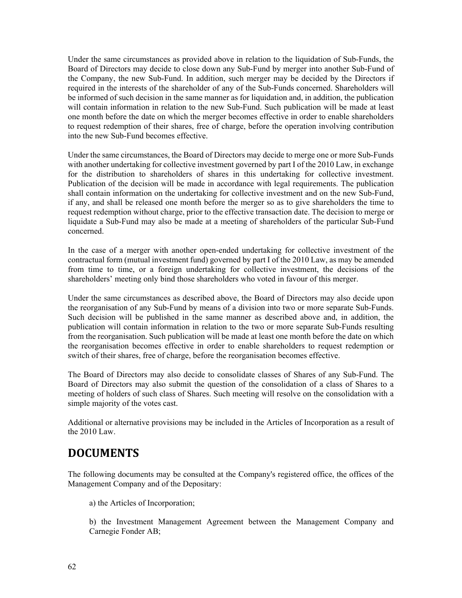Under the same circumstances as provided above in relation to the liquidation of Sub-Funds, the Board of Directors may decide to close down any Sub-Fund by merger into another Sub-Fund of the Company, the new Sub-Fund. In addition, such merger may be decided by the Directors if required in the interests of the shareholder of any of the Sub-Funds concerned. Shareholders will be informed of such decision in the same manner as for liquidation and, in addition, the publication will contain information in relation to the new Sub-Fund. Such publication will be made at least one month before the date on which the merger becomes effective in order to enable shareholders to request redemption of their shares, free of charge, before the operation involving contribution into the new Sub-Fund becomes effective.

Under the same circumstances, the Board of Directors may decide to merge one or more Sub-Funds with another undertaking for collective investment governed by part I of the 2010 Law, in exchange for the distribution to shareholders of shares in this undertaking for collective investment. Publication of the decision will be made in accordance with legal requirements. The publication shall contain information on the undertaking for collective investment and on the new Sub-Fund, if any, and shall be released one month before the merger so as to give shareholders the time to request redemption without charge, prior to the effective transaction date. The decision to merge or liquidate a Sub-Fund may also be made at a meeting of shareholders of the particular Sub-Fund concerned.

In the case of a merger with another open-ended undertaking for collective investment of the contractual form (mutual investment fund) governed by part I of the 2010 Law, as may be amended from time to time, or a foreign undertaking for collective investment, the decisions of the shareholders' meeting only bind those shareholders who voted in favour of this merger.

Under the same circumstances as described above, the Board of Directors may also decide upon the reorganisation of any Sub-Fund by means of a division into two or more separate Sub-Funds. Such decision will be published in the same manner as described above and, in addition, the publication will contain information in relation to the two or more separate Sub-Funds resulting from the reorganisation. Such publication will be made at least one month before the date on which the reorganisation becomes effective in order to enable shareholders to request redemption or switch of their shares, free of charge, before the reorganisation becomes effective.

The Board of Directors may also decide to consolidate classes of Shares of any Sub-Fund. The Board of Directors may also submit the question of the consolidation of a class of Shares to a meeting of holders of such class of Shares. Such meeting will resolve on the consolidation with a simple majority of the votes cast.

Additional or alternative provisions may be included in the Articles of Incorporation as a result of the 2010 Law.

# **DOCUMENTS**

The following documents may be consulted at the Company's registered office, the offices of the Management Company and of the Depositary:

a) the Articles of Incorporation;

b) the Investment Management Agreement between the Management Company and Carnegie Fonder AB;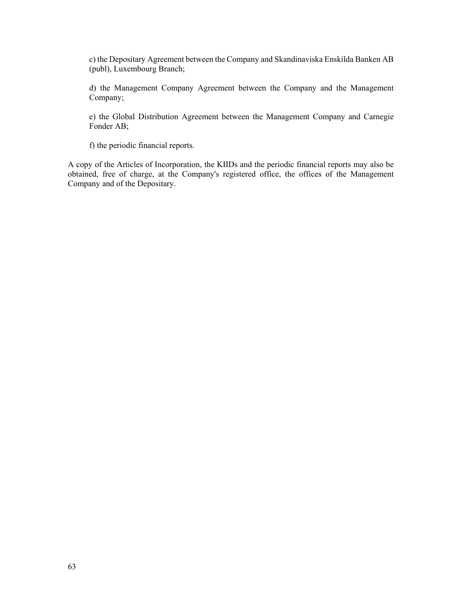c) the Depositary Agreement between the Company and Skandinaviska Enskilda Banken AB (publ), Luxembourg Branch;

d) the Management Company Agreement between the Company and the Management Company;

e) the Global Distribution Agreement between the Management Company and Carnegie Fonder AB;

f) the periodic financial reports.

A copy of the Articles of Incorporation, the KIIDs and the periodic financial reports may also be obtained, free of charge, at the Company's registered office, the offices of the Management Company and of the Depositary.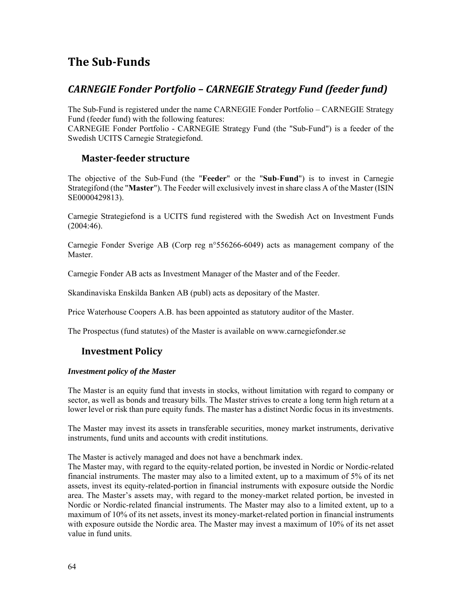# **The Sub‐Funds**

## *CARNEGIE Fonder Portfolio – CARNEGIE Strategy Fund (feeder fund)*

The Sub-Fund is registered under the name CARNEGIE Fonder Portfolio – CARNEGIE Strategy Fund (feeder fund) with the following features:

CARNEGIE Fonder Portfolio - CARNEGIE Strategy Fund (the "Sub-Fund") is a feeder of the Swedish UCITS Carnegie Strategiefond.

### **Master‐feeder structure**

The objective of the Sub-Fund (the "**Feeder**" or the "**Sub**-**Fund**") is to invest in Carnegie Strategifond (the "**Master**"). The Feeder will exclusively invest in share class A of the Master (ISIN SE0000429813).

Carnegie Strategiefond is a UCITS fund registered with the Swedish Act on Investment Funds (2004:46).

Carnegie Fonder Sverige AB (Corp reg n°556266-6049) acts as management company of the Master.

Carnegie Fonder AB acts as Investment Manager of the Master and of the Feeder.

Skandinaviska Enskilda Banken AB (publ) acts as depositary of the Master.

Price Waterhouse Coopers A.B. has been appointed as statutory auditor of the Master.

The Prospectus (fund statutes) of the Master is available on www.carnegiefonder.se

### **Investment Policy**

### *Investment policy of the Master*

The Master is an equity fund that invests in stocks, without limitation with regard to company or sector, as well as bonds and treasury bills. The Master strives to create a long term high return at a lower level or risk than pure equity funds. The master has a distinct Nordic focus in its investments.

The Master may invest its assets in transferable securities, money market instruments, derivative instruments, fund units and accounts with credit institutions.

The Master is actively managed and does not have a benchmark index.

The Master may, with regard to the equity-related portion, be invested in Nordic or Nordic-related financial instruments. The master may also to a limited extent, up to a maximum of 5% of its net assets, invest its equity-related-portion in financial instruments with exposure outside the Nordic area. The Master's assets may, with regard to the money-market related portion, be invested in Nordic or Nordic-related financial instruments. The Master may also to a limited extent, up to a maximum of 10% of its net assets, invest its money-market-related portion in financial instruments with exposure outside the Nordic area. The Master may invest a maximum of 10% of its net asset value in fund units.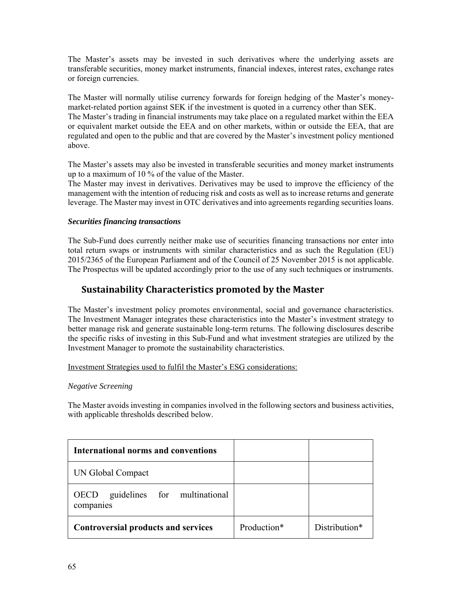The Master's assets may be invested in such derivatives where the underlying assets are transferable securities, money market instruments, financial indexes, interest rates, exchange rates or foreign currencies.

The Master will normally utilise currency forwards for foreign hedging of the Master's moneymarket-related portion against SEK if the investment is quoted in a currency other than SEK. The Master's trading in financial instruments may take place on a regulated market within the EEA or equivalent market outside the EEA and on other markets, within or outside the EEA, that are regulated and open to the public and that are covered by the Master's investment policy mentioned above.

The Master's assets may also be invested in transferable securities and money market instruments up to a maximum of 10 % of the value of the Master.

The Master may invest in derivatives. Derivatives may be used to improve the efficiency of the management with the intention of reducing risk and costs as well as to increase returns and generate leverage. The Master may invest in OTC derivatives and into agreements regarding securities loans.

### *Securities financing transactions*

The Sub-Fund does currently neither make use of securities financing transactions nor enter into total return swaps or instruments with similar characteristics and as such the Regulation (EU) 2015/2365 of the European Parliament and of the Council of 25 November 2015 is not applicable. The Prospectus will be updated accordingly prior to the use of any such techniques or instruments.

## **Sustainability Characteristics promoted by the Master**

The Master's investment policy promotes environmental, social and governance characteristics. The Investment Manager integrates these characteristics into the Master's investment strategy to better manage risk and generate sustainable long-term returns. The following disclosures describe the specific risks of investing in this Sub-Fund and what investment strategies are utilized by the Investment Manager to promote the sustainability characteristics.

### Investment Strategies used to fulfil the Master's ESG considerations:

### *Negative Screening*

The Master avoids investing in companies involved in the following sectors and business activities, with applicable thresholds described below.

| International norms and conventions                      |             |               |
|----------------------------------------------------------|-------------|---------------|
| UN Global Compact                                        |             |               |
| guidelines for multinational<br><b>OECD</b><br>companies |             |               |
| <b>Controversial products and services</b>               | Production* | Distribution* |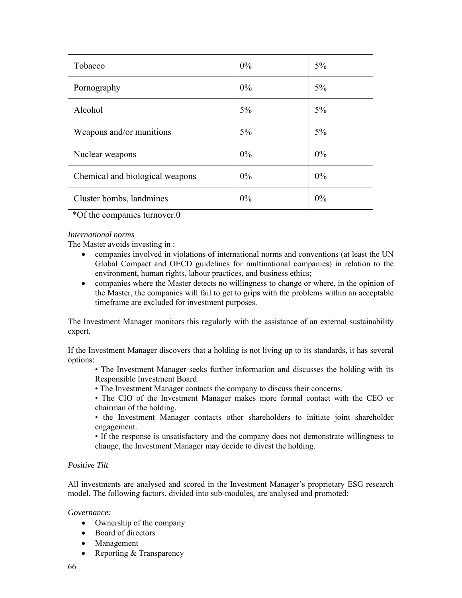| Tobacco                         | $0\%$ | 5%    |
|---------------------------------|-------|-------|
| Pornography                     | 0%    | $5\%$ |
| Alcohol                         | 5%    | $5\%$ |
| Weapons and/or munitions        | $5\%$ | $5\%$ |
| Nuclear weapons                 | 0%    | $0\%$ |
| Chemical and biological weapons | $0\%$ | $0\%$ |
| Cluster bombs, landmines        | 0%    | 0%    |

\*Of the companies turnover.0

### *International norms*

The Master avoids investing in :

- companies involved in violations of international norms and conventions (at least the UN Global Compact and OECD guidelines for multinational companies) in relation to the environment, human rights, labour practices, and business ethics;
- companies where the Master detects no willingness to change or where, in the opinion of the Master, the companies will fail to get to grips with the problems within an acceptable timeframe are excluded for investment purposes.

The Investment Manager monitors this regularly with the assistance of an external sustainability expert.

If the Investment Manager discovers that a holding is not living up to its standards, it has several options:

- The Investment Manager seeks further information and discusses the holding with its Responsible Investment Board
- The Investment Manager contacts the company to discuss their concerns.
- The CIO of the Investment Manager makes more formal contact with the CEO or chairman of the holding.
- the Investment Manager contacts other shareholders to initiate joint shareholder engagement.

• If the response is unsatisfactory and the company does not demonstrate willingness to change, the Investment Manager may decide to divest the holding.

### *Positive Tilt*

All investments are analysed and scored in the Investment Manager's proprietary ESG research model. The following factors, divided into sub-modules, are analysed and promoted:

*Governance:* 

- Ownership of the company
- Board of directors
- Management
- Reporting  $&$  Transparency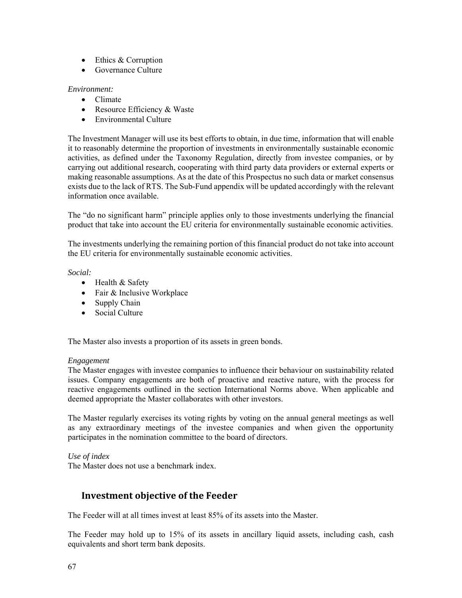- Ethics & Corruption
- Governance Culture

### *Environment:*

- Climate
- Resource Efficiency & Waste
- Environmental Culture

The Investment Manager will use its best efforts to obtain, in due time, information that will enable it to reasonably determine the proportion of investments in environmentally sustainable economic activities, as defined under the Taxonomy Regulation, directly from investee companies, or by carrying out additional research, cooperating with third party data providers or external experts or making reasonable assumptions. As at the date of this Prospectus no such data or market consensus exists due to the lack of RTS. The Sub-Fund appendix will be updated accordingly with the relevant information once available.

The "do no significant harm" principle applies only to those investments underlying the financial product that take into account the EU criteria for environmentally sustainable economic activities.

The investments underlying the remaining portion of this financial product do not take into account the EU criteria for environmentally sustainable economic activities.

### *Social:*

- Health & Safety
- Fair & Inclusive Workplace
- Supply Chain
- Social Culture

The Master also invests a proportion of its assets in green bonds.

### *Engagement*

The Master engages with investee companies to influence their behaviour on sustainability related issues. Company engagements are both of proactive and reactive nature, with the process for reactive engagements outlined in the section International Norms above. When applicable and deemed appropriate the Master collaborates with other investors.

The Master regularly exercises its voting rights by voting on the annual general meetings as well as any extraordinary meetings of the investee companies and when given the opportunity participates in the nomination committee to the board of directors.

### *Use of index*

The Master does not use a benchmark index.

## **Investment objective of the Feeder**

The Feeder will at all times invest at least 85% of its assets into the Master.

The Feeder may hold up to 15% of its assets in ancillary liquid assets, including cash, cash equivalents and short term bank deposits.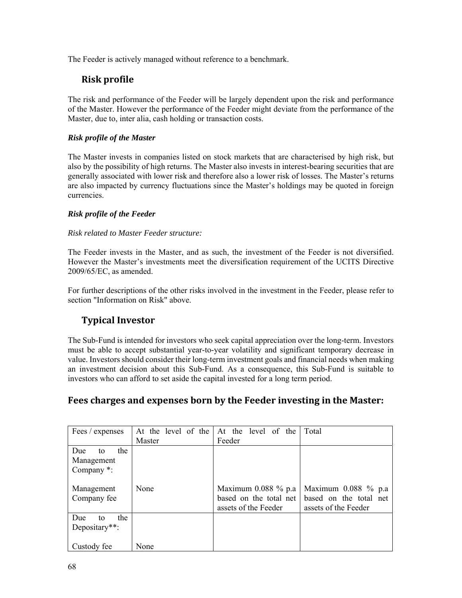The Feeder is actively managed without reference to a benchmark.

## **Risk** profile

The risk and performance of the Feeder will be largely dependent upon the risk and performance of the Master. However the performance of the Feeder might deviate from the performance of the Master, due to, inter alia, cash holding or transaction costs.

### *Risk profile of the Master*

The Master invests in companies listed on stock markets that are characterised by high risk, but also by the possibility of high returns. The Master also invests in interest-bearing securities that are generally associated with lower risk and therefore also a lower risk of losses. The Master's returns are also impacted by currency fluctuations since the Master's holdings may be quoted in foreign currencies.

### *Risk profile of the Feeder*

### *Risk related to Master Feeder structure:*

The Feeder invests in the Master, and as such, the investment of the Feeder is not diversified. However the Master's investments meet the diversification requirement of the UCITS Directive 2009/65/EC, as amended.

For further descriptions of the other risks involved in the investment in the Feeder, please refer to section "Information on Risk" above.

## **Typical Investor**

The Sub-Fund is intended for investors who seek capital appreciation over the long-term. Investors must be able to accept substantial year-to-year volatility and significant temporary decrease in value. Investors should consider their long-term investment goals and financial needs when making an investment decision about this Sub-Fund. As a consequence, this Sub-Fund is suitable to investors who can afford to set aside the capital invested for a long term period.

## **Fees charges and expenses born by the Feeder investing in the Master:**

| Fees / expenses  | At the level of the | At the level of the    | Total                  |
|------------------|---------------------|------------------------|------------------------|
|                  | Master              | Feeder                 |                        |
| the<br>Due<br>to |                     |                        |                        |
| Management       |                     |                        |                        |
| Company *:       |                     |                        |                        |
|                  |                     |                        |                        |
| Management       | None                | Maximum $0.088\%$ p.a  | Maximum 0.088 % p.a    |
| Company fee      |                     | based on the total net | based on the total net |
|                  |                     | assets of the Feeder   | assets of the Feeder   |
| the<br>Due<br>to |                     |                        |                        |
| Depositary**:    |                     |                        |                        |
|                  |                     |                        |                        |
| Custody fee      | None                |                        |                        |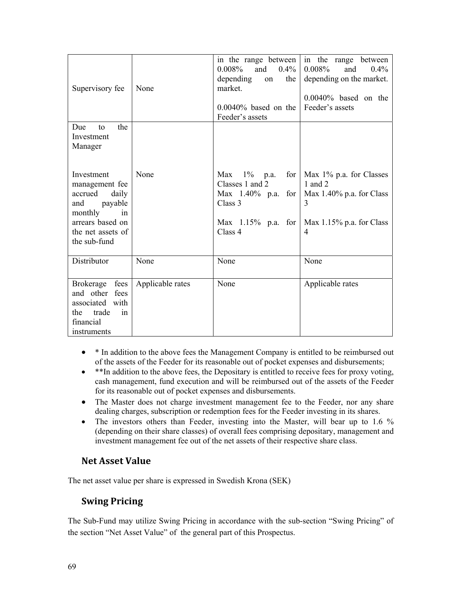| Supervisory fee                                                                                                                              | None             | 0.008%<br>$0.4\%$<br>and<br>the<br>depending<br>on<br>market.<br>$0.0040\%$ based on the<br>Feeder's assets | in the range between $\vert$ in the range between<br>0.008%<br>and<br>$0.4\%$<br>depending on the market.<br>$0.0040\%$ based on the<br>Feeder's assets                    |
|----------------------------------------------------------------------------------------------------------------------------------------------|------------------|-------------------------------------------------------------------------------------------------------------|----------------------------------------------------------------------------------------------------------------------------------------------------------------------------|
| Due<br>the<br>to<br>Investment<br>Manager                                                                                                    |                  |                                                                                                             |                                                                                                                                                                            |
| Investment<br>management fee<br>accrued<br>daily<br>payable<br>and<br>monthly<br>in<br>arrears based on<br>the net assets of<br>the sub-fund | None             | $1\%$ p.a.<br>Max<br>Classes 1 and 2<br>Class 3<br>Class 4                                                  | for   Max $1\%$ p.a. for Classes<br>1 and 2<br>Max $1.40\%$ p.a. for   Max 1.40% p.a. for Class<br>3<br>Max $1.15\%$ p.a. for   Max 1.15% p.a. for Class<br>$\overline{4}$ |
| Distributor                                                                                                                                  | None             | None                                                                                                        | None                                                                                                                                                                       |
| <b>Brokerage</b><br>fees<br>and other fees<br>associated with<br>trade<br>the<br>in<br>financial<br>instruments                              | Applicable rates | None                                                                                                        | Applicable rates                                                                                                                                                           |

- \* In addition to the above fees the Management Company is entitled to be reimbursed out of the assets of the Feeder for its reasonable out of pocket expenses and disbursements;
- \*\*In addition to the above fees, the Depositary is entitled to receive fees for proxy voting, cash management, fund execution and will be reimbursed out of the assets of the Feeder for its reasonable out of pocket expenses and disbursements.
- The Master does not charge investment management fee to the Feeder, nor any share dealing charges, subscription or redemption fees for the Feeder investing in its shares.
- The investors others than Feeder, investing into the Master, will bear up to 1.6 % (depending on their share classes) of overall fees comprising depositary, management and investment management fee out of the net assets of their respective share class.

### **Net Asset Value**

The net asset value per share is expressed in Swedish Krona (SEK)

## **Swing Pricing**

The Sub-Fund may utilize Swing Pricing in accordance with the sub-section "Swing Pricing" of the section "Net Asset Value" of the general part of this Prospectus.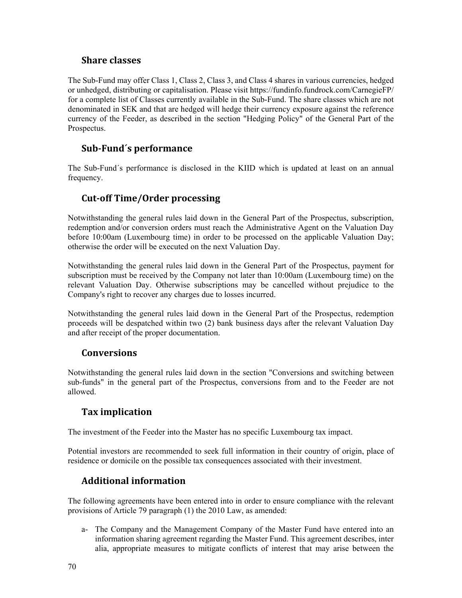### **Share classes**

The Sub-Fund may offer Class 1, Class 2, Class 3, and Class 4 shares in various currencies, hedged or unhedged, distributing or capitalisation. Please visit https://fundinfo.fundrock.com/CarnegieFP/ for a complete list of Classes currently available in the Sub-Fund. The share classes which are not denominated in SEK and that are hedged will hedge their currency exposure against the reference currency of the Feeder, as described in the section "Hedging Policy" of the General Part of the Prospectus.

## **Sub‐Fund´s performance**

The Sub-Fund´s performance is disclosed in the KIID which is updated at least on an annual frequency.

## **Cut‐off Time/Order processing**

Notwithstanding the general rules laid down in the General Part of the Prospectus, subscription, redemption and/or conversion orders must reach the Administrative Agent on the Valuation Day before 10:00am (Luxembourg time) in order to be processed on the applicable Valuation Day; otherwise the order will be executed on the next Valuation Day.

Notwithstanding the general rules laid down in the General Part of the Prospectus, payment for subscription must be received by the Company not later than 10:00am (Luxembourg time) on the relevant Valuation Day. Otherwise subscriptions may be cancelled without prejudice to the Company's right to recover any charges due to losses incurred.

Notwithstanding the general rules laid down in the General Part of the Prospectus, redemption proceeds will be despatched within two (2) bank business days after the relevant Valuation Day and after receipt of the proper documentation.

### **Conversions**

Notwithstanding the general rules laid down in the section "Conversions and switching between sub-funds" in the general part of the Prospectus, conversions from and to the Feeder are not allowed.

## **Tax implication**

The investment of the Feeder into the Master has no specific Luxembourg tax impact.

Potential investors are recommended to seek full information in their country of origin, place of residence or domicile on the possible tax consequences associated with their investment.

## **Additional information**

The following agreements have been entered into in order to ensure compliance with the relevant provisions of Article 79 paragraph (1) the 2010 Law, as amended:

a- The Company and the Management Company of the Master Fund have entered into an information sharing agreement regarding the Master Fund. This agreement describes, inter alia, appropriate measures to mitigate conflicts of interest that may arise between the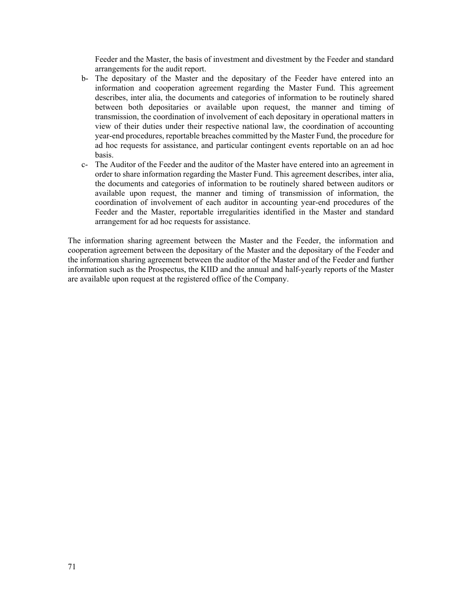Feeder and the Master, the basis of investment and divestment by the Feeder and standard arrangements for the audit report.

- b- The depositary of the Master and the depositary of the Feeder have entered into an information and cooperation agreement regarding the Master Fund. This agreement describes, inter alia, the documents and categories of information to be routinely shared between both depositaries or available upon request, the manner and timing of transmission, the coordination of involvement of each depositary in operational matters in view of their duties under their respective national law, the coordination of accounting year-end procedures, reportable breaches committed by the Master Fund, the procedure for ad hoc requests for assistance, and particular contingent events reportable on an ad hoc basis.
- c- The Auditor of the Feeder and the auditor of the Master have entered into an agreement in order to share information regarding the Master Fund. This agreement describes, inter alia, the documents and categories of information to be routinely shared between auditors or available upon request, the manner and timing of transmission of information, the coordination of involvement of each auditor in accounting year-end procedures of the Feeder and the Master, reportable irregularities identified in the Master and standard arrangement for ad hoc requests for assistance.

The information sharing agreement between the Master and the Feeder, the information and cooperation agreement between the depositary of the Master and the depositary of the Feeder and the information sharing agreement between the auditor of the Master and of the Feeder and further information such as the Prospectus, the KIID and the annual and half-yearly reports of the Master are available upon request at the registered office of the Company.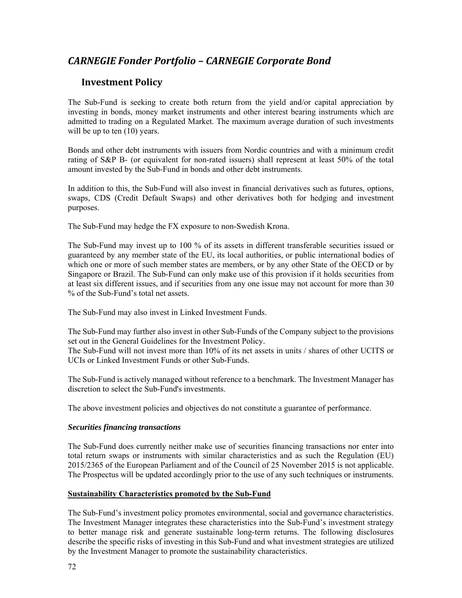## *CARNEGIE Fonder Portfolio – CARNEGIE Corporate Bond*

### **Investment Policy**

The Sub-Fund is seeking to create both return from the yield and/or capital appreciation by investing in bonds, money market instruments and other interest bearing instruments which are admitted to trading on a Regulated Market. The maximum average duration of such investments will be up to ten  $(10)$  years.

Bonds and other debt instruments with issuers from Nordic countries and with a minimum credit rating of S&P B- (or equivalent for non-rated issuers) shall represent at least 50% of the total amount invested by the Sub-Fund in bonds and other debt instruments.

In addition to this, the Sub-Fund will also invest in financial derivatives such as futures, options, swaps, CDS (Credit Default Swaps) and other derivatives both for hedging and investment purposes.

The Sub-Fund may hedge the FX exposure to non-Swedish Krona.

The Sub-Fund may invest up to 100 % of its assets in different transferable securities issued or guaranteed by any member state of the EU, its local authorities, or public international bodies of which one or more of such member states are members, or by any other State of the OECD or by Singapore or Brazil. The Sub-Fund can only make use of this provision if it holds securities from at least six different issues, and if securities from any one issue may not account for more than 30 % of the Sub-Fund's total net assets.

The Sub-Fund may also invest in Linked Investment Funds.

The Sub-Fund may further also invest in other Sub-Funds of the Company subject to the provisions set out in the General Guidelines for the Investment Policy.

The Sub-Fund will not invest more than 10% of its net assets in units / shares of other UCITS or UCIs or Linked Investment Funds or other Sub-Funds.

The Sub-Fund is actively managed without reference to a benchmark. The Investment Manager has discretion to select the Sub-Fund's investments.

The above investment policies and objectives do not constitute a guarantee of performance.

### *Securities financing transactions*

The Sub-Fund does currently neither make use of securities financing transactions nor enter into total return swaps or instruments with similar characteristics and as such the Regulation (EU) 2015/2365 of the European Parliament and of the Council of 25 November 2015 is not applicable. The Prospectus will be updated accordingly prior to the use of any such techniques or instruments.

### **Sustainability Characteristics promoted by the Sub-Fund**

The Sub-Fund's investment policy promotes environmental, social and governance characteristics. The Investment Manager integrates these characteristics into the Sub-Fund's investment strategy to better manage risk and generate sustainable long-term returns. The following disclosures describe the specific risks of investing in this Sub-Fund and what investment strategies are utilized by the Investment Manager to promote the sustainability characteristics.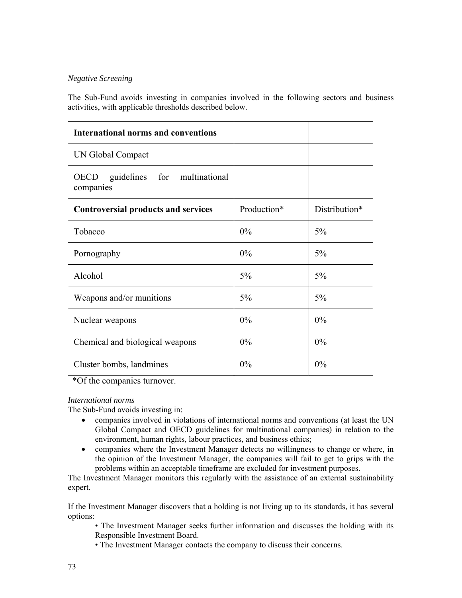### *Negative Screening*

The Sub-Fund avoids investing in companies involved in the following sectors and business activities, with applicable thresholds described below.

| <b>International norms and conventions</b>               |             |               |
|----------------------------------------------------------|-------------|---------------|
| UN Global Compact                                        |             |               |
| guidelines for multinational<br><b>OECD</b><br>companies |             |               |
| <b>Controversial products and services</b>               | Production* | Distribution* |
| Tobacco                                                  | $0\%$       | 5%            |
| Pornography                                              | 0%          | 5%            |
| Alcohol                                                  | 5%          | 5%            |
| Weapons and/or munitions                                 | 5%          | 5%            |
| Nuclear weapons                                          | 0%          | $0\%$         |
| Chemical and biological weapons                          | $0\%$       | 0%            |
| Cluster bombs, landmines                                 | 0%          | 0%            |

\*Of the companies turnover.

#### *International norms*

The Sub-Fund avoids investing in:

- companies involved in violations of international norms and conventions (at least the UN Global Compact and OECD guidelines for multinational companies) in relation to the environment, human rights, labour practices, and business ethics;
- companies where the Investment Manager detects no willingness to change or where, in the opinion of the Investment Manager, the companies will fail to get to grips with the problems within an acceptable timeframe are excluded for investment purposes.

The Investment Manager monitors this regularly with the assistance of an external sustainability expert.

If the Investment Manager discovers that a holding is not living up to its standards, it has several options:

• The Investment Manager seeks further information and discusses the holding with its Responsible Investment Board.

• The Investment Manager contacts the company to discuss their concerns.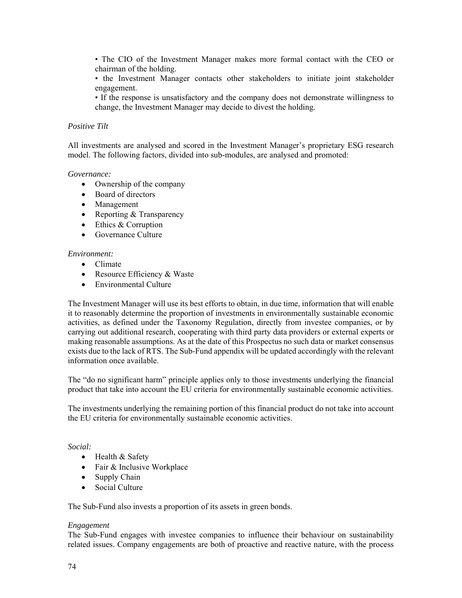• The CIO of the Investment Manager makes more formal contact with the CEO or chairman of the holding.

• the Investment Manager contacts other stakeholders to initiate joint stakeholder engagement.

• If the response is unsatisfactory and the company does not demonstrate willingness to change, the Investment Manager may decide to divest the holding.

#### *Positive Tilt*

All investments are analysed and scored in the Investment Manager's proprietary ESG research model. The following factors, divided into sub-modules, are analysed and promoted:

#### *Governance:*

- Ownership of the company
- Board of directors
- Management
- Reporting & Transparency
- Ethics & Corruption
- Governance Culture

#### *Environment:*

- Climate
- Resource Efficiency & Waste
- Environmental Culture

The Investment Manager will use its best efforts to obtain, in due time, information that will enable it to reasonably determine the proportion of investments in environmentally sustainable economic activities, as defined under the Taxonomy Regulation, directly from investee companies, or by carrying out additional research, cooperating with third party data providers or external experts or making reasonable assumptions. As at the date of this Prospectus no such data or market consensus exists due to the lack of RTS. The Sub-Fund appendix will be updated accordingly with the relevant information once available.

The "do no significant harm" principle applies only to those investments underlying the financial product that take into account the EU criteria for environmentally sustainable economic activities.

The investments underlying the remaining portion of this financial product do not take into account the EU criteria for environmentally sustainable economic activities.

#### *Social:*

- Health & Safety
- Fair & Inclusive Workplace
- Supply Chain
- Social Culture

The Sub-Fund also invests a proportion of its assets in green bonds.

#### *Engagement*

The Sub-Fund engages with investee companies to influence their behaviour on sustainability related issues. Company engagements are both of proactive and reactive nature, with the process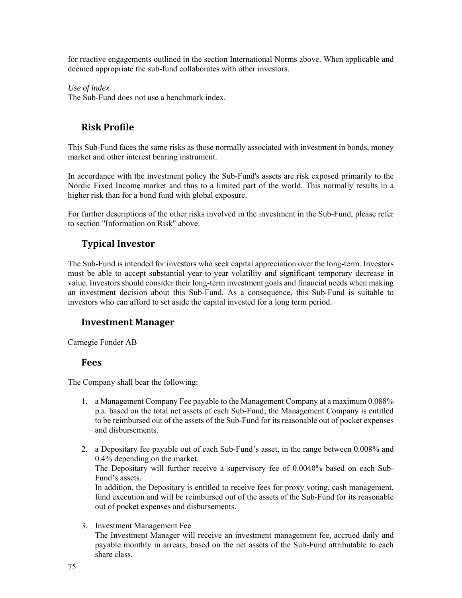for reactive engagements outlined in the section International Norms above. When applicable and deemed appropriate the sub-fund collaborates with other investors.

*Use of index* 

The Sub-Fund does not use a benchmark index.

## **Risk Profile**

This Sub-Fund faces the same risks as those normally associated with investment in bonds, money market and other interest bearing instrument.

In accordance with the investment policy the Sub-Fund's assets are risk exposed primarily to the Nordic Fixed Income market and thus to a limited part of the world. This normally results in a higher risk than for a bond fund with global exposure.

For further descriptions of the other risks involved in the investment in the Sub-Fund, please refer to section "Information on Risk" above.

## **Typical Investor**

The Sub-Fund is intended for investors who seek capital appreciation over the long-term. Investors must be able to accept substantial year-to-year volatility and significant temporary decrease in value. Investors should consider their long-term investment goals and financial needs when making an investment decision about this Sub-Fund. As a consequence, this Sub-Fund is suitable to investors who can afford to set aside the capital invested for a long term period.

### **Investment Manager**

Carnegie Fonder AB

### **Fees**

The Company shall bear the following:

- 1. a Management Company Fee payable to the Management Company at a maximum 0.088% p.a. based on the total net assets of each Sub-Fund; the Management Company is entitled to be reimbursed out of the assets of the Sub-Fund for its reasonable out of pocket expenses and disbursements.
- 2. a Depositary fee payable out of each Sub-Fund's asset, in the range between 0.008% and 0.4% depending on the market. The Depositary will further receive a supervisory fee of 0.0040% based on each Sub-Fund's assets. In addition, the Depositary is entitled to receive fees for proxy voting, cash management, fund execution and will be reimbursed out of the assets of the Sub-Fund for its reasonable

out of pocket expenses and disbursements.

3. Investment Management Fee

The Investment Manager will receive an investment management fee, accrued daily and payable monthly in arrears, based on the net assets of the Sub-Fund attributable to each share class.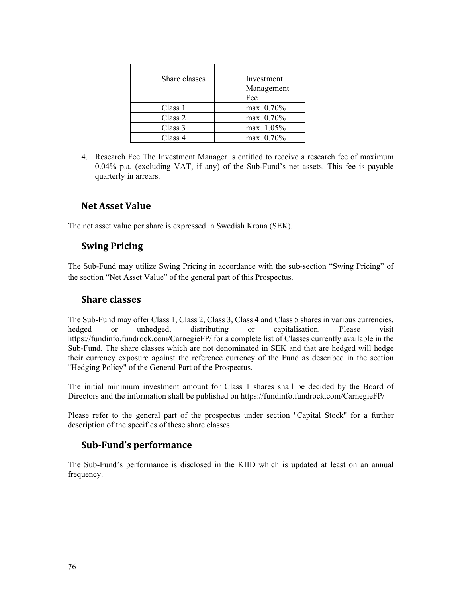| Share classes | Investment<br>Management<br>Fee |
|---------------|---------------------------------|
| Class 1       | max. 0.70%                      |
| Class 2       | max. 0.70%                      |
| Class 3       | max. 1.05%                      |
| Class 4       | max. 0.70%                      |

4. Research Fee The Investment Manager is entitled to receive a research fee of maximum 0.04% p.a. (excluding VAT, if any) of the Sub-Fund's net assets. This fee is payable quarterly in arrears.

## **Net Asset Value**

The net asset value per share is expressed in Swedish Krona (SEK).

### **Swing Pricing**

The Sub-Fund may utilize Swing Pricing in accordance with the sub-section "Swing Pricing" of the section "Net Asset Value" of the general part of this Prospectus.

### **Share classes**

The Sub-Fund may offer Class 1, Class 2, Class 3, Class 4 and Class 5 shares in various currencies, hedged or unhedged, distributing or capitalisation. Please visit https://fundinfo.fundrock.com/CarnegieFP/ for a complete list of Classes currently available in the Sub-Fund. The share classes which are not denominated in SEK and that are hedged will hedge their currency exposure against the reference currency of the Fund as described in the section "Hedging Policy" of the General Part of the Prospectus.

The initial minimum investment amount for Class 1 shares shall be decided by the Board of Directors and the information shall be published on https://fundinfo.fundrock.com/CarnegieFP/

Please refer to the general part of the prospectus under section "Capital Stock" for a further description of the specifics of these share classes.

### **Sub‐Fund's performance**

The Sub-Fund's performance is disclosed in the KIID which is updated at least on an annual frequency.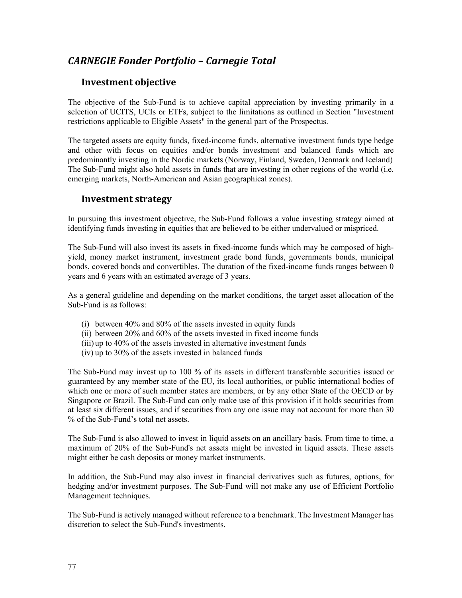# *CARNEGIE Fonder Portfolio – Carnegie Total*

### **Investment objective**

The objective of the Sub-Fund is to achieve capital appreciation by investing primarily in a selection of UCITS, UCIs or ETFs, subject to the limitations as outlined in Section "Investment restrictions applicable to Eligible Assets" in the general part of the Prospectus.

The targeted assets are equity funds, fixed-income funds, alternative investment funds type hedge and other with focus on equities and/or bonds investment and balanced funds which are predominantly investing in the Nordic markets (Norway, Finland, Sweden, Denmark and Iceland) The Sub-Fund might also hold assets in funds that are investing in other regions of the world (i.e. emerging markets, North-American and Asian geographical zones).

### **Investment strategy**

In pursuing this investment objective, the Sub-Fund follows a value investing strategy aimed at identifying funds investing in equities that are believed to be either undervalued or mispriced.

The Sub-Fund will also invest its assets in fixed-income funds which may be composed of highyield, money market instrument, investment grade bond funds, governments bonds, municipal bonds, covered bonds and convertibles. The duration of the fixed-income funds ranges between 0 years and 6 years with an estimated average of 3 years.

As a general guideline and depending on the market conditions, the target asset allocation of the Sub-Fund is as follows:

- (i) between 40% and 80% of the assets invested in equity funds
- (ii) between 20% and 60% of the assets invested in fixed income funds
- (iii) up to 40% of the assets invested in alternative investment funds
- (iv) up to 30% of the assets invested in balanced funds

The Sub-Fund may invest up to 100 % of its assets in different transferable securities issued or guaranteed by any member state of the EU, its local authorities, or public international bodies of which one or more of such member states are members, or by any other State of the OECD or by Singapore or Brazil. The Sub-Fund can only make use of this provision if it holds securities from at least six different issues, and if securities from any one issue may not account for more than 30 % of the Sub-Fund's total net assets.

The Sub-Fund is also allowed to invest in liquid assets on an ancillary basis. From time to time, a maximum of 20% of the Sub-Fund's net assets might be invested in liquid assets. These assets might either be cash deposits or money market instruments.

In addition, the Sub-Fund may also invest in financial derivatives such as futures, options, for hedging and/or investment purposes. The Sub-Fund will not make any use of Efficient Portfolio Management techniques.

The Sub-Fund is actively managed without reference to a benchmark. The Investment Manager has discretion to select the Sub-Fund's investments.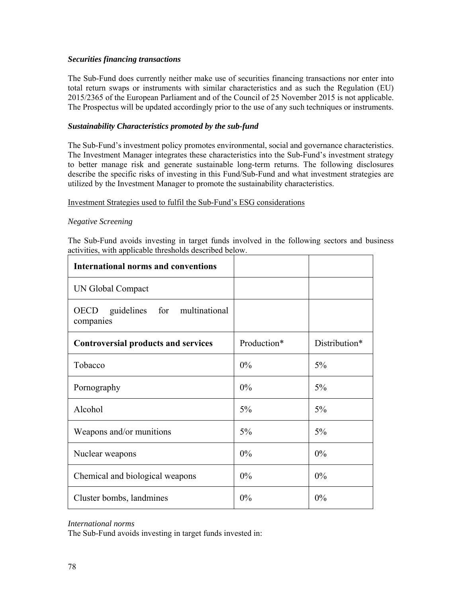#### *Securities financing transactions*

The Sub-Fund does currently neither make use of securities financing transactions nor enter into total return swaps or instruments with similar characteristics and as such the Regulation (EU) 2015/2365 of the European Parliament and of the Council of 25 November 2015 is not applicable. The Prospectus will be updated accordingly prior to the use of any such techniques or instruments.

#### *Sustainability Characteristics promoted by the sub-fund*

The Sub-Fund's investment policy promotes environmental, social and governance characteristics. The Investment Manager integrates these characteristics into the Sub-Fund's investment strategy to better manage risk and generate sustainable long-term returns. The following disclosures describe the specific risks of investing in this Fund/Sub-Fund and what investment strategies are utilized by the Investment Manager to promote the sustainability characteristics.

#### Investment Strategies used to fulfil the Sub-Fund's ESG considerations

#### *Negative Screening*

The Sub-Fund avoids investing in target funds involved in the following sectors and business activities, with applicable thresholds described below.

| <b>International norms and conventions</b>               |             |               |
|----------------------------------------------------------|-------------|---------------|
| UN Global Compact                                        |             |               |
| guidelines for multinational<br><b>OECD</b><br>companies |             |               |
| <b>Controversial products and services</b>               | Production* | Distribution* |
| Tobacco                                                  | $0\%$       | 5%            |
| Pornography                                              | 0%          | 5%            |
| Alcohol                                                  | 5%          | 5%            |
| Weapons and/or munitions                                 | 5%          | 5%            |
| Nuclear weapons                                          | $0\%$       | 0%            |
| Chemical and biological weapons                          | 0%          | 0%            |
| Cluster bombs, landmines                                 | 0%          | 0%            |

*International norms* 

The Sub-Fund avoids investing in target funds invested in: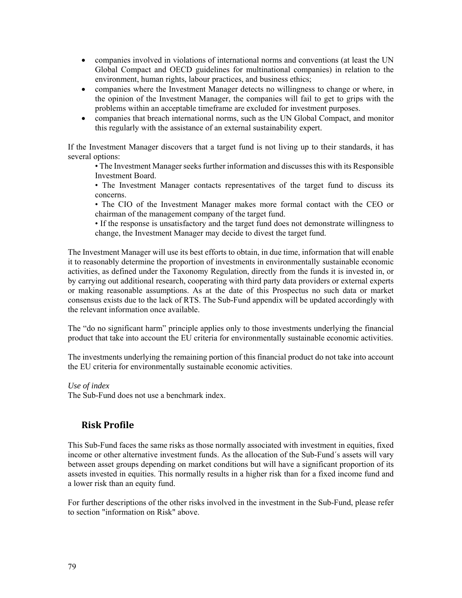- companies involved in violations of international norms and conventions (at least the UN Global Compact and OECD guidelines for multinational companies) in relation to the environment, human rights, labour practices, and business ethics;
- companies where the Investment Manager detects no willingness to change or where, in the opinion of the Investment Manager, the companies will fail to get to grips with the problems within an acceptable timeframe are excluded for investment purposes.
- companies that breach international norms, such as the UN Global Compact, and monitor this regularly with the assistance of an external sustainability expert.

If the Investment Manager discovers that a target fund is not living up to their standards, it has several options:

• The Investment Manager seeks further information and discusses this with its Responsible Investment Board.

• The Investment Manager contacts representatives of the target fund to discuss its concerns.

• The CIO of the Investment Manager makes more formal contact with the CEO or chairman of the management company of the target fund.

• If the response is unsatisfactory and the target fund does not demonstrate willingness to change, the Investment Manager may decide to divest the target fund.

The Investment Manager will use its best efforts to obtain, in due time, information that will enable it to reasonably determine the proportion of investments in environmentally sustainable economic activities, as defined under the Taxonomy Regulation, directly from the funds it is invested in, or by carrying out additional research, cooperating with third party data providers or external experts or making reasonable assumptions. As at the date of this Prospectus no such data or market consensus exists due to the lack of RTS. The Sub-Fund appendix will be updated accordingly with the relevant information once available.

The "do no significant harm" principle applies only to those investments underlying the financial product that take into account the EU criteria for environmentally sustainable economic activities.

The investments underlying the remaining portion of this financial product do not take into account the EU criteria for environmentally sustainable economic activities.

#### *Use of index*

The Sub-Fund does not use a benchmark index.

## **Risk Profile**

This Sub-Fund faces the same risks as those normally associated with investment in equities, fixed income or other alternative investment funds. As the allocation of the Sub-Fund´s assets will vary between asset groups depending on market conditions but will have a significant proportion of its assets invested in equities. This normally results in a higher risk than for a fixed income fund and a lower risk than an equity fund.

For further descriptions of the other risks involved in the investment in the Sub-Fund, please refer to section "information on Risk" above.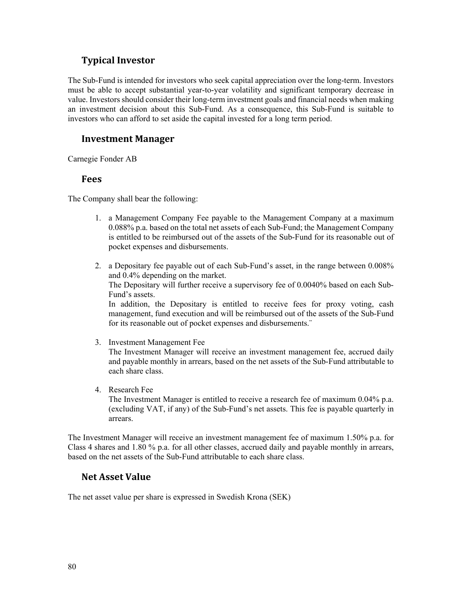## **Typical Investor**

The Sub-Fund is intended for investors who seek capital appreciation over the long-term. Investors must be able to accept substantial year-to-year volatility and significant temporary decrease in value. Investors should consider their long-term investment goals and financial needs when making an investment decision about this Sub-Fund. As a consequence, this Sub-Fund is suitable to investors who can afford to set aside the capital invested for a long term period.

## **Investment Manager**

Carnegie Fonder AB

### **Fees**

The Company shall bear the following:

- 1. a Management Company Fee payable to the Management Company at a maximum 0.088% p.a. based on the total net assets of each Sub-Fund; the Management Company is entitled to be reimbursed out of the assets of the Sub-Fund for its reasonable out of pocket expenses and disbursements.
- 2. a Depositary fee payable out of each Sub-Fund's asset, in the range between 0.008% and 0.4% depending on the market. The Depositary will further receive a supervisory fee of 0.0040% based on each Sub-Fund's assets.

In addition, the Depositary is entitled to receive fees for proxy voting, cash management, fund execution and will be reimbursed out of the assets of the Sub-Fund for its reasonable out of pocket expenses and disbursements.¨

- 3. Investment Management Fee The Investment Manager will receive an investment management fee, accrued daily and payable monthly in arrears, based on the net assets of the Sub-Fund attributable to each share class.
	- 4. Research Fee The Investment Manager is entitled to receive a research fee of maximum 0.04% p.a. (excluding VAT, if any) of the Sub-Fund's net assets. This fee is payable quarterly in arrears.

The Investment Manager will receive an investment management fee of maximum 1.50% p.a. for Class 4 shares and 1.80 % p.a. for all other classes, accrued daily and payable monthly in arrears, based on the net assets of the Sub-Fund attributable to each share class.

## **Net Asset Value**

The net asset value per share is expressed in Swedish Krona (SEK)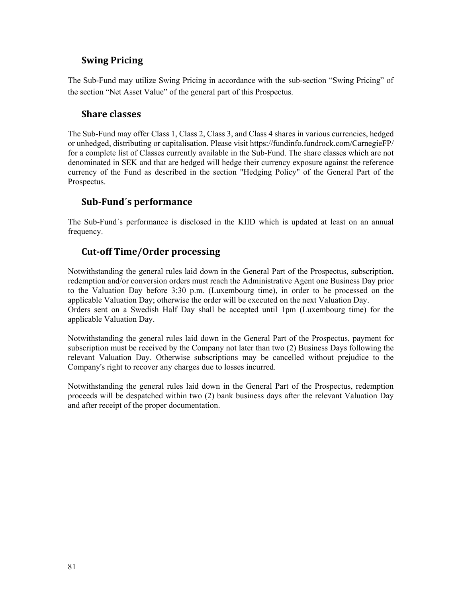## **Swing Pricing**

The Sub-Fund may utilize Swing Pricing in accordance with the sub-section "Swing Pricing" of the section "Net Asset Value" of the general part of this Prospectus.

### **Share classes**

The Sub-Fund may offer Class 1, Class 2, Class 3, and Class 4 shares in various currencies, hedged or unhedged, distributing or capitalisation. Please visit https://fundinfo.fundrock.com/CarnegieFP/ for a complete list of Classes currently available in the Sub-Fund. The share classes which are not denominated in SEK and that are hedged will hedge their currency exposure against the reference currency of the Fund as described in the section "Hedging Policy" of the General Part of the Prospectus.

## **Sub‐Fund´s performance**

The Sub-Fund´s performance is disclosed in the KIID which is updated at least on an annual frequency.

## **Cut‐off Time/Order processing**

Notwithstanding the general rules laid down in the General Part of the Prospectus, subscription, redemption and/or conversion orders must reach the Administrative Agent one Business Day prior to the Valuation Day before 3:30 p.m. (Luxembourg time), in order to be processed on the applicable Valuation Day; otherwise the order will be executed on the next Valuation Day. Orders sent on a Swedish Half Day shall be accepted until 1pm (Luxembourg time) for the applicable Valuation Day.

Notwithstanding the general rules laid down in the General Part of the Prospectus, payment for subscription must be received by the Company not later than two (2) Business Days following the relevant Valuation Day. Otherwise subscriptions may be cancelled without prejudice to the Company's right to recover any charges due to losses incurred.

Notwithstanding the general rules laid down in the General Part of the Prospectus, redemption proceeds will be despatched within two (2) bank business days after the relevant Valuation Day and after receipt of the proper documentation.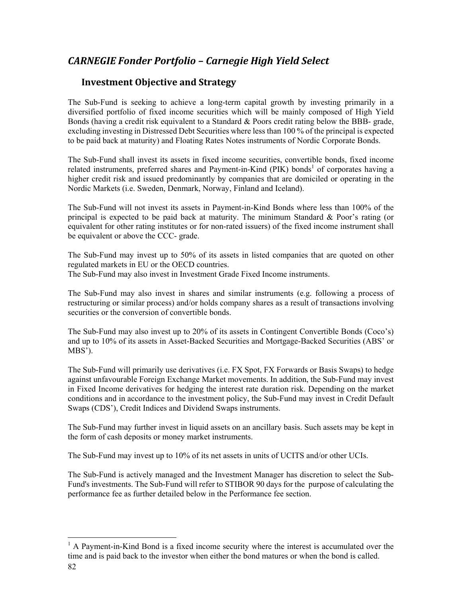# *CARNEGIE Fonder Portfolio – Carnegie High Yield Select*

## **Investment Objective and Strategy**

The Sub-Fund is seeking to achieve a long-term capital growth by investing primarily in a diversified portfolio of fixed income securities which will be mainly composed of High Yield Bonds (having a credit risk equivalent to a Standard & Poors credit rating below the BBB- grade, excluding investing in Distressed Debt Securities where less than 100 % of the principal is expected to be paid back at maturity) and Floating Rates Notes instruments of Nordic Corporate Bonds.

The Sub-Fund shall invest its assets in fixed income securities, convertible bonds, fixed income related instruments, preferred shares and Payment-in-Kind (PIK) bonds<sup>1</sup> of corporates having a higher credit risk and issued predominantly by companies that are domiciled or operating in the Nordic Markets (i.e. Sweden, Denmark, Norway, Finland and Iceland).

The Sub-Fund will not invest its assets in Payment-in-Kind Bonds where less than 100% of the principal is expected to be paid back at maturity. The minimum Standard  $\&$  Poor's rating (or equivalent for other rating institutes or for non-rated issuers) of the fixed income instrument shall be equivalent or above the CCC- grade.

The Sub-Fund may invest up to 50% of its assets in listed companies that are quoted on other regulated markets in EU or the OECD countries. The Sub-Fund may also invest in Investment Grade Fixed Income instruments.

The Sub-Fund may also invest in shares and similar instruments (e.g. following a process of restructuring or similar process) and/or holds company shares as a result of transactions involving securities or the conversion of convertible bonds.

The Sub-Fund may also invest up to 20% of its assets in Contingent Convertible Bonds (Coco's) and up to 10% of its assets in Asset-Backed Securities and Mortgage-Backed Securities (ABS' or MBS').

The Sub-Fund will primarily use derivatives (i.e. FX Spot, FX Forwards or Basis Swaps) to hedge against unfavourable Foreign Exchange Market movements. In addition, the Sub-Fund may invest in Fixed Income derivatives for hedging the interest rate duration risk. Depending on the market conditions and in accordance to the investment policy, the Sub-Fund may invest in Credit Default Swaps (CDS'), Credit Indices and Dividend Swaps instruments.

The Sub-Fund may further invest in liquid assets on an ancillary basis. Such assets may be kept in the form of cash deposits or money market instruments.

The Sub-Fund may invest up to 10% of its net assets in units of UCITS and/or other UCIs.

The Sub-Fund is actively managed and the Investment Manager has discretion to select the Sub-Fund's investments. The Sub-Fund will refer to STIBOR 90 days for the purpose of calculating the performance fee as further detailed below in the Performance fee section.

l

<sup>&</sup>lt;sup>1</sup> A Payment-in-Kind Bond is a fixed income security where the interest is accumulated over the time and is paid back to the investor when either the bond matures or when the bond is called.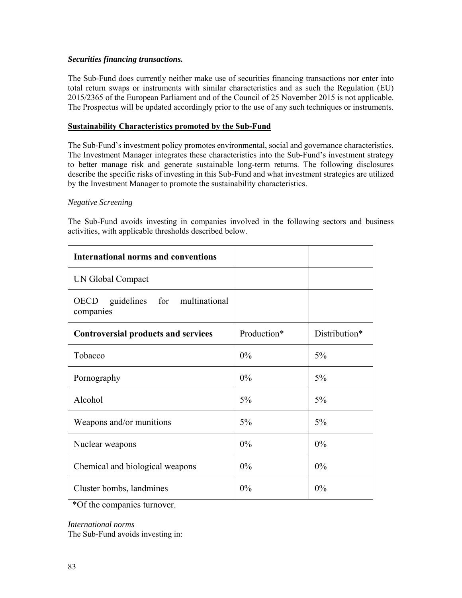#### *Securities financing transactions.*

The Sub-Fund does currently neither make use of securities financing transactions nor enter into total return swaps or instruments with similar characteristics and as such the Regulation (EU) 2015/2365 of the European Parliament and of the Council of 25 November 2015 is not applicable. The Prospectus will be updated accordingly prior to the use of any such techniques or instruments.

#### **Sustainability Characteristics promoted by the Sub-Fund**

The Sub-Fund's investment policy promotes environmental, social and governance characteristics. The Investment Manager integrates these characteristics into the Sub-Fund's investment strategy to better manage risk and generate sustainable long-term returns. The following disclosures describe the specific risks of investing in this Sub-Fund and what investment strategies are utilized by the Investment Manager to promote the sustainability characteristics.

#### *Negative Screening*

The Sub-Fund avoids investing in companies involved in the following sectors and business activities, with applicable thresholds described below.

| <b>International norms and conventions</b>               |             |               |
|----------------------------------------------------------|-------------|---------------|
| UN Global Compact                                        |             |               |
| guidelines for multinational<br><b>OECD</b><br>companies |             |               |
| <b>Controversial products and services</b>               | Production* | Distribution* |
| Tobacco                                                  | $0\%$       | 5%            |
| Pornography                                              | $0\%$       | 5%            |
| Alcohol                                                  | 5%          | 5%            |
| Weapons and/or munitions                                 | 5%          | 5%            |
| Nuclear weapons                                          | $0\%$       | 0%            |
| Chemical and biological weapons                          | 0%          | 0%            |
| Cluster bombs, landmines                                 | 0%          | 0%            |

\*Of the companies turnover.

#### *International norms*

The Sub-Fund avoids investing in: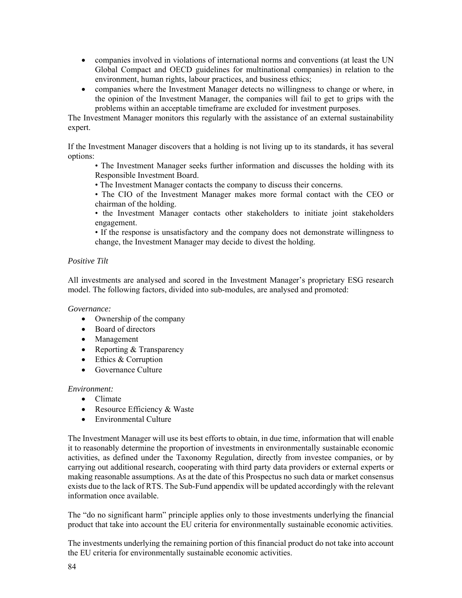- companies involved in violations of international norms and conventions (at least the UN Global Compact and OECD guidelines for multinational companies) in relation to the environment, human rights, labour practices, and business ethics;
- companies where the Investment Manager detects no willingness to change or where, in the opinion of the Investment Manager, the companies will fail to get to grips with the problems within an acceptable timeframe are excluded for investment purposes.

The Investment Manager monitors this regularly with the assistance of an external sustainability expert.

If the Investment Manager discovers that a holding is not living up to its standards, it has several options:

• The Investment Manager seeks further information and discusses the holding with its Responsible Investment Board.

• The Investment Manager contacts the company to discuss their concerns.

• The CIO of the Investment Manager makes more formal contact with the CEO or chairman of the holding.

• the Investment Manager contacts other stakeholders to initiate joint stakeholders engagement.

• If the response is unsatisfactory and the company does not demonstrate willingness to change, the Investment Manager may decide to divest the holding.

### *Positive Tilt*

All investments are analysed and scored in the Investment Manager's proprietary ESG research model. The following factors, divided into sub-modules, are analysed and promoted:

*Governance:* 

- Ownership of the company
- Board of directors
- Management
- Reporting & Transparency
- Ethics & Corruption
- Governance Culture

#### *Environment:*

- Climate
- Resource Efficiency & Waste
- Environmental Culture

The Investment Manager will use its best efforts to obtain, in due time, information that will enable it to reasonably determine the proportion of investments in environmentally sustainable economic activities, as defined under the Taxonomy Regulation, directly from investee companies, or by carrying out additional research, cooperating with third party data providers or external experts or making reasonable assumptions. As at the date of this Prospectus no such data or market consensus exists due to the lack of RTS. The Sub-Fund appendix will be updated accordingly with the relevant information once available.

The "do no significant harm" principle applies only to those investments underlying the financial product that take into account the EU criteria for environmentally sustainable economic activities.

The investments underlying the remaining portion of this financial product do not take into account the EU criteria for environmentally sustainable economic activities.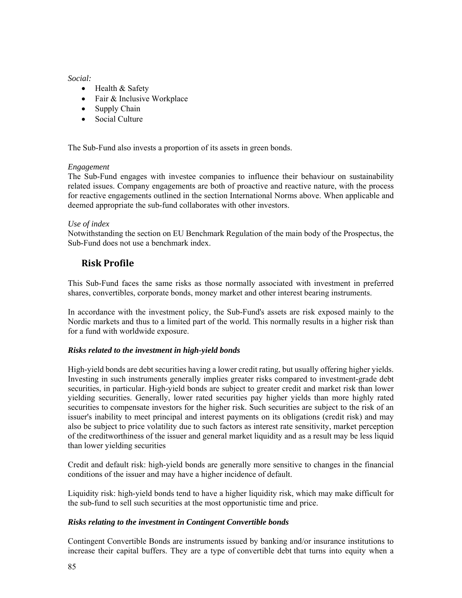#### *Social:*

- Health & Safety
- Fair & Inclusive Workplace
- Supply Chain
- Social Culture

The Sub-Fund also invests a proportion of its assets in green bonds.

### *Engagement*

The Sub-Fund engages with investee companies to influence their behaviour on sustainability related issues. Company engagements are both of proactive and reactive nature, with the process for reactive engagements outlined in the section International Norms above. When applicable and deemed appropriate the sub-fund collaborates with other investors.

### *Use of index*

Notwithstanding the section on EU Benchmark Regulation of the main body of the Prospectus, the Sub-Fund does not use a benchmark index.

## **Risk Profile**

This Sub-Fund faces the same risks as those normally associated with investment in preferred shares, convertibles, corporate bonds, money market and other interest bearing instruments.

In accordance with the investment policy, the Sub-Fund's assets are risk exposed mainly to the Nordic markets and thus to a limited part of the world. This normally results in a higher risk than for a fund with worldwide exposure.

### *Risks related to the investment in high-yield bonds*

High-yield bonds are debt securities having a lower credit rating, but usually offering higher yields. Investing in such instruments generally implies greater risks compared to investment-grade debt securities, in particular. High-yield bonds are subject to greater credit and market risk than lower yielding securities. Generally, lower rated securities pay higher yields than more highly rated securities to compensate investors for the higher risk. Such securities are subject to the risk of an issuer's inability to meet principal and interest payments on its obligations (credit risk) and may also be subject to price volatility due to such factors as interest rate sensitivity, market perception of the creditworthiness of the issuer and general market liquidity and as a result may be less liquid than lower yielding securities

Credit and default risk: high-yield bonds are generally more sensitive to changes in the financial conditions of the issuer and may have a higher incidence of default.

Liquidity risk: high-yield bonds tend to have a higher liquidity risk, which may make difficult for the sub-fund to sell such securities at the most opportunistic time and price.

#### *Risks relating to the investment in Contingent Convertible bonds*

Contingent Convertible Bonds are instruments issued by banking and/or insurance institutions to increase their capital buffers. They are a type of convertible debt that turns into equity when a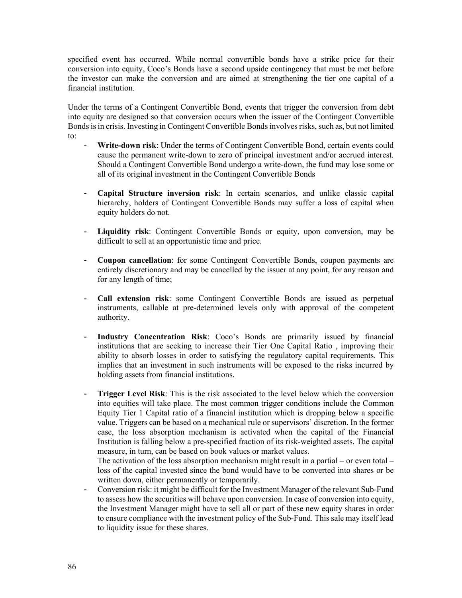specified event has occurred. While normal convertible bonds have a strike price for their conversion into equity, Coco's Bonds have a second upside contingency that must be met before the investor can make the conversion and are aimed at strengthening the tier one capital of a financial institution.

Under the terms of a Contingent Convertible Bond, events that trigger the conversion from debt into equity are designed so that conversion occurs when the issuer of the Contingent Convertible Bonds is in crisis. Investing in Contingent Convertible Bonds involves risks, such as, but not limited to:

- **Write-down risk**: Under the terms of Contingent Convertible Bond, certain events could cause the permanent write-down to zero of principal investment and/or accrued interest. Should a Contingent Convertible Bond undergo a write-down, the fund may lose some or all of its original investment in the Contingent Convertible Bonds
- **Capital Structure inversion risk**: In certain scenarios, and unlike classic capital hierarchy, holders of Contingent Convertible Bonds may suffer a loss of capital when equity holders do not.
- **Liquidity risk**: Contingent Convertible Bonds or equity, upon conversion, may be difficult to sell at an opportunistic time and price.
- **Coupon cancellation**: for some Contingent Convertible Bonds, coupon payments are entirely discretionary and may be cancelled by the issuer at any point, for any reason and for any length of time;
- **Call extension risk**: some Contingent Convertible Bonds are issued as perpetual instruments, callable at pre-determined levels only with approval of the competent authority.
- **Industry Concentration Risk**: Coco's Bonds are primarily issued by financial institutions that are seeking to increase their Tier One Capital Ratio , improving their ability to absorb losses in order to satisfying the regulatory capital requirements. This implies that an investment in such instruments will be exposed to the risks incurred by holding assets from financial institutions.
- **Trigger Level Risk**: This is the risk associated to the level below which the conversion into equities will take place. The most common trigger conditions include the Common Equity Tier 1 Capital ratio of a financial institution which is dropping below a specific value. Triggers can be based on a mechanical rule or supervisors' discretion. In the former case, the loss absorption mechanism is activated when the capital of the Financial Institution is falling below a pre-specified fraction of its risk-weighted assets. The capital measure, in turn, can be based on book values or market values.

The activation of the loss absorption mechanism might result in a partial – or even total – loss of the capital invested since the bond would have to be converted into shares or be written down, either permanently or temporarily.

- Conversion risk: it might be difficult for the Investment Manager of the relevant Sub-Fund to assess how the securities will behave upon conversion. In case of conversion into equity, the Investment Manager might have to sell all or part of these new equity shares in order to ensure compliance with the investment policy of the Sub-Fund. This sale may itself lead to liquidity issue for these shares.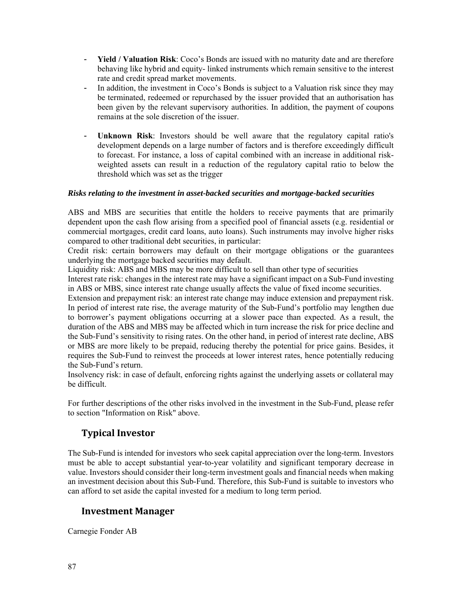- **Yield / Valuation Risk**: Coco's Bonds are issued with no maturity date and are therefore behaving like hybrid and equity- linked instruments which remain sensitive to the interest rate and credit spread market movements.
- In addition, the investment in Coco's Bonds is subject to a Valuation risk since they may be terminated, redeemed or repurchased by the issuer provided that an authorisation has been given by the relevant supervisory authorities. In addition, the payment of coupons remains at the sole discretion of the issuer.
- **Unknown Risk**: Investors should be well aware that the regulatory capital ratio's development depends on a large number of factors and is therefore exceedingly difficult to forecast. For instance, a loss of capital combined with an increase in additional riskweighted assets can result in a reduction of the regulatory capital ratio to below the threshold which was set as the trigger

### *Risks relating to the investment in asset-backed securities and mortgage-backed securities*

ABS and MBS are securities that entitle the holders to receive payments that are primarily dependent upon the cash flow arising from a specified pool of financial assets (e.g. residential or commercial mortgages, credit card loans, auto loans). Such instruments may involve higher risks compared to other traditional debt securities, in particular:

Credit risk: certain borrowers may default on their mortgage obligations or the guarantees underlying the mortgage backed securities may default.

Liquidity risk: ABS and MBS may be more difficult to sell than other type of securities

Interest rate risk: changes in the interest rate may have a significant impact on a Sub-Fund investing in ABS or MBS, since interest rate change usually affects the value of fixed income securities.

Extension and prepayment risk: an interest rate change may induce extension and prepayment risk. In period of interest rate rise, the average maturity of the Sub-Fund's portfolio may lengthen due to borrower's payment obligations occurring at a slower pace than expected. As a result, the duration of the ABS and MBS may be affected which in turn increase the risk for price decline and the Sub-Fund's sensitivity to rising rates. On the other hand, in period of interest rate decline, ABS or MBS are more likely to be prepaid, reducing thereby the potential for price gains. Besides, it requires the Sub-Fund to reinvest the proceeds at lower interest rates, hence potentially reducing the Sub-Fund's return.

Insolvency risk: in case of default, enforcing rights against the underlying assets or collateral may be difficult.

For further descriptions of the other risks involved in the investment in the Sub-Fund, please refer to section "Information on Risk" above.

## **Typical Investor**

The Sub-Fund is intended for investors who seek capital appreciation over the long-term. Investors must be able to accept substantial year-to-year volatility and significant temporary decrease in value. Investors should consider their long-term investment goals and financial needs when making an investment decision about this Sub-Fund. Therefore, this Sub-Fund is suitable to investors who can afford to set aside the capital invested for a medium to long term period.

### **Investment Manager**

Carnegie Fonder AB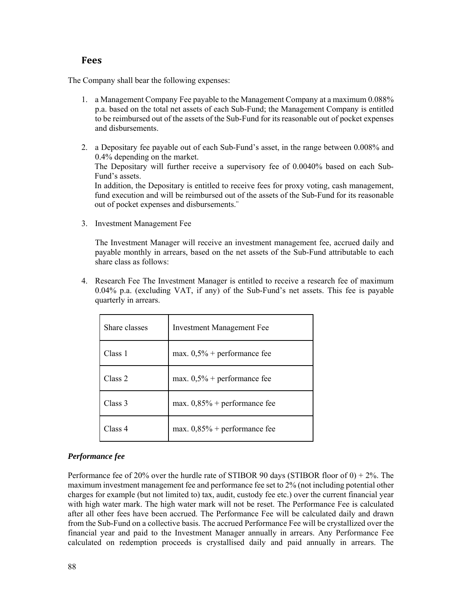### **Fees**

The Company shall bear the following expenses:

- 1. a Management Company Fee payable to the Management Company at a maximum 0.088% p.a. based on the total net assets of each Sub-Fund; the Management Company is entitled to be reimbursed out of the assets of the Sub-Fund for its reasonable out of pocket expenses and disbursements.
- 2. a Depositary fee payable out of each Sub-Fund's asset, in the range between 0.008% and 0.4% depending on the market. The Depositary will further receive a supervisory fee of 0.0040% based on each Sub-Fund's assets. In addition, the Depositary is entitled to receive fees for proxy voting, cash management, fund execution and will be reimbursed out of the assets of the Sub-Fund for its reasonable out of pocket expenses and disbursements.¨
- 3. Investment Management Fee

The Investment Manager will receive an investment management fee, accrued daily and payable monthly in arrears, based on the net assets of the Sub-Fund attributable to each share class as follows:

4. Research Fee The Investment Manager is entitled to receive a research fee of maximum 0.04% p.a. (excluding VAT, if any) of the Sub-Fund's net assets. This fee is payable quarterly in arrears.

| Share classes | <b>Investment Management Fee</b> |
|---------------|----------------------------------|
| Class 1       | max. $0,5%$ + performance fee    |
| Class 2       | max. $0,5%$ + performance fee    |
| Class 3       | max. $0,85\%$ + performance fee  |
| Class 4       | max. $0,85\%$ + performance fee  |

### *Performance fee*

Performance fee of 20% over the hurdle rate of STIBOR 90 days (STIBOR floor of  $0$ ) + 2%. The maximum investment management fee and performance fee set to 2% (not including potential other charges for example (but not limited to) tax, audit, custody fee etc.) over the current financial year with high water mark. The high water mark will not be reset. The Performance Fee is calculated after all other fees have been accrued. The Performance Fee will be calculated daily and drawn from the Sub-Fund on a collective basis. The accrued Performance Fee will be crystallized over the financial year and paid to the Investment Manager annually in arrears. Any Performance Fee calculated on redemption proceeds is crystallised daily and paid annually in arrears. The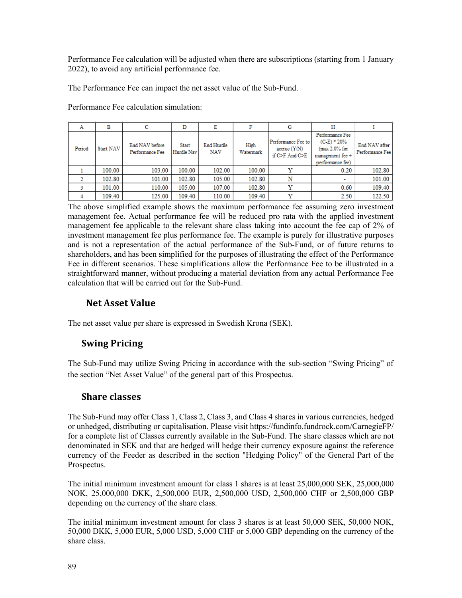Performance Fee calculation will be adjusted when there are subscriptions (starting from 1 January 2022), to avoid any artificial performance fee.

The Performance Fee can impact the net asset value of the Sub-Fund.

| Α      | в                | с                                 | D                          | Ε                 | F                 | G                                                             | н                                                                                            |                                  |
|--------|------------------|-----------------------------------|----------------------------|-------------------|-------------------|---------------------------------------------------------------|----------------------------------------------------------------------------------------------|----------------------------------|
| Period | <b>Start NAV</b> | End NAV before<br>Performance Fee | <b>Start</b><br>Hurdle Nav | End Hurdle<br>NAV | High<br>Watermark | Performance Fee to<br>$accru$ e $(Y/N)$<br>if $C>F$ And $C>F$ | Performance Fee<br>$(C-E)$ * 20%<br>$(max 2.0\% for$<br>management fee +<br>performance fee) | End NAV after<br>Performance Fee |
|        | 100.00           | 103.00                            | 100.00                     | 102.00            | 100.00            |                                                               | 0.20                                                                                         | 102.80                           |
|        | 102.80           | 101.00                            | 102.80                     | 105.00            | 102.80            | N                                                             | $\overline{\phantom{a}}$                                                                     | 101.00                           |
|        | 101.00           | 110.00                            | 105.00                     | 107.00            | 102.80            |                                                               | 0.60                                                                                         | 109.40                           |
|        | 109.40           | 125.00                            | 109.40                     | 110.00            | 109.40            | v                                                             | 2.50                                                                                         | 122.50                           |

Performance Fee calculation simulation:

The above simplified example shows the maximum performance fee assuming zero investment management fee. Actual performance fee will be reduced pro rata with the applied investment management fee applicable to the relevant share class taking into account the fee cap of 2% of investment management fee plus performance fee. The example is purely for illustrative purposes and is not a representation of the actual performance of the Sub-Fund, or of future returns to shareholders, and has been simplified for the purposes of illustrating the effect of the Performance Fee in different scenarios. These simplifications allow the Performance Fee to be illustrated in a straightforward manner, without producing a material deviation from any actual Performance Fee calculation that will be carried out for the Sub-Fund.

## **Net Asset Value**

The net asset value per share is expressed in Swedish Krona (SEK).

## **Swing Pricing**

The Sub-Fund may utilize Swing Pricing in accordance with the sub-section "Swing Pricing" of the section "Net Asset Value" of the general part of this Prospectus.

### **Share classes**

The Sub-Fund may offer Class 1, Class 2, Class 3, and Class 4 shares in various currencies, hedged or unhedged, distributing or capitalisation. Please visit https://fundinfo.fundrock.com/CarnegieFP/ for a complete list of Classes currently available in the Sub-Fund. The share classes which are not denominated in SEK and that are hedged will hedge their currency exposure against the reference currency of the Feeder as described in the section "Hedging Policy" of the General Part of the Prospectus.

The initial minimum investment amount for class 1 shares is at least 25,000,000 SEK, 25,000,000 NOK, 25,000,000 DKK, 2,500,000 EUR, 2,500,000 USD, 2,500,000 CHF or 2,500,000 GBP depending on the currency of the share class.

The initial minimum investment amount for class 3 shares is at least 50,000 SEK, 50,000 NOK, 50,000 DKK, 5,000 EUR, 5,000 USD, 5,000 CHF or 5,000 GBP depending on the currency of the share class.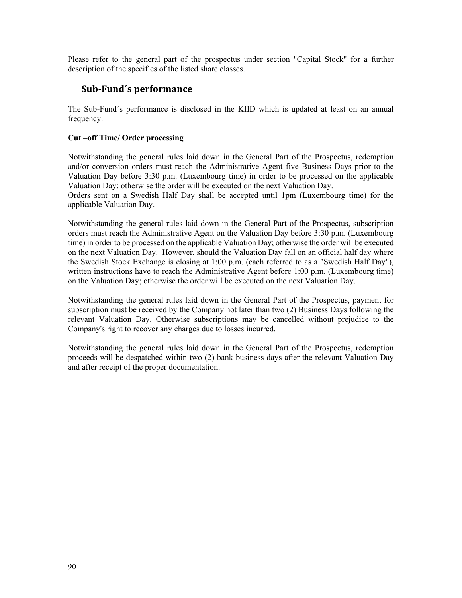Please refer to the general part of the prospectus under section "Capital Stock" for a further description of the specifics of the listed share classes.

## **Sub‐Fund´s performance**

The Sub-Fund´s performance is disclosed in the KIID which is updated at least on an annual frequency.

### **Cut –off Time/ Order processing**

Notwithstanding the general rules laid down in the General Part of the Prospectus, redemption and/or conversion orders must reach the Administrative Agent five Business Days prior to the Valuation Day before 3:30 p.m. (Luxembourg time) in order to be processed on the applicable Valuation Day; otherwise the order will be executed on the next Valuation Day.

Orders sent on a Swedish Half Day shall be accepted until 1pm (Luxembourg time) for the applicable Valuation Day.

Notwithstanding the general rules laid down in the General Part of the Prospectus, subscription orders must reach the Administrative Agent on the Valuation Day before 3:30 p.m. (Luxembourg time) in order to be processed on the applicable Valuation Day; otherwise the order will be executed on the next Valuation Day. However, should the Valuation Day fall on an official half day where the Swedish Stock Exchange is closing at 1:00 p.m. (each referred to as a "Swedish Half Day"), written instructions have to reach the Administrative Agent before 1:00 p.m. (Luxembourg time) on the Valuation Day; otherwise the order will be executed on the next Valuation Day.

Notwithstanding the general rules laid down in the General Part of the Prospectus, payment for subscription must be received by the Company not later than two (2) Business Days following the relevant Valuation Day. Otherwise subscriptions may be cancelled without prejudice to the Company's right to recover any charges due to losses incurred.

Notwithstanding the general rules laid down in the General Part of the Prospectus, redemption proceeds will be despatched within two (2) bank business days after the relevant Valuation Day and after receipt of the proper documentation.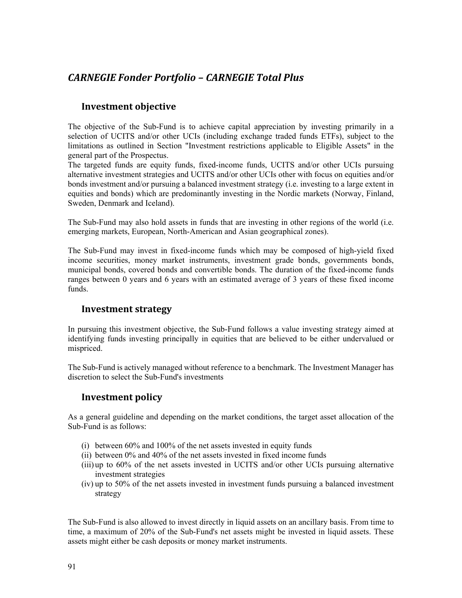# *CARNEGIE Fonder Portfolio – CARNEGIE Total Plus*

## **Investment objective**

The objective of the Sub-Fund is to achieve capital appreciation by investing primarily in a selection of UCITS and/or other UCIs (including exchange traded funds ETFs), subject to the limitations as outlined in Section "Investment restrictions applicable to Eligible Assets" in the general part of the Prospectus.

The targeted funds are equity funds, fixed-income funds, UCITS and/or other UCIs pursuing alternative investment strategies and UCITS and/or other UCIs other with focus on equities and/or bonds investment and/or pursuing a balanced investment strategy (i.e. investing to a large extent in equities and bonds) which are predominantly investing in the Nordic markets (Norway, Finland, Sweden, Denmark and Iceland).

The Sub-Fund may also hold assets in funds that are investing in other regions of the world (i.e. emerging markets, European, North-American and Asian geographical zones).

The Sub-Fund may invest in fixed-income funds which may be composed of high-yield fixed income securities, money market instruments, investment grade bonds, governments bonds, municipal bonds, covered bonds and convertible bonds. The duration of the fixed-income funds ranges between 0 years and 6 years with an estimated average of 3 years of these fixed income funds.

## **Investment strategy**

In pursuing this investment objective, the Sub-Fund follows a value investing strategy aimed at identifying funds investing principally in equities that are believed to be either undervalued or mispriced.

The Sub-Fund is actively managed without reference to a benchmark. The Investment Manager has discretion to select the Sub-Fund's investments

## **Investment policy**

As a general guideline and depending on the market conditions, the target asset allocation of the Sub-Fund is as follows:

- (i) between 60% and 100% of the net assets invested in equity funds
- (ii) between 0% and 40% of the net assets invested in fixed income funds
- (iii) up to 60% of the net assets invested in UCITS and/or other UCIs pursuing alternative investment strategies
- (iv) up to 50% of the net assets invested in investment funds pursuing a balanced investment strategy

The Sub-Fund is also allowed to invest directly in liquid assets on an ancillary basis. From time to time, a maximum of 20% of the Sub-Fund's net assets might be invested in liquid assets. These assets might either be cash deposits or money market instruments.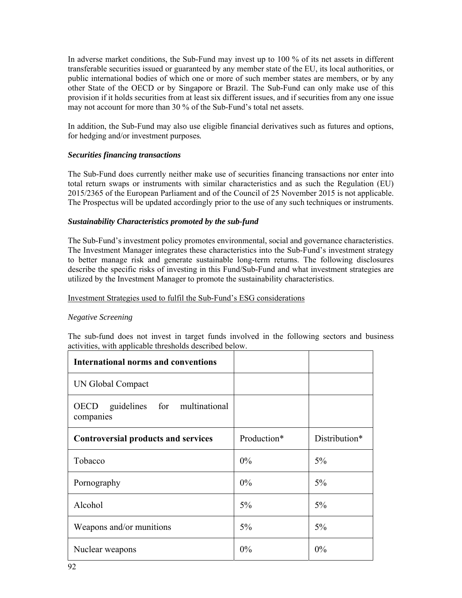In adverse market conditions, the Sub-Fund may invest up to 100 % of its net assets in different transferable securities issued or guaranteed by any member state of the EU, its local authorities, or public international bodies of which one or more of such member states are members, or by any other State of the OECD or by Singapore or Brazil. The Sub-Fund can only make use of this provision if it holds securities from at least six different issues, and if securities from any one issue may not account for more than 30 % of the Sub-Fund's total net assets.

In addition, the Sub-Fund may also use eligible financial derivatives such as futures and options, for hedging and/or investment purposes*.*

#### *Securities financing transactions*

The Sub-Fund does currently neither make use of securities financing transactions nor enter into total return swaps or instruments with similar characteristics and as such the Regulation (EU) 2015/2365 of the European Parliament and of the Council of 25 November 2015 is not applicable. The Prospectus will be updated accordingly prior to the use of any such techniques or instruments.

#### *Sustainability Characteristics promoted by the sub-fund*

The Sub-Fund's investment policy promotes environmental, social and governance characteristics. The Investment Manager integrates these characteristics into the Sub-Fund's investment strategy to better manage risk and generate sustainable long-term returns. The following disclosures describe the specific risks of investing in this Fund/Sub-Fund and what investment strategies are utilized by the Investment Manager to promote the sustainability characteristics.

#### Investment Strategies used to fulfil the Sub-Fund's ESG considerations

#### *Negative Screening*

The sub-fund does not invest in target funds involved in the following sectors and business activities, with applicable thresholds described below.

| <b>International norms and conventions</b>               |             |               |
|----------------------------------------------------------|-------------|---------------|
| UN Global Compact                                        |             |               |
| guidelines for multinational<br><b>OECD</b><br>companies |             |               |
| <b>Controversial products and services</b>               | Production* | Distribution* |
| Tobacco                                                  | $0\%$       | 5%            |
| Pornography                                              | $0\%$       | 5%            |
| Alcohol                                                  | 5%          | 5%            |
| Weapons and/or munitions                                 | $5\%$       | 5%            |
| Nuclear weapons                                          | $0\%$       | 0%            |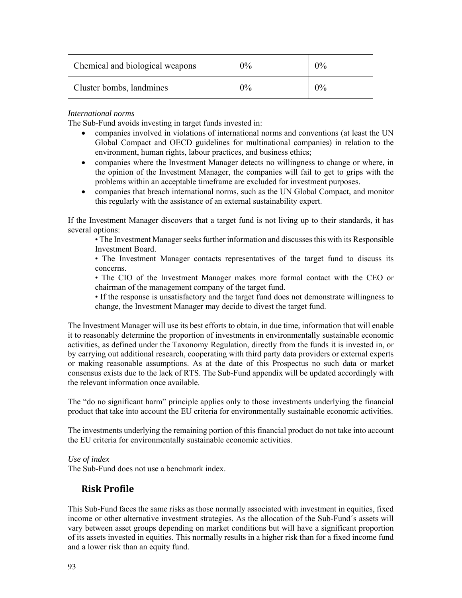| Chemical and biological weapons | $0\%$ | 0% |
|---------------------------------|-------|----|
| Cluster bombs, landmines        | $0\%$ | 0% |

### *International norms*

The Sub-Fund avoids investing in target funds invested in:

- companies involved in violations of international norms and conventions (at least the UN Global Compact and OECD guidelines for multinational companies) in relation to the environment, human rights, labour practices, and business ethics;
- companies where the Investment Manager detects no willingness to change or where, in the opinion of the Investment Manager, the companies will fail to get to grips with the problems within an acceptable timeframe are excluded for investment purposes.
- companies that breach international norms, such as the UN Global Compact, and monitor this regularly with the assistance of an external sustainability expert.

If the Investment Manager discovers that a target fund is not living up to their standards, it has several options:

• The Investment Manager seeks further information and discusses this with its Responsible Investment Board.

• The Investment Manager contacts representatives of the target fund to discuss its concerns.

• The CIO of the Investment Manager makes more formal contact with the CEO or chairman of the management company of the target fund.

• If the response is unsatisfactory and the target fund does not demonstrate willingness to change, the Investment Manager may decide to divest the target fund.

The Investment Manager will use its best efforts to obtain, in due time, information that will enable it to reasonably determine the proportion of investments in environmentally sustainable economic activities, as defined under the Taxonomy Regulation, directly from the funds it is invested in, or by carrying out additional research, cooperating with third party data providers or external experts or making reasonable assumptions. As at the date of this Prospectus no such data or market consensus exists due to the lack of RTS. The Sub-Fund appendix will be updated accordingly with the relevant information once available.

The "do no significant harm" principle applies only to those investments underlying the financial product that take into account the EU criteria for environmentally sustainable economic activities.

The investments underlying the remaining portion of this financial product do not take into account the EU criteria for environmentally sustainable economic activities.

### *Use of index*

The Sub-Fund does not use a benchmark index.

## **Risk Profile**

This Sub-Fund faces the same risks as those normally associated with investment in equities, fixed income or other alternative investment strategies. As the allocation of the Sub-Fund´s assets will vary between asset groups depending on market conditions but will have a significant proportion of its assets invested in equities. This normally results in a higher risk than for a fixed income fund and a lower risk than an equity fund.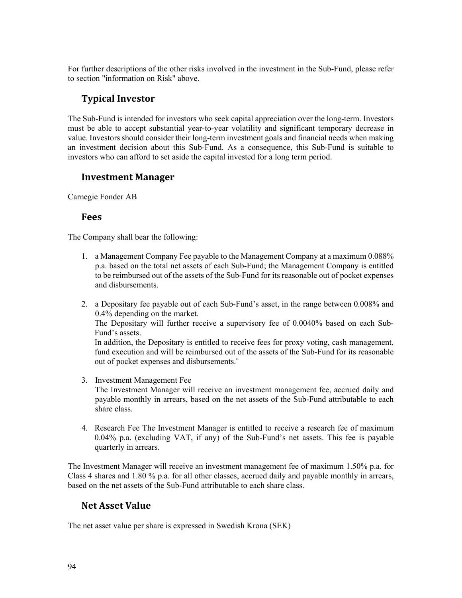For further descriptions of the other risks involved in the investment in the Sub-Fund, please refer to section "information on Risk" above.

## **Typical Investor**

The Sub-Fund is intended for investors who seek capital appreciation over the long-term. Investors must be able to accept substantial year-to-year volatility and significant temporary decrease in value. Investors should consider their long-term investment goals and financial needs when making an investment decision about this Sub-Fund. As a consequence, this Sub-Fund is suitable to investors who can afford to set aside the capital invested for a long term period.

### **Investment Manager**

Carnegie Fonder AB

### **Fees**

The Company shall bear the following:

- 1. a Management Company Fee payable to the Management Company at a maximum 0.088% p.a. based on the total net assets of each Sub-Fund; the Management Company is entitled to be reimbursed out of the assets of the Sub-Fund for its reasonable out of pocket expenses and disbursements.
- 2. a Depositary fee payable out of each Sub-Fund's asset, in the range between 0.008% and 0.4% depending on the market.

The Depositary will further receive a supervisory fee of 0.0040% based on each Sub-Fund's assets.

In addition, the Depositary is entitled to receive fees for proxy voting, cash management, fund execution and will be reimbursed out of the assets of the Sub-Fund for its reasonable out of pocket expenses and disbursements.¨

3. Investment Management Fee

The Investment Manager will receive an investment management fee, accrued daily and payable monthly in arrears, based on the net assets of the Sub-Fund attributable to each share class.

4. Research Fee The Investment Manager is entitled to receive a research fee of maximum 0.04% p.a. (excluding VAT, if any) of the Sub-Fund's net assets. This fee is payable quarterly in arrears.

The Investment Manager will receive an investment management fee of maximum 1.50% p.a. for Class 4 shares and 1.80 % p.a. for all other classes, accrued daily and payable monthly in arrears, based on the net assets of the Sub-Fund attributable to each share class.

## **Net Asset Value**

The net asset value per share is expressed in Swedish Krona (SEK)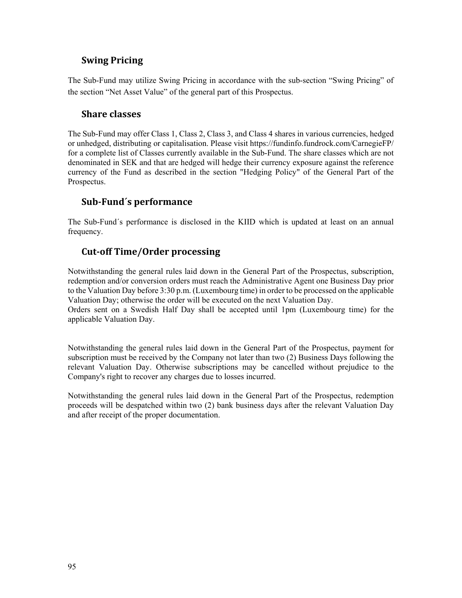## **Swing Pricing**

The Sub-Fund may utilize Swing Pricing in accordance with the sub-section "Swing Pricing" of the section "Net Asset Value" of the general part of this Prospectus.

### **Share classes**

The Sub-Fund may offer Class 1, Class 2, Class 3, and Class 4 shares in various currencies, hedged or unhedged, distributing or capitalisation. Please visit https://fundinfo.fundrock.com/CarnegieFP/ for a complete list of Classes currently available in the Sub-Fund. The share classes which are not denominated in SEK and that are hedged will hedge their currency exposure against the reference currency of the Fund as described in the section "Hedging Policy" of the General Part of the Prospectus.

### **Sub‐Fund´s performance**

The Sub-Fund´s performance is disclosed in the KIID which is updated at least on an annual frequency.

### **Cut‐off Time/Order processing**

Notwithstanding the general rules laid down in the General Part of the Prospectus, subscription, redemption and/or conversion orders must reach the Administrative Agent one Business Day prior to the Valuation Day before 3:30 p.m. (Luxembourg time) in order to be processed on the applicable Valuation Day; otherwise the order will be executed on the next Valuation Day.

Orders sent on a Swedish Half Day shall be accepted until 1pm (Luxembourg time) for the applicable Valuation Day.

Notwithstanding the general rules laid down in the General Part of the Prospectus, payment for subscription must be received by the Company not later than two (2) Business Days following the relevant Valuation Day. Otherwise subscriptions may be cancelled without prejudice to the Company's right to recover any charges due to losses incurred.

Notwithstanding the general rules laid down in the General Part of the Prospectus, redemption proceeds will be despatched within two (2) bank business days after the relevant Valuation Day and after receipt of the proper documentation.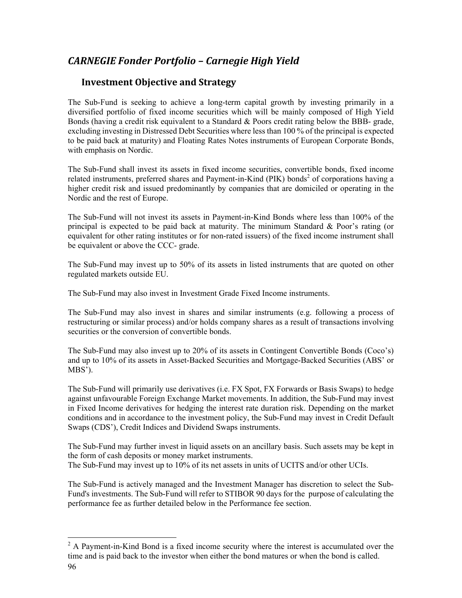# *CARNEGIE Fonder Portfolio – Carnegie High Yield*

## **Investment Objective and Strategy**

The Sub-Fund is seeking to achieve a long-term capital growth by investing primarily in a diversified portfolio of fixed income securities which will be mainly composed of High Yield Bonds (having a credit risk equivalent to a Standard & Poors credit rating below the BBB- grade, excluding investing in Distressed Debt Securities where less than 100 % of the principal is expected to be paid back at maturity) and Floating Rates Notes instruments of European Corporate Bonds, with emphasis on Nordic.

The Sub-Fund shall invest its assets in fixed income securities, convertible bonds, fixed income related instruments, preferred shares and Payment-in-Kind (PIK) bonds<sup>2</sup> of corporations having a higher credit risk and issued predominantly by companies that are domiciled or operating in the Nordic and the rest of Europe.

The Sub-Fund will not invest its assets in Payment-in-Kind Bonds where less than 100% of the principal is expected to be paid back at maturity. The minimum Standard  $\&$  Poor's rating (or equivalent for other rating institutes or for non-rated issuers) of the fixed income instrument shall be equivalent or above the CCC- grade.

The Sub-Fund may invest up to 50% of its assets in listed instruments that are quoted on other regulated markets outside EU.

The Sub-Fund may also invest in Investment Grade Fixed Income instruments.

The Sub-Fund may also invest in shares and similar instruments (e.g. following a process of restructuring or similar process) and/or holds company shares as a result of transactions involving securities or the conversion of convertible bonds.

The Sub-Fund may also invest up to 20% of its assets in Contingent Convertible Bonds (Coco's) and up to 10% of its assets in Asset-Backed Securities and Mortgage-Backed Securities (ABS' or MBS').

The Sub-Fund will primarily use derivatives (i.e. FX Spot, FX Forwards or Basis Swaps) to hedge against unfavourable Foreign Exchange Market movements. In addition, the Sub-Fund may invest in Fixed Income derivatives for hedging the interest rate duration risk. Depending on the market conditions and in accordance to the investment policy, the Sub-Fund may invest in Credit Default Swaps (CDS'), Credit Indices and Dividend Swaps instruments.

The Sub-Fund may further invest in liquid assets on an ancillary basis. Such assets may be kept in the form of cash deposits or money market instruments. The Sub-Fund may invest up to 10% of its net assets in units of UCITS and/or other UCIs.

The Sub-Fund is actively managed and the Investment Manager has discretion to select the Sub-Fund's investments. The Sub-Fund will refer to STIBOR 90 days for the purpose of calculating the performance fee as further detailed below in the Performance fee section.

<sup>96</sup>  <sup>2</sup> A Payment-in-Kind Bond is a fixed income security where the interest is accumulated over the time and is paid back to the investor when either the bond matures or when the bond is called.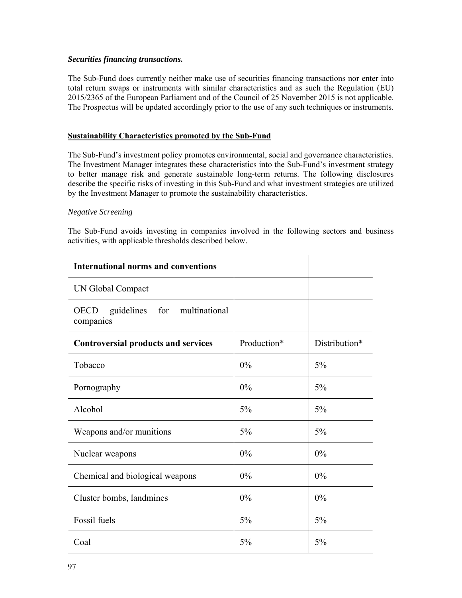#### *Securities financing transactions.*

The Sub-Fund does currently neither make use of securities financing transactions nor enter into total return swaps or instruments with similar characteristics and as such the Regulation (EU) 2015/2365 of the European Parliament and of the Council of 25 November 2015 is not applicable. The Prospectus will be updated accordingly prior to the use of any such techniques or instruments.

#### **Sustainability Characteristics promoted by the Sub-Fund**

The Sub-Fund's investment policy promotes environmental, social and governance characteristics. The Investment Manager integrates these characteristics into the Sub-Fund's investment strategy to better manage risk and generate sustainable long-term returns. The following disclosures describe the specific risks of investing in this Sub-Fund and what investment strategies are utilized by the Investment Manager to promote the sustainability characteristics.

#### *Negative Screening*

The Sub-Fund avoids investing in companies involved in the following sectors and business activities, with applicable thresholds described below.

| <b>International norms and conventions</b>           |             |               |
|------------------------------------------------------|-------------|---------------|
| UN Global Compact                                    |             |               |
| for multinational<br>OECD<br>guidelines<br>companies |             |               |
| <b>Controversial products and services</b>           | Production* | Distribution* |
| Tobacco                                              | 0%          | 5%            |
| Pornography                                          | 0%          | 5%            |
| Alcohol                                              | $5\%$       | 5%            |
| Weapons and/or munitions                             | $5\%$       | 5%            |
| Nuclear weapons                                      | 0%          | 0%            |
| Chemical and biological weapons                      | 0%          | 0%            |
| Cluster bombs, landmines                             | 0%          | 0%            |
| Fossil fuels                                         | 5%          | 5%            |
| Coal                                                 | 5%          | 5%            |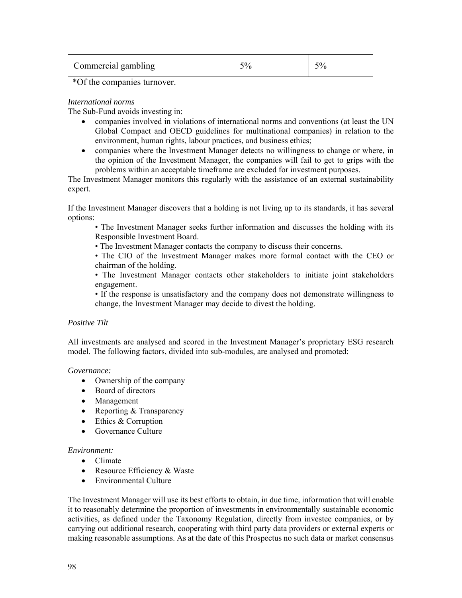| $\overline{\phantom{a}}$<br>- ہ<br>Commercial gambling<br>v. |  |  |  |
|--------------------------------------------------------------|--|--|--|
|--------------------------------------------------------------|--|--|--|

\*Of the companies turnover.

#### *International norms*

The Sub-Fund avoids investing in:

- companies involved in violations of international norms and conventions (at least the UN Global Compact and OECD guidelines for multinational companies) in relation to the environment, human rights, labour practices, and business ethics;
- companies where the Investment Manager detects no willingness to change or where, in the opinion of the Investment Manager, the companies will fail to get to grips with the problems within an acceptable timeframe are excluded for investment purposes.

The Investment Manager monitors this regularly with the assistance of an external sustainability expert.

If the Investment Manager discovers that a holding is not living up to its standards, it has several options:

• The Investment Manager seeks further information and discusses the holding with its Responsible Investment Board.

• The Investment Manager contacts the company to discuss their concerns.

• The CIO of the Investment Manager makes more formal contact with the CEO or chairman of the holding.

• The Investment Manager contacts other stakeholders to initiate joint stakeholders engagement.

• If the response is unsatisfactory and the company does not demonstrate willingness to change, the Investment Manager may decide to divest the holding.

#### *Positive Tilt*

All investments are analysed and scored in the Investment Manager's proprietary ESG research model. The following factors, divided into sub-modules, are analysed and promoted:

#### *Governance:*

- Ownership of the company
- Board of directors
- Management
- Reporting & Transparency
- Ethics & Corruption
- Governance Culture

### *Environment:*

- Climate
- Resource Efficiency & Waste
- Environmental Culture

The Investment Manager will use its best efforts to obtain, in due time, information that will enable it to reasonably determine the proportion of investments in environmentally sustainable economic activities, as defined under the Taxonomy Regulation, directly from investee companies, or by carrying out additional research, cooperating with third party data providers or external experts or making reasonable assumptions. As at the date of this Prospectus no such data or market consensus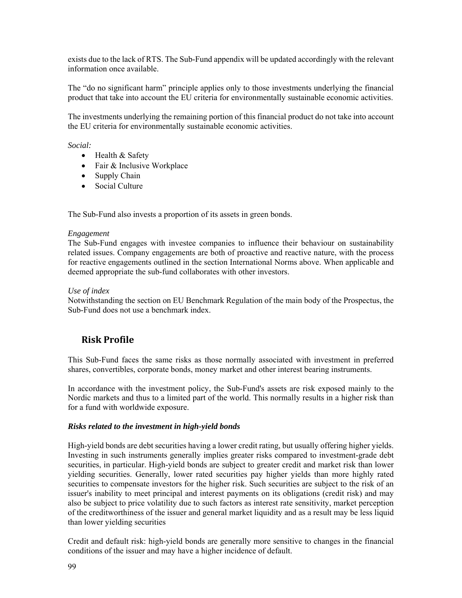exists due to the lack of RTS. The Sub-Fund appendix will be updated accordingly with the relevant information once available.

The "do no significant harm" principle applies only to those investments underlying the financial product that take into account the EU criteria for environmentally sustainable economic activities.

The investments underlying the remaining portion of this financial product do not take into account the EU criteria for environmentally sustainable economic activities.

*Social:* 

- Health & Safety
- Fair & Inclusive Workplace
- Supply Chain
- Social Culture

The Sub-Fund also invests a proportion of its assets in green bonds.

#### *Engagement*

The Sub-Fund engages with investee companies to influence their behaviour on sustainability related issues. Company engagements are both of proactive and reactive nature, with the process for reactive engagements outlined in the section International Norms above. When applicable and deemed appropriate the sub-fund collaborates with other investors.

#### *Use of index*

Notwithstanding the section on EU Benchmark Regulation of the main body of the Prospectus, the Sub-Fund does not use a benchmark index.

## **Risk Profile**

This Sub-Fund faces the same risks as those normally associated with investment in preferred shares, convertibles, corporate bonds, money market and other interest bearing instruments.

In accordance with the investment policy, the Sub-Fund's assets are risk exposed mainly to the Nordic markets and thus to a limited part of the world. This normally results in a higher risk than for a fund with worldwide exposure.

#### *Risks related to the investment in high-yield bonds*

High-yield bonds are debt securities having a lower credit rating, but usually offering higher yields. Investing in such instruments generally implies greater risks compared to investment-grade debt securities, in particular. High-yield bonds are subject to greater credit and market risk than lower yielding securities. Generally, lower rated securities pay higher yields than more highly rated securities to compensate investors for the higher risk. Such securities are subject to the risk of an issuer's inability to meet principal and interest payments on its obligations (credit risk) and may also be subject to price volatility due to such factors as interest rate sensitivity, market perception of the creditworthiness of the issuer and general market liquidity and as a result may be less liquid than lower yielding securities

Credit and default risk: high-yield bonds are generally more sensitive to changes in the financial conditions of the issuer and may have a higher incidence of default.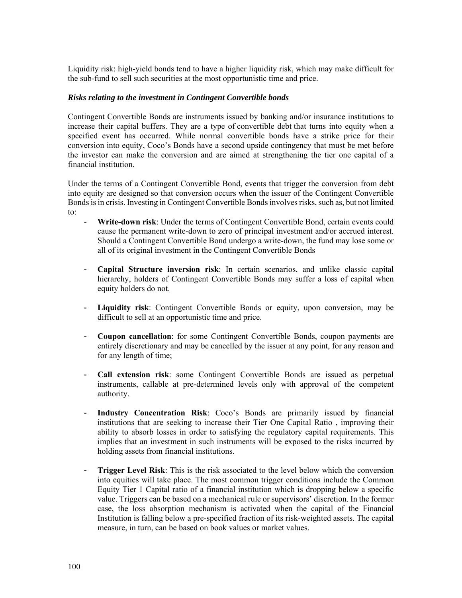Liquidity risk: high-yield bonds tend to have a higher liquidity risk, which may make difficult for the sub-fund to sell such securities at the most opportunistic time and price.

#### *Risks relating to the investment in Contingent Convertible bonds*

Contingent Convertible Bonds are instruments issued by banking and/or insurance institutions to increase their capital buffers. They are a type of convertible debt that turns into equity when a specified event has occurred. While normal convertible bonds have a strike price for their conversion into equity, Coco's Bonds have a second upside contingency that must be met before the investor can make the conversion and are aimed at strengthening the tier one capital of a financial institution.

Under the terms of a Contingent Convertible Bond, events that trigger the conversion from debt into equity are designed so that conversion occurs when the issuer of the Contingent Convertible Bonds is in crisis. Investing in Contingent Convertible Bonds involves risks, such as, but not limited to:

- **Write-down risk**: Under the terms of Contingent Convertible Bond, certain events could cause the permanent write-down to zero of principal investment and/or accrued interest. Should a Contingent Convertible Bond undergo a write-down, the fund may lose some or all of its original investment in the Contingent Convertible Bonds
- **Capital Structure inversion risk**: In certain scenarios, and unlike classic capital hierarchy, holders of Contingent Convertible Bonds may suffer a loss of capital when equity holders do not.
- **Liquidity risk**: Contingent Convertible Bonds or equity, upon conversion, may be difficult to sell at an opportunistic time and price.
- **Coupon cancellation**: for some Contingent Convertible Bonds, coupon payments are entirely discretionary and may be cancelled by the issuer at any point, for any reason and for any length of time;
- **Call extension risk**: some Contingent Convertible Bonds are issued as perpetual instruments, callable at pre-determined levels only with approval of the competent authority.
- **Industry Concentration Risk**: Coco's Bonds are primarily issued by financial institutions that are seeking to increase their Tier One Capital Ratio , improving their ability to absorb losses in order to satisfying the regulatory capital requirements. This implies that an investment in such instruments will be exposed to the risks incurred by holding assets from financial institutions.
- **Trigger Level Risk:** This is the risk associated to the level below which the conversion into equities will take place. The most common trigger conditions include the Common Equity Tier 1 Capital ratio of a financial institution which is dropping below a specific value. Triggers can be based on a mechanical rule or supervisors' discretion. In the former case, the loss absorption mechanism is activated when the capital of the Financial Institution is falling below a pre-specified fraction of its risk-weighted assets. The capital measure, in turn, can be based on book values or market values.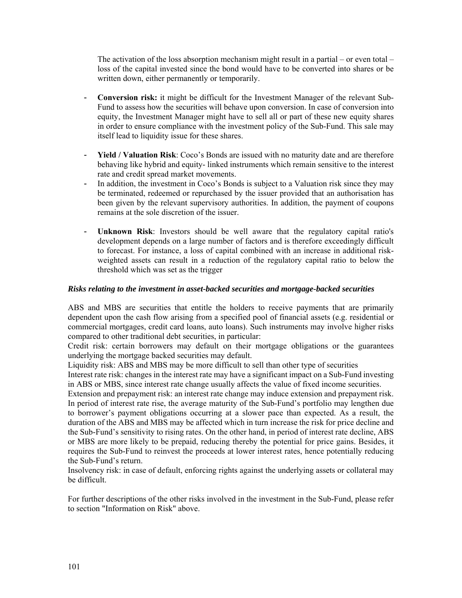The activation of the loss absorption mechanism might result in a partial – or even total – loss of the capital invested since the bond would have to be converted into shares or be written down, either permanently or temporarily.

- **Conversion risk:** it might be difficult for the Investment Manager of the relevant Sub-Fund to assess how the securities will behave upon conversion. In case of conversion into equity, the Investment Manager might have to sell all or part of these new equity shares in order to ensure compliance with the investment policy of the Sub-Fund. This sale may itself lead to liquidity issue for these shares.
- **Yield / Valuation Risk**: Coco's Bonds are issued with no maturity date and are therefore behaving like hybrid and equity- linked instruments which remain sensitive to the interest rate and credit spread market movements.
- In addition, the investment in Coco's Bonds is subject to a Valuation risk since they may be terminated, redeemed or repurchased by the issuer provided that an authorisation has been given by the relevant supervisory authorities. In addition, the payment of coupons remains at the sole discretion of the issuer.
- **Unknown Risk**: Investors should be well aware that the regulatory capital ratio's development depends on a large number of factors and is therefore exceedingly difficult to forecast. For instance, a loss of capital combined with an increase in additional riskweighted assets can result in a reduction of the regulatory capital ratio to below the threshold which was set as the trigger

### *Risks relating to the investment in asset-backed securities and mortgage-backed securities*

ABS and MBS are securities that entitle the holders to receive payments that are primarily dependent upon the cash flow arising from a specified pool of financial assets (e.g. residential or commercial mortgages, credit card loans, auto loans). Such instruments may involve higher risks compared to other traditional debt securities, in particular:

Credit risk: certain borrowers may default on their mortgage obligations or the guarantees underlying the mortgage backed securities may default.

Liquidity risk: ABS and MBS may be more difficult to sell than other type of securities

Interest rate risk: changes in the interest rate may have a significant impact on a Sub-Fund investing in ABS or MBS, since interest rate change usually affects the value of fixed income securities.

Extension and prepayment risk: an interest rate change may induce extension and prepayment risk. In period of interest rate rise, the average maturity of the Sub-Fund's portfolio may lengthen due to borrower's payment obligations occurring at a slower pace than expected. As a result, the duration of the ABS and MBS may be affected which in turn increase the risk for price decline and the Sub-Fund's sensitivity to rising rates. On the other hand, in period of interest rate decline, ABS or MBS are more likely to be prepaid, reducing thereby the potential for price gains. Besides, it requires the Sub-Fund to reinvest the proceeds at lower interest rates, hence potentially reducing the Sub-Fund's return.

Insolvency risk: in case of default, enforcing rights against the underlying assets or collateral may be difficult.

For further descriptions of the other risks involved in the investment in the Sub-Fund, please refer to section "Information on Risk" above.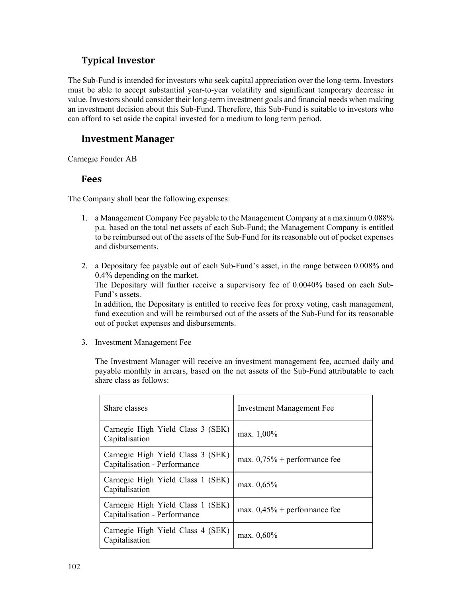## **Typical Investor**

The Sub-Fund is intended for investors who seek capital appreciation over the long-term. Investors must be able to accept substantial year-to-year volatility and significant temporary decrease in value. Investors should consider their long-term investment goals and financial needs when making an investment decision about this Sub-Fund. Therefore, this Sub-Fund is suitable to investors who can afford to set aside the capital invested for a medium to long term period.

### **Investment Manager**

Carnegie Fonder AB

### **Fees**

The Company shall bear the following expenses:

- 1. a Management Company Fee payable to the Management Company at a maximum 0.088% p.a. based on the total net assets of each Sub-Fund; the Management Company is entitled to be reimbursed out of the assets of the Sub-Fund for its reasonable out of pocket expenses and disbursements.
- 2. a Depositary fee payable out of each Sub-Fund's asset, in the range between 0.008% and 0.4% depending on the market.

The Depositary will further receive a supervisory fee of 0.0040% based on each Sub-Fund's assets.

In addition, the Depositary is entitled to receive fees for proxy voting, cash management, fund execution and will be reimbursed out of the assets of the Sub-Fund for its reasonable out of pocket expenses and disbursements.

3. Investment Management Fee

The Investment Manager will receive an investment management fee, accrued daily and payable monthly in arrears, based on the net assets of the Sub-Fund attributable to each share class as follows:

| Share classes                                                     | <b>Investment Management Fee</b> |
|-------------------------------------------------------------------|----------------------------------|
| Carnegie High Yield Class 3 (SEK)<br>Capitalisation               | max. 1,00%                       |
| Carnegie High Yield Class 3 (SEK)<br>Capitalisation - Performance | max. $0,75%$ + performance fee   |
| Carnegie High Yield Class 1 (SEK)<br>Capitalisation               | max. 0,65%                       |
| Carnegie High Yield Class 1 (SEK)<br>Capitalisation - Performance | max. $0.45\%$ + performance fee  |
| Carnegie High Yield Class 4 (SEK)<br>Capitalisation               | max. 0,60%                       |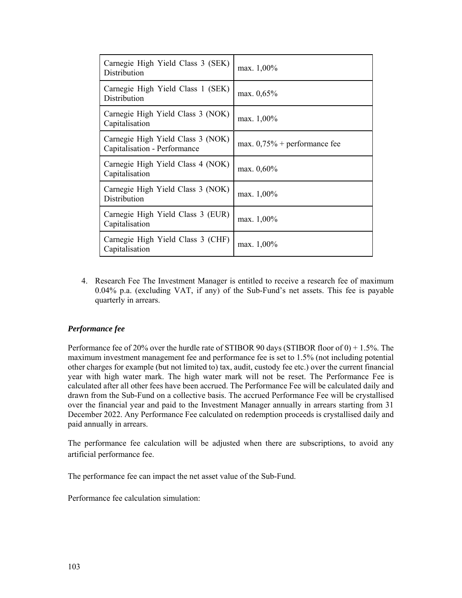| Carnegie High Yield Class 3 (SEK)<br>Distribution                 | max. 1,00%                     |
|-------------------------------------------------------------------|--------------------------------|
| Carnegie High Yield Class 1 (SEK)<br>Distribution                 | max. 0,65%                     |
| Carnegie High Yield Class 3 (NOK)<br>Capitalisation               | max. 1,00%                     |
| Carnegie High Yield Class 3 (NOK)<br>Capitalisation - Performance | max. $0,75%$ + performance fee |
| Carnegie High Yield Class 4 (NOK)<br>Capitalisation               | max. 0,60%                     |
| Carnegie High Yield Class 3 (NOK)<br>Distribution                 | max. 1,00%                     |
| Carnegie High Yield Class 3 (EUR)<br>Capitalisation               | max. $1,00\%$                  |
| Carnegie High Yield Class 3 (CHF)<br>Capitalisation               | max. 1,00%                     |

4. Research Fee The Investment Manager is entitled to receive a research fee of maximum 0.04% p.a. (excluding VAT, if any) of the Sub-Fund's net assets. This fee is payable quarterly in arrears.

#### *Performance fee*

Performance fee of 20% over the hurdle rate of STIBOR 90 days (STIBOR floor of 0) + 1.5%. The maximum investment management fee and performance fee is set to 1.5% (not including potential other charges for example (but not limited to) tax, audit, custody fee etc.) over the current financial year with high water mark. The high water mark will not be reset. The Performance Fee is calculated after all other fees have been accrued. The Performance Fee will be calculated daily and drawn from the Sub-Fund on a collective basis. The accrued Performance Fee will be crystallised over the financial year and paid to the Investment Manager annually in arrears starting from 31 December 2022. Any Performance Fee calculated on redemption proceeds is crystallised daily and paid annually in arrears.

The performance fee calculation will be adjusted when there are subscriptions, to avoid any artificial performance fee.

The performance fee can impact the net asset value of the Sub-Fund.

Performance fee calculation simulation: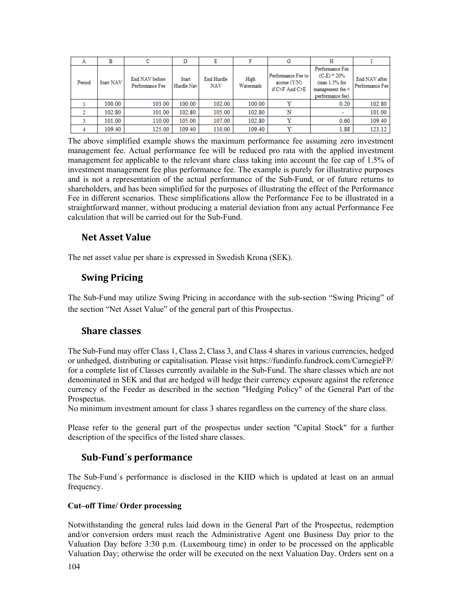| А      | в         | с                                 | D                   | E                        |                   | G                                                        | Н                                                                                         |                                  |
|--------|-----------|-----------------------------------|---------------------|--------------------------|-------------------|----------------------------------------------------------|-------------------------------------------------------------------------------------------|----------------------------------|
| Period | Start NAV | End NAV before<br>Performance Fee | Start<br>Hurdle Nav | End Hurdle<br><b>NAV</b> | High<br>Watermark | Performance Fee to<br>accrue (Y/N)<br>if $C>F$ And $C>F$ | Performance Fee<br>$(C-E)$ * 20%<br>(max 1.5% for<br>management fee +<br>performance fee) | End NAV after<br>Performance Fee |
|        | 100.00    | 103.00                            | 100.00              | 102.00                   | 100.00            |                                                          | 0.20                                                                                      | 102.80                           |
|        | 102.80    | 101.00                            | 102.80              | 105.00                   | 102.80            | N                                                        | -                                                                                         | 101.00                           |
|        | 101.00    | 110.00                            | 105.00              | 107.00                   | 102.80            |                                                          | 0.60                                                                                      | 109.40                           |
|        | 109.40    | 125.00                            | 109.40              | 110.00                   | 109.40            |                                                          | 1.88                                                                                      | 123.12                           |

The above simplified example shows the maximum performance fee assuming zero investment management fee. Actual performance fee will be reduced pro rata with the applied investment management fee applicable to the relevant share class taking into account the fee cap of 1.5% of investment management fee plus performance fee. The example is purely for illustrative purposes and is not a representation of the actual performance of the Sub-Fund, or of future returns to shareholders, and has been simplified for the purposes of illustrating the effect of the Performance Fee in different scenarios. These simplifications allow the Performance Fee to be illustrated in a straightforward manner, without producing a material deviation from any actual Performance Fee calculation that will be carried out for the Sub-Fund.

### **Net Asset Value**

The net asset value per share is expressed in Swedish Krona (SEK).

### **Swing Pricing**

The Sub-Fund may utilize Swing Pricing in accordance with the sub-section "Swing Pricing" of the section "Net Asset Value" of the general part of this Prospectus.

### **Share classes**

The Sub-Fund may offer Class 1, Class 2, Class 3, and Class 4 shares in various currencies, hedged or unhedged, distributing or capitalisation. Please visit https://fundinfo.fundrock.com/CarnegieFP/ for a complete list of Classes currently available in the Sub-Fund. The share classes which are not denominated in SEK and that are hedged will hedge their currency exposure against the reference currency of the Feeder as described in the section "Hedging Policy" of the General Part of the Prospectus.

No minimum investment amount for class 3 shares regardless on the currency of the share class.

Please refer to the general part of the prospectus under section "Capital Stock" for a further description of the specifics of the listed share classes.

## **Sub‐Fund´s performance**

The Sub-Fund´s performance is disclosed in the KIID which is updated at least on an annual frequency.

### **Cut–off Time/ Order processing**

Notwithstanding the general rules laid down in the General Part of the Prospectus, redemption and/or conversion orders must reach the Administrative Agent one Business Day prior to the Valuation Day before 3:30 p.m. (Luxembourg time) in order to be processed on the applicable Valuation Day; otherwise the order will be executed on the next Valuation Day. Orders sent on a